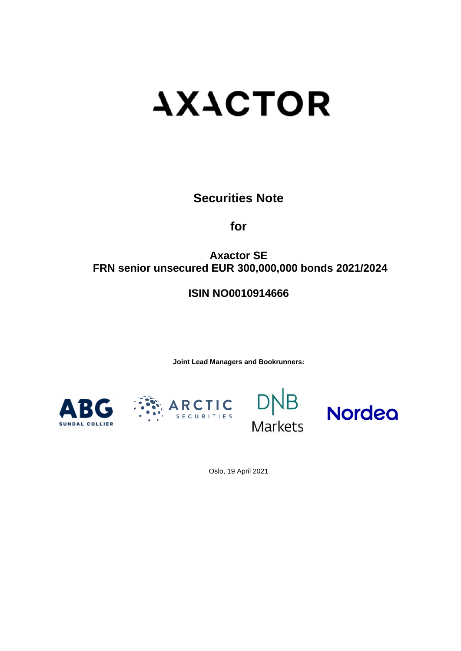# **AXACTOR**

**Securities Note** 

**for** 

## **Axactor SE FRN senior unsecured EUR 300,000,000 bonds 2021/2024**

## **ISIN NO0010914666**

**Joint Lead Managers and Bookrunners:** 







Oslo, 19 April 2021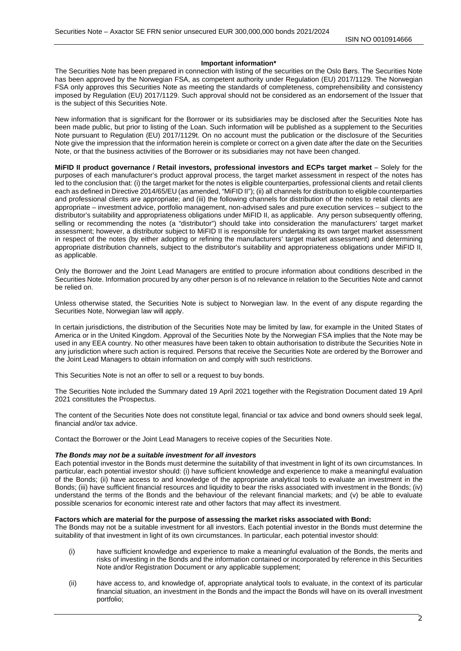#### **Important information\***

The Securities Note has been prepared in connection with listing of the securities on the Oslo Børs. The Securities Note has been approved by the Norwegian FSA, as competent authority under Regulation (EU) 2017/1129. The Norwegian FSA only approves this Securities Note as meeting the standards of completeness, comprehensibility and consistency imposed by Regulation (EU) 2017/1129. Such approval should not be considered as an endorsement of the Issuer that is the subject of this Securities Note.

New information that is significant for the Borrower or its subsidiaries may be disclosed after the Securities Note has been made public, but prior to listing of the Loan. Such information will be published as a supplement to the Securities Note pursuant to Regulation (EU) 2017/1129t. On no account must the publication or the disclosure of the Securities Note give the impression that the information herein is complete or correct on a given date after the date on the Securities Note, or that the business activities of the Borrower or its subsidiaries may not have been changed.

**MiFID II product governance / Retail investors, professional investors and ECPs target market – Solely for the** purposes of each manufacturer's product approval process, the target market assessment in respect of the notes has led to the conclusion that: (i) the target market for the notes is eligible counterparties, professional clients and retail clients each as defined in Directive 2014/65/EU (as amended, "MiFID II"); (ii) all channels for distribution to eligible counterparties and professional clients are appropriate; and (iii) the following channels for distribution of the notes to retail clients are appropriate – investment advice, portfolio management, non-advised sales and pure execution services – subject to the distributor's suitability and appropriateness obligations under MiFID II, as applicable. Any person subsequently offering, selling or recommending the notes (a "distributor") should take into consideration the manufacturers' target market assessment; however, a distributor subject to MiFID II is responsible for undertaking its own target market assessment in respect of the notes (by either adopting or refining the manufacturers' target market assessment) and determining appropriate distribution channels, subject to the distributor's suitability and appropriateness obligations under MiFID II, as applicable.

Only the Borrower and the Joint Lead Managers are entitled to procure information about conditions described in the Securities Note. Information procured by any other person is of no relevance in relation to the Securities Note and cannot be relied on.

Unless otherwise stated, the Securities Note is subject to Norwegian law. In the event of any dispute regarding the Securities Note, Norwegian law will apply.

In certain jurisdictions, the distribution of the Securities Note may be limited by law, for example in the United States of America or in the United Kingdom. Approval of the Securities Note by the Norwegian FSA implies that the Note may be used in any EEA country. No other measures have been taken to obtain authorisation to distribute the Securities Note in any jurisdiction where such action is required. Persons that receive the Securities Note are ordered by the Borrower and the Joint Lead Managers to obtain information on and comply with such restrictions.

This Securities Note is not an offer to sell or a request to buy bonds.

The Securities Note included the Summary dated 19 April 2021 together with the Registration Document dated 19 April 2021 constitutes the Prospectus.

The content of the Securities Note does not constitute legal, financial or tax advice and bond owners should seek legal, financial and/or tax advice.

Contact the Borrower or the Joint Lead Managers to receive copies of the Securities Note.

#### *The Bonds may not be a suitable investment for all investors*

Each potential investor in the Bonds must determine the suitability of that investment in light of its own circumstances. In particular, each potential investor should: (i) have sufficient knowledge and experience to make a meaningful evaluation of the Bonds; (ii) have access to and knowledge of the appropriate analytical tools to evaluate an investment in the Bonds; (iii) have sufficient financial resources and liquidity to bear the risks associated with investment in the Bonds; (iv) understand the terms of the Bonds and the behaviour of the relevant financial markets; and (v) be able to evaluate possible scenarios for economic interest rate and other factors that may affect its investment.

#### **Factors which are material for the purpose of assessing the market risks associated with Bond:**

The Bonds may not be a suitable investment for all investors. Each potential investor in the Bonds must determine the suitability of that investment in light of its own circumstances. In particular, each potential investor should:

- (i) have sufficient knowledge and experience to make a meaningful evaluation of the Bonds, the merits and risks of investing in the Bonds and the information contained or incorporated by reference in this Securities Note and/or Registration Document or any applicable supplement;
- (ii) have access to, and knowledge of, appropriate analytical tools to evaluate, in the context of its particular financial situation, an investment in the Bonds and the impact the Bonds will have on its overall investment portfolio;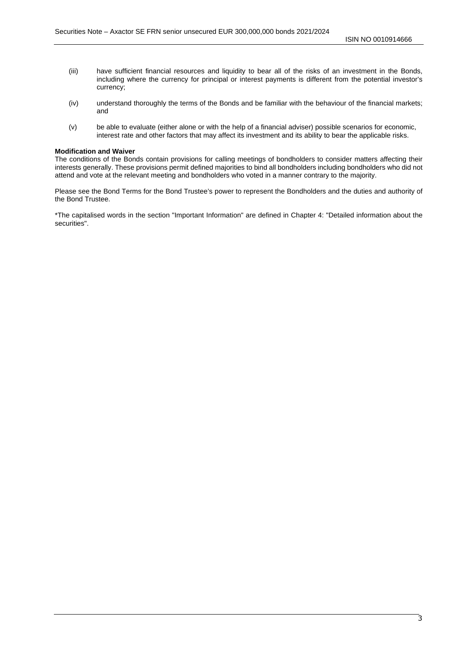- (iii) have sufficient financial resources and liquidity to bear all of the risks of an investment in the Bonds, including where the currency for principal or interest payments is different from the potential investor's currency;
- (iv) understand thoroughly the terms of the Bonds and be familiar with the behaviour of the financial markets; and
- (v) be able to evaluate (either alone or with the help of a financial adviser) possible scenarios for economic, interest rate and other factors that may affect its investment and its ability to bear the applicable risks.

#### **Modification and Waiver**

The conditions of the Bonds contain provisions for calling meetings of bondholders to consider matters affecting their interests generally. These provisions permit defined majorities to bind all bondholders including bondholders who did not attend and vote at the relevant meeting and bondholders who voted in a manner contrary to the majority.

Please see the Bond Terms for the Bond Trustee's power to represent the Bondholders and the duties and authority of the Bond Trustee.

\*The capitalised words in the section "Important Information" are defined in Chapter 4: "Detailed information about the securities".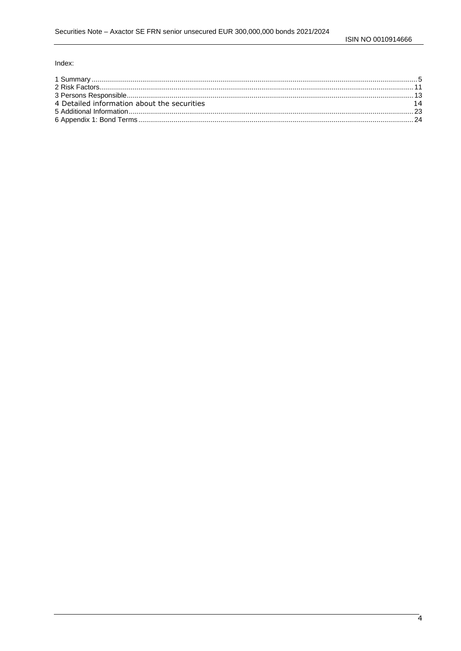Index:

| 4 Detailed information about the securities | - 14 |
|---------------------------------------------|------|
|                                             |      |
|                                             |      |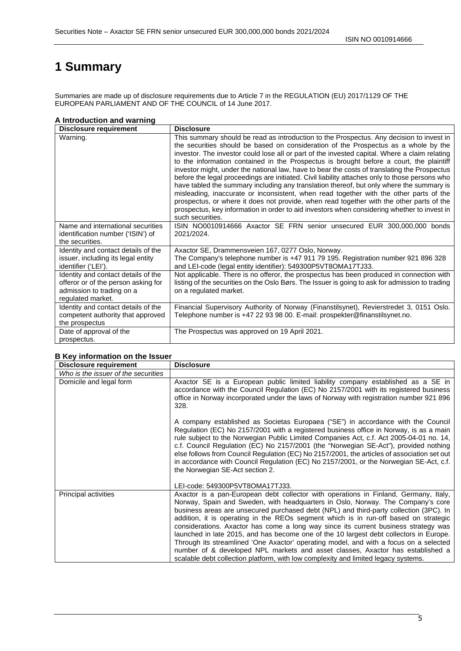## <span id="page-4-0"></span>**1 Summary**

Summaries are made up of disclosure requirements due to Article 7 in the REGULATION (EU) 2017/1129 OF THE EUROPEAN PARLIAMENT AND OF THE COUNCIL of 14 June 2017.

#### **A Introduction and warning**

| <b>Disclosure requirement</b>                                                                                                | <b>Disclosure</b>                                                                                                                                                                                                                                                                                                                                                                                                                                                                                                                                                                                                                                                                                                                                                                                                                                                                                                                                                                  |
|------------------------------------------------------------------------------------------------------------------------------|------------------------------------------------------------------------------------------------------------------------------------------------------------------------------------------------------------------------------------------------------------------------------------------------------------------------------------------------------------------------------------------------------------------------------------------------------------------------------------------------------------------------------------------------------------------------------------------------------------------------------------------------------------------------------------------------------------------------------------------------------------------------------------------------------------------------------------------------------------------------------------------------------------------------------------------------------------------------------------|
| Warning.                                                                                                                     | This summary should be read as introduction to the Prospectus. Any decision to invest in<br>the securities should be based on consideration of the Prospectus as a whole by the<br>investor. The investor could lose all or part of the invested capital. Where a claim relating<br>to the information contained in the Prospectus is brought before a court, the plaintiff<br>investor might, under the national law, have to bear the costs of translating the Prospectus<br>before the legal proceedings are initiated. Civil liability attaches only to those persons who<br>have tabled the summary including any translation thereof, but only where the summary is<br>misleading, inaccurate or inconsistent, when read together with the other parts of the<br>prospectus, or where it does not provide, when read together with the other parts of the<br>prospectus, key information in order to aid investors when considering whether to invest in<br>such securities. |
| Name and international securities<br>identification number ('ISIN') of<br>the securities.                                    | ISIN NO0010914666 Axactor SE FRN senior unsecured EUR 300,000,000 bonds<br>2021/2024.                                                                                                                                                                                                                                                                                                                                                                                                                                                                                                                                                                                                                                                                                                                                                                                                                                                                                              |
| Identity and contact details of the<br>issuer, including its legal entity<br>identifier ('LEI').                             | Axactor SE, Drammensveien 167, 0277 Oslo, Norway.<br>The Company's telephone number is +47 911 79 195. Registration number 921 896 328<br>and LEI-code (legal entity identifier): 549300P5VT8OMA17TJ33.                                                                                                                                                                                                                                                                                                                                                                                                                                                                                                                                                                                                                                                                                                                                                                            |
| Identity and contact details of the<br>offeror or of the person asking for<br>admission to trading on a<br>regulated market. | Not applicable. There is no offeror, the prospectus has been produced in connection with<br>listing of the securities on the Oslo Børs. The Issuer is going to ask for admission to trading<br>on a regulated market.                                                                                                                                                                                                                                                                                                                                                                                                                                                                                                                                                                                                                                                                                                                                                              |
| Identity and contact details of the<br>competent authority that approved<br>the prospectus                                   | Financial Supervisory Authority of Norway (Finanstilsynet), Revierstredet 3, 0151 Oslo.<br>Telephone number is +47 22 93 98 00. E-mail: prospekter@finanstilsynet.no.                                                                                                                                                                                                                                                                                                                                                                                                                                                                                                                                                                                                                                                                                                                                                                                                              |
| Date of approval of the<br>prospectus.                                                                                       | The Prospectus was approved on 19 April 2021.                                                                                                                                                                                                                                                                                                                                                                                                                                                                                                                                                                                                                                                                                                                                                                                                                                                                                                                                      |

#### **B Key information on the Issuer**

| <b>Disclosure requirement</b>       | <b>Disclosure</b>                                                                                                                                                                                                                                                                                                                                                                                                                                                                                                                                                                                                                                                                                                                                                                                           |
|-------------------------------------|-------------------------------------------------------------------------------------------------------------------------------------------------------------------------------------------------------------------------------------------------------------------------------------------------------------------------------------------------------------------------------------------------------------------------------------------------------------------------------------------------------------------------------------------------------------------------------------------------------------------------------------------------------------------------------------------------------------------------------------------------------------------------------------------------------------|
| Who is the issuer of the securities |                                                                                                                                                                                                                                                                                                                                                                                                                                                                                                                                                                                                                                                                                                                                                                                                             |
| Domicile and legal form             | Axactor SE is a European public limited liability company established as a SE in<br>accordance with the Council Regulation (EC) No 2157/2001 with its registered business<br>office in Norway incorporated under the laws of Norway with registration number 921 896<br>328.                                                                                                                                                                                                                                                                                                                                                                                                                                                                                                                                |
|                                     | A company established as Societas Europaea ("SE") in accordance with the Council<br>Regulation (EC) No 2157/2001 with a registered business office in Norway, is as a main<br>rule subject to the Norwegian Public Limited Companies Act, c.f. Act 2005-04-01 no. 14,<br>c.f. Council Regulation (EC) No 2157/2001 (the "Norwegian SE-Act"), provided nothing<br>else follows from Council Regulation (EC) No 2157/2001, the articles of association set out<br>in accordance with Council Regulation (EC) No 2157/2001, or the Norwegian SE-Act, c.f.<br>the Norwegian SE-Act section 2.                                                                                                                                                                                                                   |
|                                     | LEI-code: 549300P5VT8OMA17TJ33.                                                                                                                                                                                                                                                                                                                                                                                                                                                                                                                                                                                                                                                                                                                                                                             |
| Principal activities                | Axactor is a pan-European debt collector with operations in Finland, Germany, Italy,<br>Norway, Spain and Sweden, with headquarters in Oslo, Norway. The Company's core<br>business areas are unsecured purchased debt (NPL) and third-party collection (3PC). In<br>addition, it is operating in the REOs segment which is in run-off based on strategic<br>considerations. Axactor has come a long way since its current business strategy was<br>launched in late 2015, and has become one of the 10 largest debt collectors in Europe.<br>Through its streamlined 'One Axactor' operating model, and with a focus on a selected<br>number of & developed NPL markets and asset classes, Axactor has established a<br>scalable debt collection platform, with low complexity and limited legacy systems. |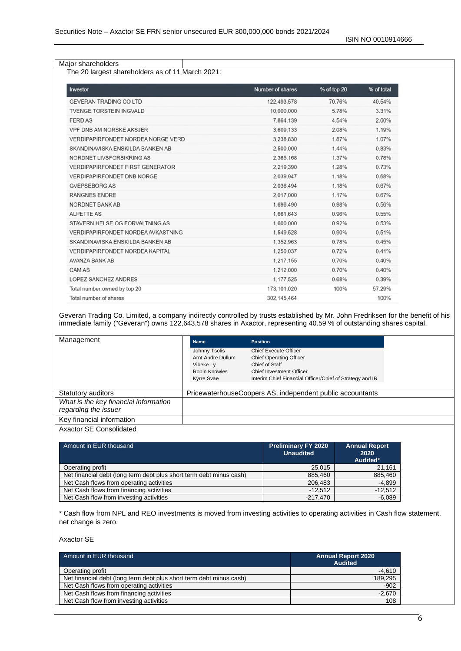#### Major shareholders

The 20 largest shareholders as of 11 March 2021:

| Investor                                | <b>Number of shares</b> | % of top 20 | % of total |
|-----------------------------------------|-------------------------|-------------|------------|
| <b>GEVERAN TRADING CO LTD</b>           | 122,493,578             | 70.76%      | 40.54%     |
| <b>TVENGE TORSTEIN INGVALD</b>          | 10,000,000              | 5.78%       | 3.31%      |
| <b>FERD AS</b>                          | 7,864,139               | 4.54%       | 2.60%      |
| VPF DNB AM NORSKE AKSJER                | 3,609,133               | 2.08%       | 1.19%      |
| VERDIPAPIRFONDET NORDEA NORGE VERD      | 3.238,830               | 1.87%       | 1.07%      |
| SKANDINAVISKA ENSKILDA BANKEN AB        | 2,500,000               | 1.44%       | 0.83%      |
| NORDNET LIVSFORSIKRING AS               | 2,365,168               | 1.37%       | 0.78%      |
| <b>VERDIPAPIRFONDET FIRST GENERATOR</b> | 2,219,390               | 1.28%       | 0.73%      |
| <b>VERDIPAPIRFONDET DNB NORGE</b>       | 2,039,947               | 1.18%       | 0.68%      |
| <b>GVEPSEBORG AS</b>                    | 2.036,494               | 1.18%       | 0.67%      |
| <b>RANGNES ENDRE</b>                    | 2.017.000               | 1.17%       | 0.67%      |
| NORDNET BANK AB                         | 1,696,490               | 0.98%       | 0.56%      |
| <b>ALPETTE AS</b>                       | 1,661,643               | 0.96%       | 0.55%      |
| STAVERN HELSE OG FORVALTNING AS         | 1,600,000               | 0.92%       | 0.53%      |
| VERDIPAPIRFONDET NORDEA AVKASTNING      | 1,549,528               | 0.90%       | 0.51%      |
| SKANDINAVISKA ENSKILDA BANKEN AB        | 1,352,963               | 0.78%       | 0.45%      |
| <b>VERDIPAPIRFONDET NORDEA KAPITAL</b>  | 1,250,037               | 0.72%       | 0.41%      |
| AVANZA BANK AB                          | 1.217,155               | 0.70%       | 0.40%      |
| <b>CAM AS</b>                           | 1.212,000               | 0.70%       | 0.40%      |
| <b>LOPEZ SANCHEZ ANDRES</b>             | 1,177,525               | 0.68%       | 0.39%      |
| Total number owned by top 20            | 173,101,020             | 100%        | 57.29%     |
| Total number of shares                  | 302.145.464             |             | 100%       |

Geveran Trading Co. Limited, a company indirectly controlled by trusts established by Mr. John Fredriksen for the benefit of his immediate family ("Geveran") owns 122,643,578 shares in Axactor, representing 40.59 % of outstanding shares capital.

| Management                                                    | <b>Name</b>                                                                    | <b>Position</b>                                                                                                                                                   |
|---------------------------------------------------------------|--------------------------------------------------------------------------------|-------------------------------------------------------------------------------------------------------------------------------------------------------------------|
|                                                               | Johnny Tsolis<br>Arnt Andre Dullum<br>Vibeke Ly<br>Robin Knowles<br>Kyrre Svae | Chief Execute Officer<br><b>Chief Operating Officer</b><br>Chief of Staff<br>Chief Investment Officer<br>Interim Chief Financial Officer/Chief of Strategy and IR |
| Statutory auditors                                            |                                                                                | PricewaterhouseCoopers AS, independent public accountants                                                                                                         |
| What is the key financial information<br>regarding the issuer |                                                                                |                                                                                                                                                                   |
| Key financial information                                     |                                                                                |                                                                                                                                                                   |

Axactor SE Consolidated

| Amount in EUR thousand                                              | <b>Preliminary FY 2020</b><br><b>Unaudited</b> | <b>Annual Report</b><br>2020<br>Audited* |
|---------------------------------------------------------------------|------------------------------------------------|------------------------------------------|
| Operating profit                                                    | 25.015                                         | 21.161                                   |
| Net financial debt (long term debt plus short term debt minus cash) | 885,460                                        | 885,460                                  |
| Net Cash flows from operating activities                            | 206.483                                        | $-4.899$                                 |
| Net Cash flows from financing activities                            | $-12.512$                                      | $-12.512$                                |
| Net Cash flow from investing activities                             | $-217.470$                                     | $-6.089$                                 |

\* Cash flow from NPL and REO investments is moved from investing activities to operating activities in Cash flow statement, net change is zero.

Axactor SE

| Amount in EUR thousand                                              | <b>Annual Report 2020</b><br><b>Audited</b> |
|---------------------------------------------------------------------|---------------------------------------------|
| Operating profit                                                    | $-4,610$                                    |
| Net financial debt (long term debt plus short term debt minus cash) | 189,295                                     |
| Net Cash flows from operating activities                            | $-902$                                      |
| Net Cash flows from financing activities                            | $-2,670$                                    |
| Net Cash flow from investing activities                             | 108                                         |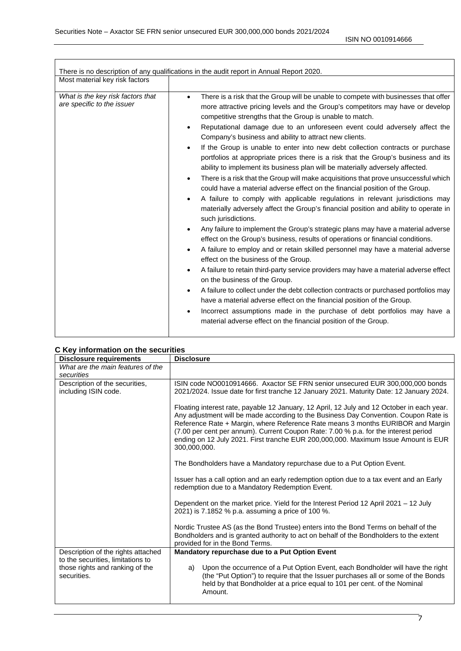|                                                                 | There is no description of any qualifications in the audit report in Annual Report 2020.                                                                                                                                                                                                                                                                                                                                                                                                                                                                                                                                                                                                                                                                                                                                                                                                                                                                                                                                                                                                                                                                                                                                                                                                                                                                                                                                                                                                                                                                                                                                                                                                                                                                                                                                                                                 |
|-----------------------------------------------------------------|--------------------------------------------------------------------------------------------------------------------------------------------------------------------------------------------------------------------------------------------------------------------------------------------------------------------------------------------------------------------------------------------------------------------------------------------------------------------------------------------------------------------------------------------------------------------------------------------------------------------------------------------------------------------------------------------------------------------------------------------------------------------------------------------------------------------------------------------------------------------------------------------------------------------------------------------------------------------------------------------------------------------------------------------------------------------------------------------------------------------------------------------------------------------------------------------------------------------------------------------------------------------------------------------------------------------------------------------------------------------------------------------------------------------------------------------------------------------------------------------------------------------------------------------------------------------------------------------------------------------------------------------------------------------------------------------------------------------------------------------------------------------------------------------------------------------------------------------------------------------------|
| Most material key risk factors                                  |                                                                                                                                                                                                                                                                                                                                                                                                                                                                                                                                                                                                                                                                                                                                                                                                                                                                                                                                                                                                                                                                                                                                                                                                                                                                                                                                                                                                                                                                                                                                                                                                                                                                                                                                                                                                                                                                          |
| What is the key risk factors that<br>are specific to the issuer | There is a risk that the Group will be unable to compete with businesses that offer<br>$\bullet$<br>more attractive pricing levels and the Group's competitors may have or develop<br>competitive strengths that the Group is unable to match.<br>Reputational damage due to an unforeseen event could adversely affect the<br>$\bullet$<br>Company's business and ability to attract new clients.<br>If the Group is unable to enter into new debt collection contracts or purchase<br>$\bullet$<br>portfolios at appropriate prices there is a risk that the Group's business and its<br>ability to implement its business plan will be materially adversely affected.<br>There is a risk that the Group will make acquisitions that prove unsuccessful which<br>$\bullet$<br>could have a material adverse effect on the financial position of the Group.<br>A failure to comply with applicable regulations in relevant jurisdictions may<br>$\bullet$<br>materially adversely affect the Group's financial position and ability to operate in<br>such jurisdictions.<br>Any failure to implement the Group's strategic plans may have a material adverse<br>$\bullet$<br>effect on the Group's business, results of operations or financial conditions.<br>A failure to employ and or retain skilled personnel may have a material adverse<br>$\bullet$<br>effect on the business of the Group.<br>A failure to retain third-party service providers may have a material adverse effect<br>$\bullet$<br>on the business of the Group.<br>A failure to collect under the debt collection contracts or purchased portfolios may<br>$\bullet$<br>have a material adverse effect on the financial position of the Group.<br>Incorrect assumptions made in the purchase of debt portfolios may have a<br>material adverse effect on the financial position of the Group. |

#### **C Key information on the securities**

| <b>Disclosure requirements</b>                                                      | <b>Disclosure</b>                                                                                                                                                                                                                                                                                                                                                                                                                                                  |
|-------------------------------------------------------------------------------------|--------------------------------------------------------------------------------------------------------------------------------------------------------------------------------------------------------------------------------------------------------------------------------------------------------------------------------------------------------------------------------------------------------------------------------------------------------------------|
| What are the main features of the                                                   |                                                                                                                                                                                                                                                                                                                                                                                                                                                                    |
| securities                                                                          |                                                                                                                                                                                                                                                                                                                                                                                                                                                                    |
| Description of the securities,                                                      | ISIN code NO0010914666. Axactor SE FRN senior unsecured EUR 300,000,000 bonds                                                                                                                                                                                                                                                                                                                                                                                      |
| including ISIN code.                                                                | 2021/2024. Issue date for first tranche 12 January 2021. Maturity Date: 12 January 2024.                                                                                                                                                                                                                                                                                                                                                                           |
|                                                                                     | Floating interest rate, payable 12 January, 12 April, 12 July and 12 October in each year.<br>Any adjustment will be made according to the Business Day Convention. Coupon Rate is<br>Reference Rate + Margin, where Reference Rate means 3 months EURIBOR and Margin<br>(7.00 per cent per annum). Current Coupon Rate: 7.00 % p.a. for the interest period<br>ending on 12 July 2021. First tranche EUR 200,000,000. Maximum Issue Amount is EUR<br>300,000,000. |
|                                                                                     | The Bondholders have a Mandatory repurchase due to a Put Option Event.                                                                                                                                                                                                                                                                                                                                                                                             |
|                                                                                     | Issuer has a call option and an early redemption option due to a tax event and an Early<br>redemption due to a Mandatory Redemption Event.                                                                                                                                                                                                                                                                                                                         |
|                                                                                     | Dependent on the market price. Yield for the Interest Period 12 April 2021 - 12 July<br>2021) is 7.1852 % p.a. assuming a price of 100 %.                                                                                                                                                                                                                                                                                                                          |
|                                                                                     | Nordic Trustee AS (as the Bond Trustee) enters into the Bond Terms on behalf of the<br>Bondholders and is granted authority to act on behalf of the Bondholders to the extent<br>provided for in the Bond Terms.                                                                                                                                                                                                                                                   |
| Description of the rights attached                                                  | Mandatory repurchase due to a Put Option Event                                                                                                                                                                                                                                                                                                                                                                                                                     |
| to the securities, limitations to<br>those rights and ranking of the<br>securities. | Upon the occurrence of a Put Option Event, each Bondholder will have the right<br>a)<br>(the "Put Option") to require that the Issuer purchases all or some of the Bonds<br>held by that Bondholder at a price equal to 101 per cent. of the Nominal<br>Amount.                                                                                                                                                                                                    |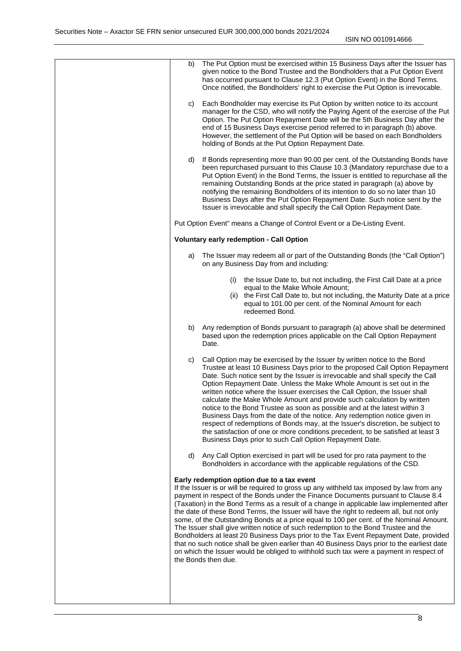| b) | The Put Option must be exercised within 15 Business Days after the Issuer has<br>given notice to the Bond Trustee and the Bondholders that a Put Option Event<br>has occurred pursuant to Clause 12.3 (Put Option Event) in the Bond Terms.<br>Once notified, the Bondholders' right to exercise the Put Option is irrevocable.                                                                                                                                                                                                                                                                                                                                                                                                                                                                                                                                                                                  |
|----|------------------------------------------------------------------------------------------------------------------------------------------------------------------------------------------------------------------------------------------------------------------------------------------------------------------------------------------------------------------------------------------------------------------------------------------------------------------------------------------------------------------------------------------------------------------------------------------------------------------------------------------------------------------------------------------------------------------------------------------------------------------------------------------------------------------------------------------------------------------------------------------------------------------|
| C) | Each Bondholder may exercise its Put Option by written notice to its account<br>manager for the CSD, who will notify the Paying Agent of the exercise of the Put<br>Option. The Put Option Repayment Date will be the 5th Business Day after the<br>end of 15 Business Days exercise period referred to in paragraph (b) above.<br>However, the settlement of the Put Option will be based on each Bondholders<br>holding of Bonds at the Put Option Repayment Date.                                                                                                                                                                                                                                                                                                                                                                                                                                             |
| d) | If Bonds representing more than 90.00 per cent. of the Outstanding Bonds have<br>been repurchased pursuant to this Clause 10.3 (Mandatory repurchase due to a<br>Put Option Event) in the Bond Terms, the Issuer is entitled to repurchase all the<br>remaining Outstanding Bonds at the price stated in paragraph (a) above by<br>notifying the remaining Bondholders of its intention to do so no later than 10<br>Business Days after the Put Option Repayment Date. Such notice sent by the<br>Issuer is irrevocable and shall specify the Call Option Repayment Date.                                                                                                                                                                                                                                                                                                                                       |
|    | Put Option Event" means a Change of Control Event or a De-Listing Event.                                                                                                                                                                                                                                                                                                                                                                                                                                                                                                                                                                                                                                                                                                                                                                                                                                         |
|    | Voluntary early redemption - Call Option                                                                                                                                                                                                                                                                                                                                                                                                                                                                                                                                                                                                                                                                                                                                                                                                                                                                         |
| a) | The Issuer may redeem all or part of the Outstanding Bonds (the "Call Option")<br>on any Business Day from and including:                                                                                                                                                                                                                                                                                                                                                                                                                                                                                                                                                                                                                                                                                                                                                                                        |
|    | (i) the Issue Date to, but not including, the First Call Date at a price<br>equal to the Make Whole Amount;<br>(ii) the First Call Date to, but not including, the Maturity Date at a price<br>equal to 101.00 per cent. of the Nominal Amount for each<br>redeemed Bond.                                                                                                                                                                                                                                                                                                                                                                                                                                                                                                                                                                                                                                        |
| b) | Any redemption of Bonds pursuant to paragraph (a) above shall be determined<br>based upon the redemption prices applicable on the Call Option Repayment<br>Date.                                                                                                                                                                                                                                                                                                                                                                                                                                                                                                                                                                                                                                                                                                                                                 |
| C) | Call Option may be exercised by the Issuer by written notice to the Bond<br>Trustee at least 10 Business Days prior to the proposed Call Option Repayment<br>Date. Such notice sent by the Issuer is irrevocable and shall specify the Call<br>Option Repayment Date. Unless the Make Whole Amount is set out in the<br>written notice where the Issuer exercises the Call Option, the Issuer shall<br>calculate the Make Whole Amount and provide such calculation by written<br>notice to the Bond Trustee as soon as possible and at the latest within 3<br>Business Days from the date of the notice. Any redemption notice given in<br>respect of redemptions of Bonds may, at the Issuer's discretion, be subject to<br>the satisfaction of one or more conditions precedent, to be satisfied at least 3<br>Business Days prior to such Call Option Repayment Date.                                        |
|    | d) Any Call Option exercised in part will be used for pro rata payment to the<br>Bondholders in accordance with the applicable regulations of the CSD.                                                                                                                                                                                                                                                                                                                                                                                                                                                                                                                                                                                                                                                                                                                                                           |
|    | Early redemption option due to a tax event<br>If the Issuer is or will be required to gross up any withheld tax imposed by law from any<br>payment in respect of the Bonds under the Finance Documents pursuant to Clause 8.4<br>(Taxation) in the Bond Terms as a result of a change in applicable law implemented after<br>the date of these Bond Terms, the Issuer will have the right to redeem all, but not only<br>some, of the Outstanding Bonds at a price equal to 100 per cent. of the Nominal Amount.<br>The Issuer shall give written notice of such redemption to the Bond Trustee and the<br>Bondholders at least 20 Business Days prior to the Tax Event Repayment Date, provided<br>that no such notice shall be given earlier than 40 Business Days prior to the earliest date<br>on which the Issuer would be obliged to withhold such tax were a payment in respect of<br>the Bonds then due. |
|    |                                                                                                                                                                                                                                                                                                                                                                                                                                                                                                                                                                                                                                                                                                                                                                                                                                                                                                                  |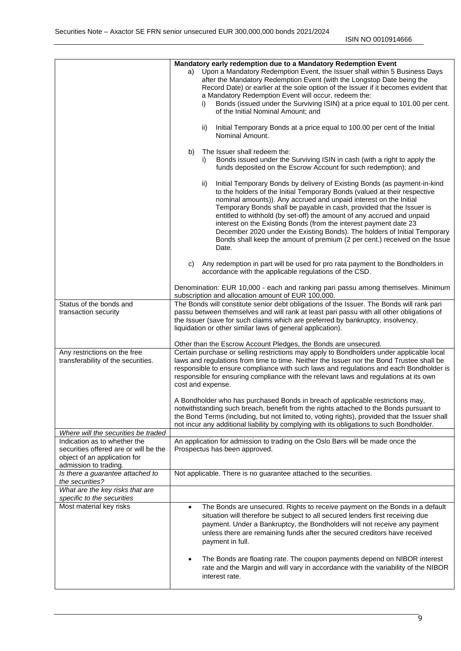|                                                                                                                                | Mandatory early redemption due to a Mandatory Redemption Event<br>Upon a Mandatory Redemption Event, the Issuer shall within 5 Business Days<br>a)<br>after the Mandatory Redemption Event (with the Longstop Date being the<br>Record Date) or earlier at the sole option of the Issuer if it becomes evident that<br>a Mandatory Redemption Event will occur, redeem the:<br>Bonds (issued under the Surviving ISIN) at a price equal to 101.00 per cent.<br>i)<br>of the Initial Nominal Amount; and                                                                                                                        |
|--------------------------------------------------------------------------------------------------------------------------------|--------------------------------------------------------------------------------------------------------------------------------------------------------------------------------------------------------------------------------------------------------------------------------------------------------------------------------------------------------------------------------------------------------------------------------------------------------------------------------------------------------------------------------------------------------------------------------------------------------------------------------|
|                                                                                                                                | Initial Temporary Bonds at a price equal to 100.00 per cent of the Initial<br>ii)<br>Nominal Amount.                                                                                                                                                                                                                                                                                                                                                                                                                                                                                                                           |
|                                                                                                                                | The Issuer shall redeem the:<br>b)<br>Bonds issued under the Surviving ISIN in cash (with a right to apply the<br>i)<br>funds deposited on the Escrow Account for such redemption); and                                                                                                                                                                                                                                                                                                                                                                                                                                        |
|                                                                                                                                | Initial Temporary Bonds by delivery of Existing Bonds (as payment-in-kind<br>ii)<br>to the holders of the Initial Temporary Bonds (valued at their respective<br>nominal amounts)). Any accrued and unpaid interest on the Initial<br>Temporary Bonds shall be payable in cash, provided that the Issuer is<br>entitled to withhold (by set-off) the amount of any accrued and unpaid<br>interest on the Existing Bonds (from the interest payment date 23<br>December 2020 under the Existing Bonds). The holders of Initial Temporary<br>Bonds shall keep the amount of premium (2 per cent.) received on the Issue<br>Date. |
|                                                                                                                                | Any redemption in part will be used for pro rata payment to the Bondholders in<br>C)<br>accordance with the applicable regulations of the CSD.                                                                                                                                                                                                                                                                                                                                                                                                                                                                                 |
|                                                                                                                                | Denomination: EUR 10,000 - each and ranking pari passu among themselves. Minimum<br>subscription and allocation amount of EUR 100,000.                                                                                                                                                                                                                                                                                                                                                                                                                                                                                         |
| Status of the bonds and<br>transaction security                                                                                | The Bonds will constitute senior debt obligations of the Issuer. The Bonds will rank pari<br>passu between themselves and will rank at least pari passu with all other obligations of<br>the Issuer (save for such claims which are preferred by bankruptcy, insolvency,<br>liquidation or other similar laws of general application).                                                                                                                                                                                                                                                                                         |
|                                                                                                                                | Other than the Escrow Account Pledges, the Bonds are unsecured.                                                                                                                                                                                                                                                                                                                                                                                                                                                                                                                                                                |
| Any restrictions on the free<br>transferability of the securities.                                                             | Certain purchase or selling restrictions may apply to Bondholders under applicable local<br>laws and regulations from time to time. Neither the Issuer nor the Bond Trustee shall be<br>responsible to ensure compliance with such laws and regulations and each Bondholder is<br>responsible for ensuring compliance with the relevant laws and regulations at its own<br>cost and expense.<br>A Bondholder who has purchased Bonds in breach of applicable restrictions may,                                                                                                                                                 |
|                                                                                                                                | notwithstanding such breach, benefit from the rights attached to the Bonds pursuant to<br>the Bond Terms (including, but not limited to, voting rights), provided that the Issuer shall<br>not incur any additional liability by complying with its obligations to such Bondholder.                                                                                                                                                                                                                                                                                                                                            |
| Where will the securities be traded                                                                                            |                                                                                                                                                                                                                                                                                                                                                                                                                                                                                                                                                                                                                                |
| Indication as to whether the<br>securities offered are or will be the<br>object of an application for<br>admission to trading. | An application for admission to trading on the Oslo Børs will be made once the<br>Prospectus has been approved.                                                                                                                                                                                                                                                                                                                                                                                                                                                                                                                |
| Is there a guarantee attached to<br>the securities?                                                                            | Not applicable. There is no guarantee attached to the securities.                                                                                                                                                                                                                                                                                                                                                                                                                                                                                                                                                              |
| What are the key risks that are<br>specific to the securities                                                                  |                                                                                                                                                                                                                                                                                                                                                                                                                                                                                                                                                                                                                                |
| Most material key risks                                                                                                        | The Bonds are unsecured. Rights to receive payment on the Bonds in a default<br>$\bullet$<br>situation will therefore be subject to all secured lenders first receiving due<br>payment. Under a Bankruptcy, the Bondholders will not receive any payment<br>unless there are remaining funds after the secured creditors have received<br>payment in full.                                                                                                                                                                                                                                                                     |
|                                                                                                                                | The Bonds are floating rate. The coupon payments depend on NIBOR interest<br>$\bullet$<br>rate and the Margin and will vary in accordance with the variability of the NIBOR<br>interest rate.                                                                                                                                                                                                                                                                                                                                                                                                                                  |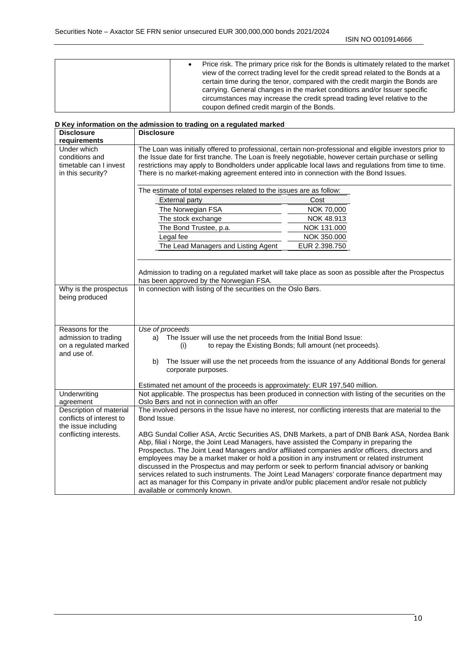|  | Price risk. The primary price risk for the Bonds is ultimately related to the market<br>view of the correct trading level for the credit spread related to the Bonds at a<br>certain time during the tenor, compared with the credit margin the Bonds are<br>carrying. General changes in the market conditions and/or Issuer specific |
|--|----------------------------------------------------------------------------------------------------------------------------------------------------------------------------------------------------------------------------------------------------------------------------------------------------------------------------------------|
|  | circumstances may increase the credit spread trading level relative to the<br>coupon defined credit margin of the Bonds.                                                                                                                                                                                                               |

|                                      | D Key information on the admission to trading on a regulated marked                                                                                   |  |  |
|--------------------------------------|-------------------------------------------------------------------------------------------------------------------------------------------------------|--|--|
| <b>Disclosure</b>                    | <b>Disclosure</b>                                                                                                                                     |  |  |
| requirements                         |                                                                                                                                                       |  |  |
| Under which                          | The Loan was initially offered to professional, certain non-professional and eligible investors prior to                                              |  |  |
| conditions and                       | the Issue date for first tranche. The Loan is freely negotiable, however certain purchase or selling                                                  |  |  |
| timetable can I invest               | restrictions may apply to Bondholders under applicable local laws and regulations from time to time.                                                  |  |  |
| in this security?                    | There is no market-making agreement entered into in connection with the Bond Issues.                                                                  |  |  |
|                                      | The estimate of total expenses related to the issues are as follow:                                                                                   |  |  |
|                                      | <b>External party</b><br>Cost                                                                                                                         |  |  |
|                                      | The Norwegian FSA<br>NOK 70,000                                                                                                                       |  |  |
|                                      | NOK 48.913<br>The stock exchange                                                                                                                      |  |  |
|                                      | NOK 131.000<br>The Bond Trustee, p.a.                                                                                                                 |  |  |
|                                      | NOK 350.000<br>Legal fee                                                                                                                              |  |  |
|                                      | The Lead Managers and Listing Agent<br>EUR 2.398.750                                                                                                  |  |  |
|                                      |                                                                                                                                                       |  |  |
|                                      |                                                                                                                                                       |  |  |
|                                      | Admission to trading on a regulated market will take place as soon as possible after the Prospectus                                                   |  |  |
|                                      | has been approved by the Norwegian FSA.                                                                                                               |  |  |
| Why is the prospectus                | In connection with listing of the securities on the Oslo Børs.                                                                                        |  |  |
| being produced                       |                                                                                                                                                       |  |  |
|                                      |                                                                                                                                                       |  |  |
|                                      |                                                                                                                                                       |  |  |
| Reasons for the                      | Use of proceeds                                                                                                                                       |  |  |
| admission to trading                 | a) The Issuer will use the net proceeds from the Initial Bond Issue:                                                                                  |  |  |
| on a regulated marked                | to repay the Existing Bonds; full amount (net proceeds).<br>(i)                                                                                       |  |  |
| and use of.                          |                                                                                                                                                       |  |  |
|                                      | The Issuer will use the net proceeds from the issuance of any Additional Bonds for general<br>b)                                                      |  |  |
|                                      | corporate purposes.                                                                                                                                   |  |  |
|                                      |                                                                                                                                                       |  |  |
|                                      | Estimated net amount of the proceeds is approximately: EUR 197,540 million.                                                                           |  |  |
| Underwriting                         | Not applicable. The prospectus has been produced in connection with listing of the securities on the<br>Oslo Børs and not in connection with an offer |  |  |
| agreement<br>Description of material | The involved persons in the Issue have no interest, nor conflicting interests that are material to the                                                |  |  |
| conflicts of interest to             | Bond Issue.                                                                                                                                           |  |  |
| the issue including                  |                                                                                                                                                       |  |  |
| conflicting interests.               | ABG Sundal Collier ASA, Arctic Securities AS, DNB Markets, a part of DNB Bank ASA, Nordea Bank                                                        |  |  |
|                                      | Abp, filial i Norge, the Joint Lead Managers, have assisted the Company in preparing the                                                              |  |  |
|                                      | Prospectus. The Joint Lead Managers and/or affiliated companies and/or officers, directors and                                                        |  |  |
|                                      | employees may be a market maker or hold a position in any instrument or related instrument                                                            |  |  |
|                                      | discussed in the Prospectus and may perform or seek to perform financial advisory or banking                                                          |  |  |
|                                      | services related to such instruments. The Joint Lead Managers' corporate finance department may                                                       |  |  |
|                                      | act as manager for this Company in private and/or public placement and/or resale not publicly                                                         |  |  |
|                                      | available or commonly known.                                                                                                                          |  |  |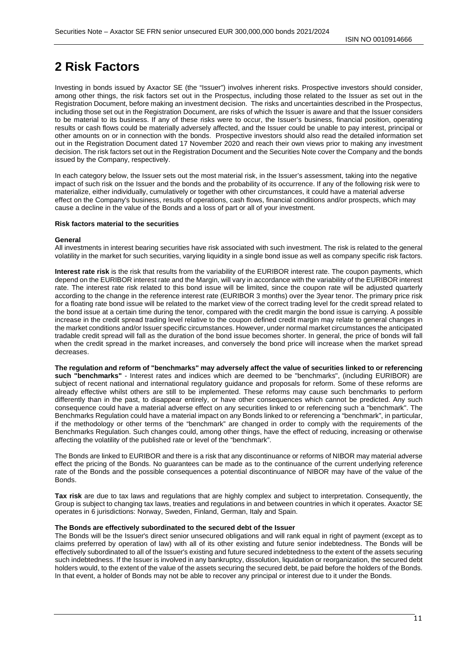## <span id="page-10-0"></span>**2 Risk Factors**

Investing in bonds issued by Axactor SE (the "Issuer") involves inherent risks. Prospective investors should consider, among other things, the risk factors set out in the Prospectus, including those related to the Issuer as set out in the Registration Document, before making an investment decision. The risks and uncertainties described in the Prospectus, including those set out in the Registration Document, are risks of which the Issuer is aware and that the Issuer considers to be material to its business. If any of these risks were to occur, the Issuer's business, financial position, operating results or cash flows could be materially adversely affected, and the Issuer could be unable to pay interest, principal or other amounts on or in connection with the bonds. Prospective investors should also read the detailed information set out in the Registration Document dated 17 November 2020 and reach their own views prior to making any investment decision. The risk factors set out in the Registration Document and the Securities Note cover the Company and the bonds issued by the Company, respectively.

In each category below, the Issuer sets out the most material risk, in the Issuer's assessment, taking into the negative impact of such risk on the Issuer and the bonds and the probability of its occurrence. If any of the following risk were to materialize, either individually, cumulatively or together with other circumstances, it could have a material adverse effect on the Company's business, results of operations, cash flows, financial conditions and/or prospects, which may cause a decline in the value of the Bonds and a loss of part or all of your investment.

#### **Risk factors material to the securities**

#### **General**

All investments in interest bearing securities have risk associated with such investment. The risk is related to the general volatility in the market for such securities, varying liquidity in a single bond issue as well as company specific risk factors.

**Interest rate risk** is the risk that results from the variability of the EURIBOR interest rate. The coupon payments, which depend on the EURIBOR interest rate and the Margin, will vary in accordance with the variability of the EURIBOR interest rate. The interest rate risk related to this bond issue will be limited, since the coupon rate will be adjusted quarterly according to the change in the reference interest rate (EURIBOR 3 months) over the 3year tenor. The primary price risk for a floating rate bond issue will be related to the market view of the correct trading level for the credit spread related to the bond issue at a certain time during the tenor, compared with the credit margin the bond issue is carrying. A possible increase in the credit spread trading level relative to the coupon defined credit margin may relate to general changes in the market conditions and/or Issuer specific circumstances. However, under normal market circumstances the anticipated tradable credit spread will fall as the duration of the bond issue becomes shorter. In general, the price of bonds will fall when the credit spread in the market increases, and conversely the bond price will increase when the market spread decreases.

**The regulation and reform of "benchmarks" may adversely affect the value of securities linked to or referencing such "benchmarks"** - Interest rates and indices which are deemed to be "benchmarks", (including EURIBOR) are subject of recent national and international regulatory guidance and proposals for reform. Some of these reforms are already effective whilst others are still to be implemented. These reforms may cause such benchmarks to perform differently than in the past, to disappear entirely, or have other consequences which cannot be predicted. Any such consequence could have a material adverse effect on any securities linked to or referencing such a "benchmark". The Benchmarks Regulation could have a material impact on any Bonds linked to or referencing a "benchmark", in particular, if the methodology or other terms of the "benchmark" are changed in order to comply with the requirements of the Benchmarks Regulation. Such changes could, among other things, have the effect of reducing, increasing or otherwise affecting the volatility of the published rate or level of the "benchmark".

The Bonds are linked to EURIBOR and there is a risk that any discontinuance or reforms of NIBOR may material adverse effect the pricing of the Bonds. No guarantees can be made as to the continuance of the current underlying reference rate of the Bonds and the possible consequences a potential discontinuance of NIBOR may have of the value of the Bonds.

**Tax risk** are due to tax laws and regulations that are highly complex and subject to interpretation. Consequently, the Group is subject to changing tax laws, treaties and regulations in and between countries in which it operates. Axactor SE operates in 6 jurisdictions: Norway, Sweden, Finland, German, Italy and Spain.

#### **The Bonds are effectively subordinated to the secured debt of the Issuer**

The Bonds will be the Issuer's direct senior unsecured obligations and will rank equal in right of payment (except as to claims preferred by operation of law) with all of its other existing and future senior indebtedness. The Bonds will be effectively subordinated to all of the Issuer's existing and future secured indebtedness to the extent of the assets securing such indebtedness. If the Issuer is involved in any bankruptcy, dissolution, liquidation or reorganization, the secured debt holders would, to the extent of the value of the assets securing the secured debt, be paid before the holders of the Bonds. In that event, a holder of Bonds may not be able to recover any principal or interest due to it under the Bonds.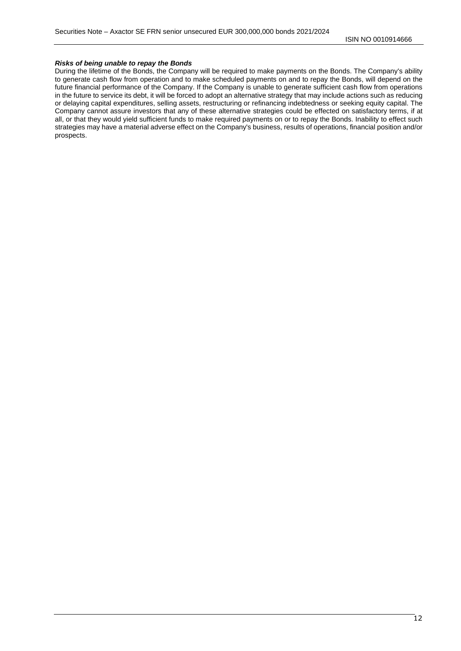#### *Risks of being unable to repay the Bonds*

During the lifetime of the Bonds, the Company will be required to make payments on the Bonds. The Company's ability to generate cash flow from operation and to make scheduled payments on and to repay the Bonds, will depend on the future financial performance of the Company. If the Company is unable to generate sufficient cash flow from operations in the future to service its debt, it will be forced to adopt an alternative strategy that may include actions such as reducing or delaying capital expenditures, selling assets, restructuring or refinancing indebtedness or seeking equity capital. The Company cannot assure investors that any of these alternative strategies could be effected on satisfactory terms, if at all, or that they would yield sufficient funds to make required payments on or to repay the Bonds. Inability to effect such strategies may have a material adverse effect on the Company's business, results of operations, financial position and/or prospects.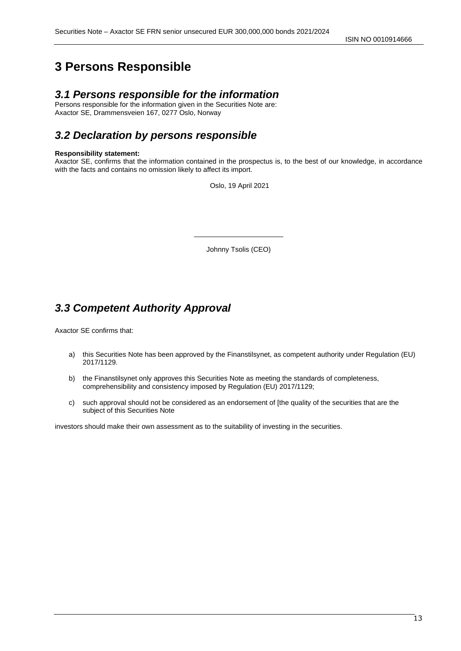## <span id="page-12-0"></span>**3 Persons Responsible**

## *3.1 Persons responsible for the information*

Persons responsible for the information given in the Securities Note are: Axactor SE, Drammensveien 167, 0277 Oslo, Norway

## *3.2 Declaration by persons responsible*

#### **Responsibility statement:**

Axactor SE, confirms that the information contained in the prospectus is, to the best of our knowledge, in accordance with the facts and contains no omission likely to affect its import.

Oslo, 19 April 2021

Johnny Tsolis (CEO)

\_\_\_\_\_\_\_\_\_\_\_\_\_\_\_\_\_\_\_\_\_\_\_

## *3.3 Competent Authority Approval*

Axactor SE confirms that:

- a) this Securities Note has been approved by the Finanstilsynet, as competent authority under Regulation (EU) 2017/1129.
- b) the Finanstilsynet only approves this Securities Note as meeting the standards of completeness, comprehensibility and consistency imposed by Regulation (EU) 2017/1129;
- c) such approval should not be considered as an endorsement of [the quality of the securities that are the subject of this Securities Note

investors should make their own assessment as to the suitability of investing in the securities.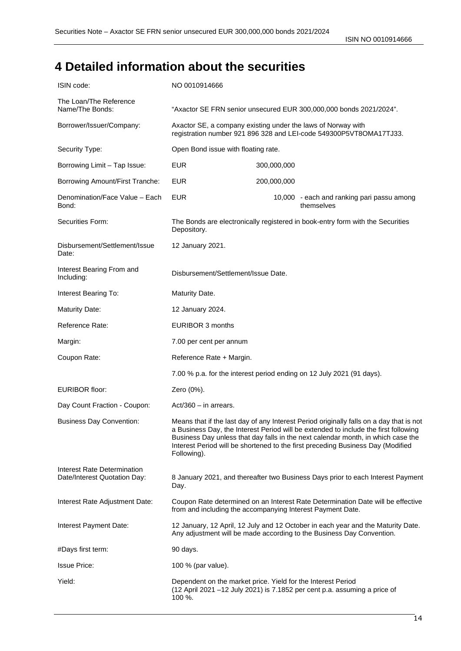ISIN NO 0010914666

## **4 Detailed information about the securities**

| ISIN code:                                                  | NO 0010914666                                                                                                                                             |             |                                                                                                                                                                                                                                                                                                                                                       |
|-------------------------------------------------------------|-----------------------------------------------------------------------------------------------------------------------------------------------------------|-------------|-------------------------------------------------------------------------------------------------------------------------------------------------------------------------------------------------------------------------------------------------------------------------------------------------------------------------------------------------------|
| The Loan/The Reference<br>Name/The Bonds:                   | "Axactor SE FRN senior unsecured EUR 300,000,000 bonds 2021/2024".                                                                                        |             |                                                                                                                                                                                                                                                                                                                                                       |
| Borrower/Issuer/Company:                                    | Axactor SE, a company existing under the laws of Norway with<br>registration number 921 896 328 and LEI-code 549300P5VT8OMA17TJ33.                        |             |                                                                                                                                                                                                                                                                                                                                                       |
| Security Type:                                              | Open Bond issue with floating rate.                                                                                                                       |             |                                                                                                                                                                                                                                                                                                                                                       |
| Borrowing Limit - Tap Issue:                                | <b>EUR</b>                                                                                                                                                | 300,000,000 |                                                                                                                                                                                                                                                                                                                                                       |
| Borrowing Amount/First Tranche:                             | <b>EUR</b>                                                                                                                                                | 200,000,000 |                                                                                                                                                                                                                                                                                                                                                       |
| Denomination/Face Value - Each<br>Bond:                     | EUR                                                                                                                                                       |             | 10,000 - each and ranking pari passu among<br>themselves                                                                                                                                                                                                                                                                                              |
| Securities Form:                                            | The Bonds are electronically registered in book-entry form with the Securities<br>Depository.                                                             |             |                                                                                                                                                                                                                                                                                                                                                       |
| Disbursement/Settlement/Issue<br>Date:                      | 12 January 2021.                                                                                                                                          |             |                                                                                                                                                                                                                                                                                                                                                       |
| Interest Bearing From and<br>Including:                     | Disbursement/Settlement/Issue Date.                                                                                                                       |             |                                                                                                                                                                                                                                                                                                                                                       |
| Interest Bearing To:                                        | Maturity Date.                                                                                                                                            |             |                                                                                                                                                                                                                                                                                                                                                       |
| <b>Maturity Date:</b>                                       | 12 January 2024.                                                                                                                                          |             |                                                                                                                                                                                                                                                                                                                                                       |
| Reference Rate:                                             | EURIBOR 3 months                                                                                                                                          |             |                                                                                                                                                                                                                                                                                                                                                       |
| Margin:                                                     | 7.00 per cent per annum                                                                                                                                   |             |                                                                                                                                                                                                                                                                                                                                                       |
| Coupon Rate:                                                | Reference Rate + Margin.                                                                                                                                  |             |                                                                                                                                                                                                                                                                                                                                                       |
|                                                             | 7.00 % p.a. for the interest period ending on 12 July 2021 (91 days).                                                                                     |             |                                                                                                                                                                                                                                                                                                                                                       |
| <b>EURIBOR floor:</b>                                       | Zero (0%).                                                                                                                                                |             |                                                                                                                                                                                                                                                                                                                                                       |
| Day Count Fraction - Coupon:                                | $Act/360 - in arrest.$                                                                                                                                    |             |                                                                                                                                                                                                                                                                                                                                                       |
| <b>Business Day Convention:</b>                             | Following).                                                                                                                                               |             | Means that if the last day of any Interest Period originally falls on a day that is not<br>a Business Day, the Interest Period will be extended to include the first following<br>Business Day unless that day falls in the next calendar month, in which case the<br>Interest Period will be shortened to the first preceding Business Day (Modified |
| Interest Rate Determination<br>Date/Interest Quotation Day: | 8 January 2021, and thereafter two Business Days prior to each Interest Payment<br>Day.                                                                   |             |                                                                                                                                                                                                                                                                                                                                                       |
| Interest Rate Adjustment Date:                              | Coupon Rate determined on an Interest Rate Determination Date will be effective<br>from and including the accompanying Interest Payment Date.             |             |                                                                                                                                                                                                                                                                                                                                                       |
| Interest Payment Date:                                      | 12 January, 12 April, 12 July and 12 October in each year and the Maturity Date.<br>Any adjustment will be made according to the Business Day Convention. |             |                                                                                                                                                                                                                                                                                                                                                       |
| #Days first term:                                           | 90 days.                                                                                                                                                  |             |                                                                                                                                                                                                                                                                                                                                                       |
| <b>Issue Price:</b>                                         | 100 % (par value).                                                                                                                                        |             |                                                                                                                                                                                                                                                                                                                                                       |
| Yield:                                                      | Dependent on the market price. Yield for the Interest Period<br>100 %.                                                                                    |             | (12 April 2021 -12 July 2021) is 7.1852 per cent p.a. assuming a price of                                                                                                                                                                                                                                                                             |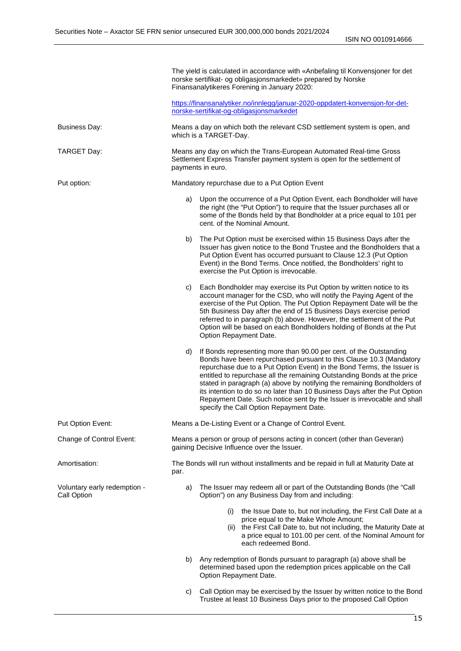|                                             | The yield is calculated in accordance with «Anbefaling til Konvensjoner for det<br>norske sertifikat- og obligasjonsmarkedet» prepared by Norske<br>Finansanalytikeres Forening in January 2020:                                                                                                                                                                                                                                                                                                                                                                                    |
|---------------------------------------------|-------------------------------------------------------------------------------------------------------------------------------------------------------------------------------------------------------------------------------------------------------------------------------------------------------------------------------------------------------------------------------------------------------------------------------------------------------------------------------------------------------------------------------------------------------------------------------------|
|                                             | https://finansanalytiker.no/innlegg/januar-2020-oppdatert-konvensjon-for-det-<br>norske-sertifikat-og-obligasjonsmarkedet                                                                                                                                                                                                                                                                                                                                                                                                                                                           |
| Business Day:                               | Means a day on which both the relevant CSD settlement system is open, and<br>which is a TARGET-Day.                                                                                                                                                                                                                                                                                                                                                                                                                                                                                 |
| TARGET Day:                                 | Means any day on which the Trans-European Automated Real-time Gross<br>Settlement Express Transfer payment system is open for the settlement of<br>payments in euro.                                                                                                                                                                                                                                                                                                                                                                                                                |
| Put option:                                 | Mandatory repurchase due to a Put Option Event                                                                                                                                                                                                                                                                                                                                                                                                                                                                                                                                      |
|                                             | Upon the occurrence of a Put Option Event, each Bondholder will have<br>a)<br>the right (the "Put Option") to require that the Issuer purchases all or<br>some of the Bonds held by that Bondholder at a price equal to 101 per<br>cent. of the Nominal Amount.                                                                                                                                                                                                                                                                                                                     |
|                                             | The Put Option must be exercised within 15 Business Days after the<br>b)<br>Issuer has given notice to the Bond Trustee and the Bondholders that a<br>Put Option Event has occurred pursuant to Clause 12.3 (Put Option<br>Event) in the Bond Terms. Once notified, the Bondholders' right to<br>exercise the Put Option is irrevocable.                                                                                                                                                                                                                                            |
|                                             | Each Bondholder may exercise its Put Option by written notice to its<br>C)<br>account manager for the CSD, who will notify the Paying Agent of the<br>exercise of the Put Option. The Put Option Repayment Date will be the<br>5th Business Day after the end of 15 Business Days exercise period<br>referred to in paragraph (b) above. However, the settlement of the Put<br>Option will be based on each Bondholders holding of Bonds at the Put<br>Option Repayment Date.                                                                                                       |
|                                             | If Bonds representing more than 90.00 per cent. of the Outstanding<br>d)<br>Bonds have been repurchased pursuant to this Clause 10.3 (Mandatory<br>repurchase due to a Put Option Event) in the Bond Terms, the Issuer is<br>entitled to repurchase all the remaining Outstanding Bonds at the price<br>stated in paragraph (a) above by notifying the remaining Bondholders of<br>its intention to do so no later than 10 Business Days after the Put Option<br>Repayment Date. Such notice sent by the Issuer is irrevocable and shall<br>specify the Call Option Repayment Date. |
| Put Option Event:                           | Means a De-Listing Event or a Change of Control Event.                                                                                                                                                                                                                                                                                                                                                                                                                                                                                                                              |
| Change of Control Event:                    | Means a person or group of persons acting in concert (other than Geveran)<br>gaining Decisive Influence over the Issuer.                                                                                                                                                                                                                                                                                                                                                                                                                                                            |
| Amortisation:                               | The Bonds will run without installments and be repaid in full at Maturity Date at<br>par.                                                                                                                                                                                                                                                                                                                                                                                                                                                                                           |
| Voluntary early redemption -<br>Call Option | The Issuer may redeem all or part of the Outstanding Bonds (the "Call<br>a)<br>Option") on any Business Day from and including:                                                                                                                                                                                                                                                                                                                                                                                                                                                     |
|                                             | the Issue Date to, but not including, the First Call Date at a<br>(i)<br>price equal to the Make Whole Amount;<br>(ii) the First Call Date to, but not including, the Maturity Date at<br>a price equal to 101.00 per cent. of the Nominal Amount for<br>each redeemed Bond.                                                                                                                                                                                                                                                                                                        |
|                                             | b) Any redemption of Bonds pursuant to paragraph (a) above shall be<br>determined based upon the redemption prices applicable on the Call<br>Option Repayment Date.                                                                                                                                                                                                                                                                                                                                                                                                                 |
|                                             | Call Option may be exercised by the Issuer by written notice to the Bond<br>C)<br>Trustee at least 10 Business Days prior to the proposed Call Option                                                                                                                                                                                                                                                                                                                                                                                                                               |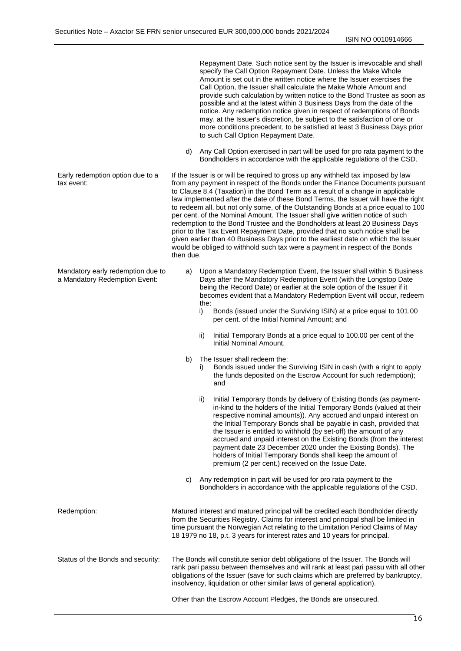Repayment Date. Such notice sent by the Issuer is irrevocable and shall specify the Call Option Repayment Date. Unless the Make Whole Amount is set out in the written notice where the Issuer exercises the Call Option, the Issuer shall calculate the Make Whole Amount and provide such calculation by written notice to the Bond Trustee as soon as possible and at the latest within 3 Business Days from the date of the notice. Any redemption notice given in respect of redemptions of Bonds may, at the Issuer's discretion, be subject to the satisfaction of one or more conditions precedent, to be satisfied at least 3 Business Days prior to such Call Option Repayment Date.

d) Any Call Option exercised in part will be used for pro rata payment to the Bondholders in accordance with the applicable regulations of the CSD.

If the Issuer is or will be required to gross up any withheld tax imposed by law from any payment in respect of the Bonds under the Finance Documents pursuant to Clause 8.4 (Taxation) in the Bond Term as a result of a change in applicable law implemented after the date of these Bond Terms, the Issuer will have the right to redeem all, but not only some, of the Outstanding Bonds at a price equal to 100 per cent. of the Nominal Amount. The Issuer shall give written notice of such redemption to the Bond Trustee and the Bondholders at least 20 Business Days prior to the Tax Event Repayment Date, provided that no such notice shall be given earlier than 40 Business Days prior to the earliest date on which the Issuer would be obliged to withhold such tax were a payment in respect of the Bonds then due.

- a) Upon a Mandatory Redemption Event, the Issuer shall within 5 Business Days after the Mandatory Redemption Event (with the Longstop Date being the Record Date) or earlier at the sole option of the Issuer if it becomes evident that a Mandatory Redemption Event will occur, redeem the:
	- i) Bonds (issued under the Surviving ISIN) at a price equal to 101.00 per cent. of the Initial Nominal Amount; and
	- ii) Initial Temporary Bonds at a price equal to 100.00 per cent of the Initial Nominal Amount.
- b) The Issuer shall redeem the:
	- Bonds issued under the Surviving ISIN in cash (with a right to apply the funds deposited on the Escrow Account for such redemption); and
	- ii) Initial Temporary Bonds by delivery of Existing Bonds (as paymentin-kind to the holders of the Initial Temporary Bonds (valued at their respective nominal amounts)). Any accrued and unpaid interest on the Initial Temporary Bonds shall be payable in cash, provided that the Issuer is entitled to withhold (by set-off) the amount of any accrued and unpaid interest on the Existing Bonds (from the interest payment date 23 December 2020 under the Existing Bonds). The holders of Initial Temporary Bonds shall keep the amount of premium (2 per cent.) received on the Issue Date.
- c) Any redemption in part will be used for pro rata payment to the Bondholders in accordance with the applicable regulations of the CSD.

Redemption: Matured interest and matured principal will be credited each Bondholder directly from the Securities Registry. Claims for interest and principal shall be limited in time pursuant the Norwegian Act relating to the Limitation Period Claims of May 18 1979 no 18, p.t. 3 years for interest rates and 10 years for principal.

Status of the Bonds and security: The Bonds will constitute senior debt obligations of the Issuer. The Bonds will rank pari passu between themselves and will rank at least pari passu with all other obligations of the Issuer (save for such claims which are preferred by bankruptcy, insolvency, liquidation or other similar laws of general application).

Other than the Escrow Account Pledges, the Bonds are unsecured.

Early redemption option due to a tax event:

Mandatory early redemption due to a Mandatory Redemption Event: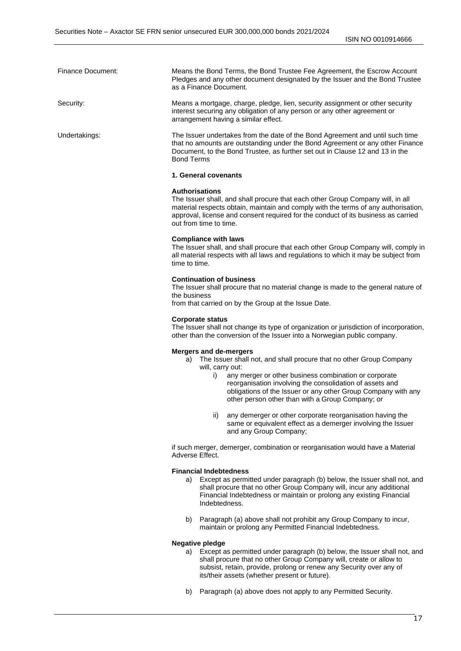| Finance Document: | Means the Bond Terms, the Bond Trustee Fee Agreement, the Escrow Account<br>Pledges and any other document designated by the Issuer and the Bond Trustee<br>as a Finance Document.                                                                                  |
|-------------------|---------------------------------------------------------------------------------------------------------------------------------------------------------------------------------------------------------------------------------------------------------------------|
| Security:         | Means a mortgage, charge, pledge, lien, security assignment or other security<br>interest securing any obligation of any person or any other agreement or<br>arrangement having a similar effect.                                                                   |
| Undertakings:     | The Issuer undertakes from the date of the Bond Agreement and until such time<br>that no amounts are outstanding under the Bond Agreement or any other Finance<br>Document, to the Bond Trustee, as further set out in Clause 12 and 13 in the<br><b>Bond Terms</b> |

#### **1. General covenants**

#### **Authorisations**

The Issuer shall, and shall procure that each other Group Company will, in all material respects obtain, maintain and comply with the terms of any authorisation, approval, license and consent required for the conduct of its business as carried out from time to time.

#### **Compliance with laws**

The Issuer shall, and shall procure that each other Group Company will, comply in all material respects with all laws and regulations to which it may be subject from time to time.

#### **Continuation of business**

The Issuer shall procure that no material change is made to the general nature of the business

from that carried on by the Group at the Issue Date.

#### **Corporate status**

The Issuer shall not change its type of organization or jurisdiction of incorporation, other than the conversion of the Issuer into a Norwegian public company.

#### **Mergers and de-mergers**

- a) The Issuer shall not, and shall procure that no other Group Company will, carry out:
	- i) any merger or other business combination or corporate reorganisation involving the consolidation of assets and obligations of the Issuer or any other Group Company with any other person other than with a Group Company; or
	- ii) any demerger or other corporate reorganisation having the same or equivalent effect as a demerger involving the Issuer and any Group Company;

if such merger, demerger, combination or reorganisation would have a Material Adverse Effect.

#### **Financial Indebtedness**

- a) Except as permitted under paragraph (b) below, the Issuer shall not, and shall procure that no other Group Company will, incur any additional Financial Indebtedness or maintain or prolong any existing Financial Indebtedness.
- b) Paragraph (a) above shall not prohibit any Group Company to incur, maintain or prolong any Permitted Financial Indebtedness.

#### **Negative pledge**

- a) Except as permitted under paragraph (b) below, the Issuer shall not, and shall procure that no other Group Company will, create or allow to subsist, retain, provide, prolong or renew any Security over any of its/their assets (whether present or future).
- b) Paragraph (a) above does not apply to any Permitted Security.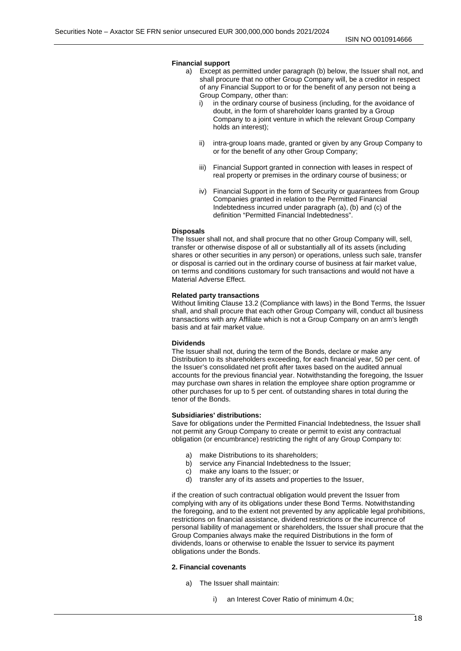#### **Financial support**

- a) Except as permitted under paragraph (b) below, the Issuer shall not, and shall procure that no other Group Company will, be a creditor in respect of any Financial Support to or for the benefit of any person not being a Group Company, other than:
	- i) in the ordinary course of business (including, for the avoidance of doubt, in the form of shareholder loans granted by a Group Company to a joint venture in which the relevant Group Company holds an interest);
	- ii) intra-group loans made, granted or given by any Group Company to or for the benefit of any other Group Company;
	- iii) Financial Support granted in connection with leases in respect of real property or premises in the ordinary course of business; or
	- iv) Financial Support in the form of Security or guarantees from Group Companies granted in relation to the Permitted Financial Indebtedness incurred under paragraph (a), (b) and (c) of the definition "Permitted Financial Indebtedness".

#### **Disposals**

The Issuer shall not, and shall procure that no other Group Company will, sell, transfer or otherwise dispose of all or substantially all of its assets (including shares or other securities in any person) or operations, unless such sale, transfer or disposal is carried out in the ordinary course of business at fair market value, on terms and conditions customary for such transactions and would not have a Material Adverse Effect.

#### **Related party transactions**

Without limiting Clause 13.2 (Compliance with laws) in the Bond Terms, the Issuer shall, and shall procure that each other Group Company will, conduct all business transactions with any Affiliate which is not a Group Company on an arm's length basis and at fair market value.

#### **Dividends**

The Issuer shall not, during the term of the Bonds, declare or make any Distribution to its shareholders exceeding, for each financial year, 50 per cent. of the Issuer's consolidated net profit after taxes based on the audited annual accounts for the previous financial year. Notwithstanding the foregoing, the Issuer may purchase own shares in relation the employee share option programme or other purchases for up to 5 per cent. of outstanding shares in total during the tenor of the Bonds.

#### **Subsidiaries' distributions:**

Save for obligations under the Permitted Financial Indebtedness, the Issuer shall not permit any Group Company to create or permit to exist any contractual obligation (or encumbrance) restricting the right of any Group Company to:

- a) make Distributions to its shareholders;
- b) service any Financial Indebtedness to the Issuer;
- c) make any loans to the Issuer; or
- d) transfer any of its assets and properties to the Issuer,

if the creation of such contractual obligation would prevent the Issuer from complying with any of its obligations under these Bond Terms. Notwithstanding the foregoing, and to the extent not prevented by any applicable legal prohibitions, restrictions on financial assistance, dividend restrictions or the incurrence of personal liability of management or shareholders, the Issuer shall procure that the Group Companies always make the required Distributions in the form of dividends, loans or otherwise to enable the Issuer to service its payment obligations under the Bonds.

#### **2. Financial covenants**

- a) The Issuer shall maintain:
	- i) an Interest Cover Ratio of minimum 4.0x;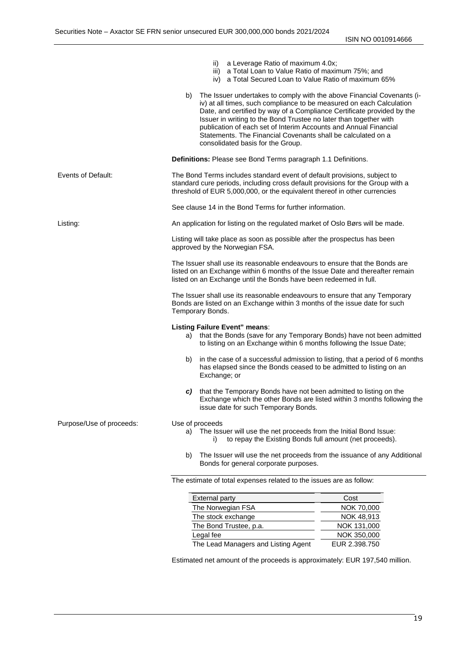|                           | ii) a Leverage Ratio of maximum 4.0x;<br>iii) a Total Loan to Value Ratio of maximum 75%; and<br>iv) a Total Secured Loan to Value Ratio of maximum 65%                                                                                                                                                                                                                                                                                                                      |               |
|---------------------------|------------------------------------------------------------------------------------------------------------------------------------------------------------------------------------------------------------------------------------------------------------------------------------------------------------------------------------------------------------------------------------------------------------------------------------------------------------------------------|---------------|
|                           | The Issuer undertakes to comply with the above Financial Covenants (i-<br>b)<br>iv) at all times, such compliance to be measured on each Calculation<br>Date, and certified by way of a Compliance Certificate provided by the<br>Issuer in writing to the Bond Trustee no later than together with<br>publication of each set of Interim Accounts and Annual Financial<br>Statements. The Financial Covenants shall be calculated on a<br>consolidated basis for the Group. |               |
|                           | Definitions: Please see Bond Terms paragraph 1.1 Definitions.                                                                                                                                                                                                                                                                                                                                                                                                                |               |
| <b>Events of Default:</b> | The Bond Terms includes standard event of default provisions, subject to<br>standard cure periods, including cross default provisions for the Group with a<br>threshold of EUR 5,000,000, or the equivalent thereof in other currencies                                                                                                                                                                                                                                      |               |
|                           | See clause 14 in the Bond Terms for further information.                                                                                                                                                                                                                                                                                                                                                                                                                     |               |
| Listing:                  | An application for listing on the regulated market of Oslo Børs will be made.                                                                                                                                                                                                                                                                                                                                                                                                |               |
|                           | Listing will take place as soon as possible after the prospectus has been<br>approved by the Norwegian FSA.                                                                                                                                                                                                                                                                                                                                                                  |               |
|                           | The Issuer shall use its reasonable endeavours to ensure that the Bonds are<br>listed on an Exchange within 6 months of the Issue Date and thereafter remain<br>listed on an Exchange until the Bonds have been redeemed in full.                                                                                                                                                                                                                                            |               |
|                           | The Issuer shall use its reasonable endeavours to ensure that any Temporary<br>Bonds are listed on an Exchange within 3 months of the issue date for such<br>Temporary Bonds.                                                                                                                                                                                                                                                                                                |               |
|                           | <b>Listing Failure Event" means:</b><br>a) that the Bonds (save for any Temporary Bonds) have not been admitted<br>to listing on an Exchange within 6 months following the Issue Date;                                                                                                                                                                                                                                                                                       |               |
|                           | in the case of a successful admission to listing, that a period of 6 months<br>b)<br>has elapsed since the Bonds ceased to be admitted to listing on an<br>Exchange; or                                                                                                                                                                                                                                                                                                      |               |
|                           | that the Temporary Bonds have not been admitted to listing on the<br>C)<br>Exchange which the other Bonds are listed within 3 months following the<br>issue date for such Temporary Bonds.                                                                                                                                                                                                                                                                                   |               |
| Purpose/Use of proceeds:  | Use of proceeds<br>The Issuer will use the net proceeds from the Initial Bond Issue:<br>a)<br>to repay the Existing Bonds full amount (net proceeds).<br>i)                                                                                                                                                                                                                                                                                                                  |               |
|                           | The Issuer will use the net proceeds from the issuance of any Additional<br>b)<br>Bonds for general corporate purposes.                                                                                                                                                                                                                                                                                                                                                      |               |
|                           | The estimate of total expenses related to the issues are as follow:                                                                                                                                                                                                                                                                                                                                                                                                          |               |
|                           | <b>External party</b>                                                                                                                                                                                                                                                                                                                                                                                                                                                        | Cost          |
|                           | The Norwegian FSA                                                                                                                                                                                                                                                                                                                                                                                                                                                            | NOK 70,000    |
|                           | The stock exchange                                                                                                                                                                                                                                                                                                                                                                                                                                                           | NOK 48,913    |
|                           | The Bond Trustee, p.a.                                                                                                                                                                                                                                                                                                                                                                                                                                                       | NOK 131,000   |
|                           | Legal fee                                                                                                                                                                                                                                                                                                                                                                                                                                                                    | NOK 350,000   |
|                           | The Lead Managers and Listing Agent                                                                                                                                                                                                                                                                                                                                                                                                                                          | EUR 2.398.750 |

Estimated net amount of the proceeds is approximately: EUR 197,540 million.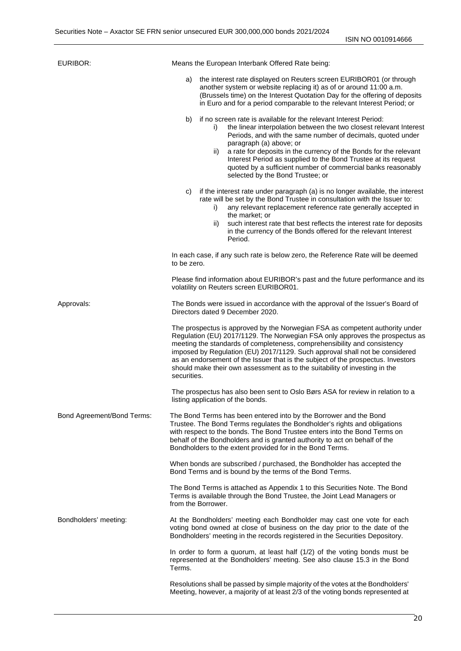| EURIBOR:                   | Means the European Interbank Offered Rate being:                                                                                                                                                                                                                                                                                                                                                                                                                                                         |
|----------------------------|----------------------------------------------------------------------------------------------------------------------------------------------------------------------------------------------------------------------------------------------------------------------------------------------------------------------------------------------------------------------------------------------------------------------------------------------------------------------------------------------------------|
|                            | the interest rate displayed on Reuters screen EURIBOR01 (or through<br>a)<br>another system or website replacing it) as of or around 11:00 a.m.<br>(Brussels time) on the Interest Quotation Day for the offering of deposits<br>in Euro and for a period comparable to the relevant Interest Period; or                                                                                                                                                                                                 |
|                            | if no screen rate is available for the relevant Interest Period:<br>b)<br>the linear interpolation between the two closest relevant Interest<br>i)<br>Periods, and with the same number of decimals, quoted under<br>paragraph (a) above; or<br>a rate for deposits in the currency of the Bonds for the relevant<br>ii)<br>Interest Period as supplied to the Bond Trustee at its request<br>quoted by a sufficient number of commercial banks reasonably<br>selected by the Bond Trustee; or           |
|                            | if the interest rate under paragraph (a) is no longer available, the interest<br>C)<br>rate will be set by the Bond Trustee in consultation with the Issuer to:<br>any relevant replacement reference rate generally accepted in<br>i)<br>the market; or<br>such interest rate that best reflects the interest rate for deposits<br>ii)<br>in the currency of the Bonds offered for the relevant Interest<br>Period.                                                                                     |
|                            | In each case, if any such rate is below zero, the Reference Rate will be deemed<br>to be zero.                                                                                                                                                                                                                                                                                                                                                                                                           |
|                            | Please find information about EURIBOR's past and the future performance and its<br>volatility on Reuters screen EURIBOR01.                                                                                                                                                                                                                                                                                                                                                                               |
| Approvals:                 | The Bonds were issued in accordance with the approval of the Issuer's Board of<br>Directors dated 9 December 2020.                                                                                                                                                                                                                                                                                                                                                                                       |
|                            | The prospectus is approved by the Norwegian FSA as competent authority under<br>Regulation (EU) 2017/1129. The Norwegian FSA only approves the prospectus as<br>meeting the standards of completeness, comprehensibility and consistency<br>imposed by Regulation (EU) 2017/1129. Such approval shall not be considered<br>as an endorsement of the Issuer that is the subject of the prospectus. Investors<br>should make their own assessment as to the suitability of investing in the<br>securities. |
|                            | The prospectus has also been sent to Oslo Børs ASA for review in relation to a<br>listing application of the bonds.                                                                                                                                                                                                                                                                                                                                                                                      |
| Bond Agreement/Bond Terms: | The Bond Terms has been entered into by the Borrower and the Bond<br>Trustee. The Bond Terms regulates the Bondholder's rights and obligations<br>with respect to the bonds. The Bond Trustee enters into the Bond Terms on<br>behalf of the Bondholders and is granted authority to act on behalf of the<br>Bondholders to the extent provided for in the Bond Terms.                                                                                                                                   |
|                            | When bonds are subscribed / purchased, the Bondholder has accepted the<br>Bond Terms and is bound by the terms of the Bond Terms.                                                                                                                                                                                                                                                                                                                                                                        |
|                            | The Bond Terms is attached as Appendix 1 to this Securities Note. The Bond<br>Terms is available through the Bond Trustee, the Joint Lead Managers or<br>from the Borrower.                                                                                                                                                                                                                                                                                                                              |
| Bondholders' meeting:      | At the Bondholders' meeting each Bondholder may cast one vote for each<br>voting bond owned at close of business on the day prior to the date of the<br>Bondholders' meeting in the records registered in the Securities Depository.                                                                                                                                                                                                                                                                     |
|                            | In order to form a quorum, at least half (1/2) of the voting bonds must be<br>represented at the Bondholders' meeting. See also clause 15.3 in the Bond<br>Terms.                                                                                                                                                                                                                                                                                                                                        |
|                            | Resolutions shall be passed by simple majority of the votes at the Bondholders'<br>Meeting, however, a majority of at least 2/3 of the voting bonds represented at                                                                                                                                                                                                                                                                                                                                       |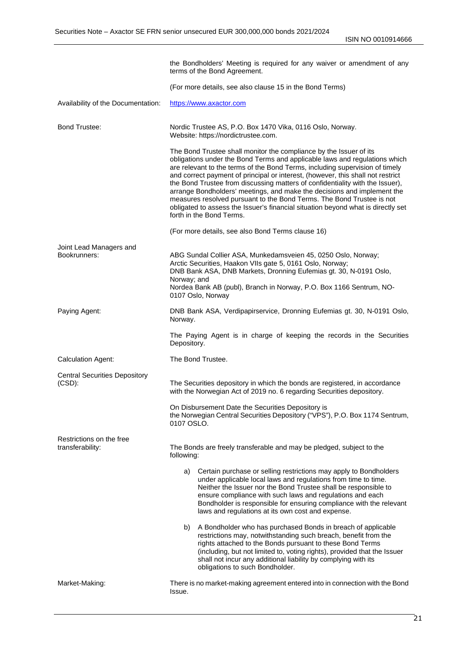ISIN NO 0010914666

|                                                   | the Bondholders' Meeting is required for any waiver or amendment of any<br>terms of the Bond Agreement.                                                                                                                                                                                                                                                                                                                                                                                                                                                                                                                                                                  |
|---------------------------------------------------|--------------------------------------------------------------------------------------------------------------------------------------------------------------------------------------------------------------------------------------------------------------------------------------------------------------------------------------------------------------------------------------------------------------------------------------------------------------------------------------------------------------------------------------------------------------------------------------------------------------------------------------------------------------------------|
|                                                   | (For more details, see also clause 15 in the Bond Terms)                                                                                                                                                                                                                                                                                                                                                                                                                                                                                                                                                                                                                 |
| Availability of the Documentation:                | https://www.axactor.com                                                                                                                                                                                                                                                                                                                                                                                                                                                                                                                                                                                                                                                  |
| <b>Bond Trustee:</b>                              | Nordic Trustee AS, P.O. Box 1470 Vika, 0116 Oslo, Norway.<br>Website: https://nordictrustee.com.                                                                                                                                                                                                                                                                                                                                                                                                                                                                                                                                                                         |
|                                                   | The Bond Trustee shall monitor the compliance by the Issuer of its<br>obligations under the Bond Terms and applicable laws and regulations which<br>are relevant to the terms of the Bond Terms, including supervision of timely<br>and correct payment of principal or interest, (however, this shall not restrict<br>the Bond Trustee from discussing matters of confidentiality with the Issuer),<br>arrange Bondholders' meetings, and make the decisions and implement the<br>measures resolved pursuant to the Bond Terms. The Bond Trustee is not<br>obligated to assess the Issuer's financial situation beyond what is directly set<br>forth in the Bond Terms. |
|                                                   | (For more details, see also Bond Terms clause 16)                                                                                                                                                                                                                                                                                                                                                                                                                                                                                                                                                                                                                        |
| Joint Lead Managers and<br>Bookrunners:           | ABG Sundal Collier ASA, Munkedamsveien 45, 0250 Oslo, Norway;<br>Arctic Securities, Haakon VIIs gate 5, 0161 Oslo, Norway;<br>DNB Bank ASA, DNB Markets, Dronning Eufemias gt. 30, N-0191 Oslo,<br>Norway; and<br>Nordea Bank AB (publ), Branch in Norway, P.O. Box 1166 Sentrum, NO-<br>0107 Oslo, Norway                                                                                                                                                                                                                                                                                                                                                               |
| Paying Agent:                                     | DNB Bank ASA, Verdipapirservice, Dronning Eufemias gt. 30, N-0191 Oslo,<br>Norway.                                                                                                                                                                                                                                                                                                                                                                                                                                                                                                                                                                                       |
|                                                   | The Paying Agent is in charge of keeping the records in the Securities<br>Depository.                                                                                                                                                                                                                                                                                                                                                                                                                                                                                                                                                                                    |
| <b>Calculation Agent:</b>                         | The Bond Trustee.                                                                                                                                                                                                                                                                                                                                                                                                                                                                                                                                                                                                                                                        |
| <b>Central Securities Depository</b><br>$(CSD)$ : | The Securities depository in which the bonds are registered, in accordance<br>with the Norwegian Act of 2019 no. 6 regarding Securities depository.<br>On Disbursement Date the Securities Depository is                                                                                                                                                                                                                                                                                                                                                                                                                                                                 |
|                                                   | the Norwegian Central Securities Depository ("VPS"), P.O. Box 1174 Sentrum,<br>0107 OSLO.                                                                                                                                                                                                                                                                                                                                                                                                                                                                                                                                                                                |
| Restrictions on the free<br>transferability:      | The Bonds are freely transferable and may be pledged, subject to the<br>following:                                                                                                                                                                                                                                                                                                                                                                                                                                                                                                                                                                                       |
|                                                   | Certain purchase or selling restrictions may apply to Bondholders<br>a)<br>under applicable local laws and regulations from time to time.<br>Neither the Issuer nor the Bond Trustee shall be responsible to<br>ensure compliance with such laws and regulations and each<br>Bondholder is responsible for ensuring compliance with the relevant<br>laws and regulations at its own cost and expense.                                                                                                                                                                                                                                                                    |
|                                                   | A Bondholder who has purchased Bonds in breach of applicable<br>b)<br>restrictions may, notwithstanding such breach, benefit from the<br>rights attached to the Bonds pursuant to these Bond Terms<br>(including, but not limited to, voting rights), provided that the Issuer<br>shall not incur any additional liability by complying with its<br>obligations to such Bondholder.                                                                                                                                                                                                                                                                                      |
| Market-Making:                                    | There is no market-making agreement entered into in connection with the Bond<br>Issue.                                                                                                                                                                                                                                                                                                                                                                                                                                                                                                                                                                                   |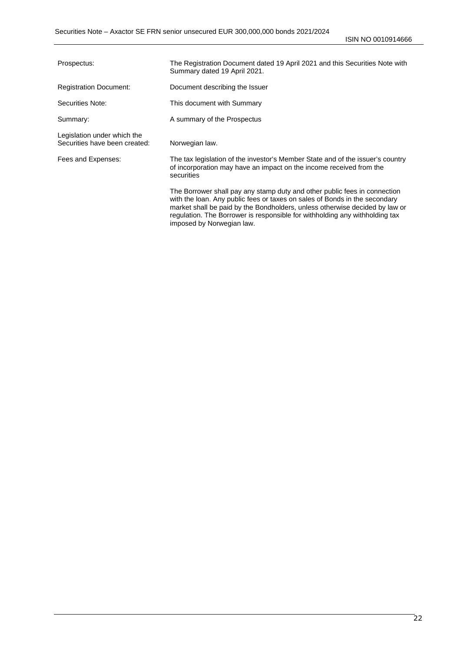ISIN NO 0010914666

| Prospectus:                                                  | The Registration Document dated 19 April 2021 and this Securities Note with<br>Summary dated 19 April 2021.                                                                                                                                                                                                           |
|--------------------------------------------------------------|-----------------------------------------------------------------------------------------------------------------------------------------------------------------------------------------------------------------------------------------------------------------------------------------------------------------------|
| <b>Registration Document:</b>                                | Document describing the Issuer                                                                                                                                                                                                                                                                                        |
| <b>Securities Note:</b>                                      | This document with Summary                                                                                                                                                                                                                                                                                            |
| Summary:                                                     | A summary of the Prospectus                                                                                                                                                                                                                                                                                           |
| Legislation under which the<br>Securities have been created: | Norwegian law.                                                                                                                                                                                                                                                                                                        |
| Fees and Expenses:                                           | The tax legislation of the investor's Member State and of the issuer's country<br>of incorporation may have an impact on the income received from the<br>securities                                                                                                                                                   |
|                                                              | The Borrower shall pay any stamp duty and other public fees in connection<br>with the loan. Any public fees or taxes on sales of Bonds in the secondary<br>market shall be paid by the Bondholders, unless otherwise decided by law or<br>regulation. The Borrower is responsible for withholding any withholding tax |

imposed by Norwegian law.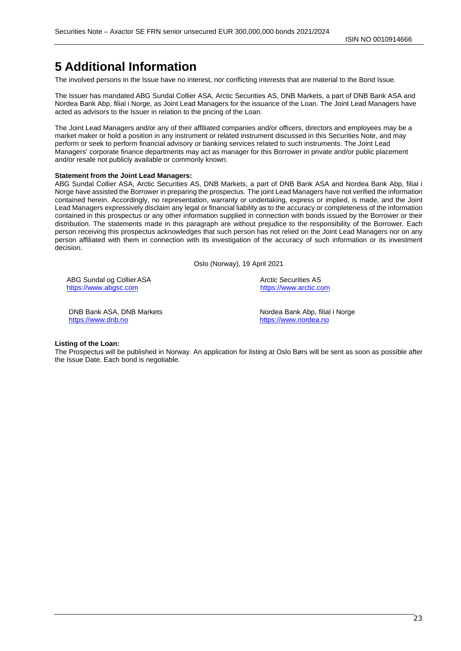## <span id="page-22-0"></span>**5 Additional Information**

The involved persons in the Issue have no interest, nor conflicting interests that are material to the Bond Issue.

The Issuer has mandated ABG Sundal Collier ASA, Arctic Securities AS, DNB Markets, a part of DNB Bank ASA and Nordea Bank Abp, filial i Norge, as Joint Lead Managers for the issuance of the Loan. The Joint Lead Managers have acted as advisors to the Issuer in relation to the pricing of the Loan.

The Joint Lead Managers and/or any of their affiliated companies and/or officers, directors and employees may be a market maker or hold a position in any instrument or related instrument discussed in this Securities Note, and may perform or seek to perform financial advisory or banking services related to such instruments. The Joint Lead Managers' corporate finance departments may act as manager for this Borrower in private and/or public placement and/or resale not publicly available or commonly known.

#### **Statement from the Joint Lead Managers:**

ABG Sundal Collier ASA, Arctic Securities AS, DNB Markets, a part of DNB Bank ASA and Nordea Bank Abp, filial i Norge have assisted the Borrower in preparing the prospectus. The joint Lead Managers have not verified the information contained herein. Accordingly, no representation, warranty or undertaking, express or implied, is made, and the Joint Lead Managers expressively disclaim any legal or financial liability as to the accuracy or completeness of the information contained in this prospectus or any other information supplied in connection with bonds issued by the Borrower or their distribution. The statements made in this paragraph are without prejudice to the responsibility of the Borrower. Each person receiving this prospectus acknowledges that such person has not relied on the Joint Lead Managers nor on any person affiliated with them in connection with its investigation of the accuracy of such information or its investment decision.

Oslo (Norway), 19 April 2021

ABG Sundal og Collier ASA Arctic Securities AS [https://www.abgsc.com](https://www.abgsc.com/) [https://www.arctic.com](https://www.arctic.com/) https://www.arctic.com

DNB Bank ASA, DNB Markets **Nordea Bank Abp, filial i Norge**<br>
https://www.dnb.no<br>
https://www.nordea.no

[https://www.nordea.no](https://www.nordea.no/)

#### **Listing of the Loan:**

The Prospectus will be published in Norway. An application for listing at Oslo Børs will be sent as soon as possible after the Issue Date. Each bond is negotiable.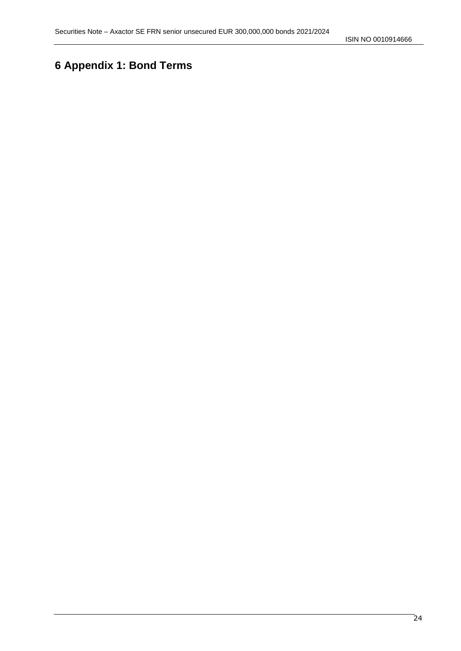## <span id="page-23-0"></span>**6 Appendix 1: Bond Terms**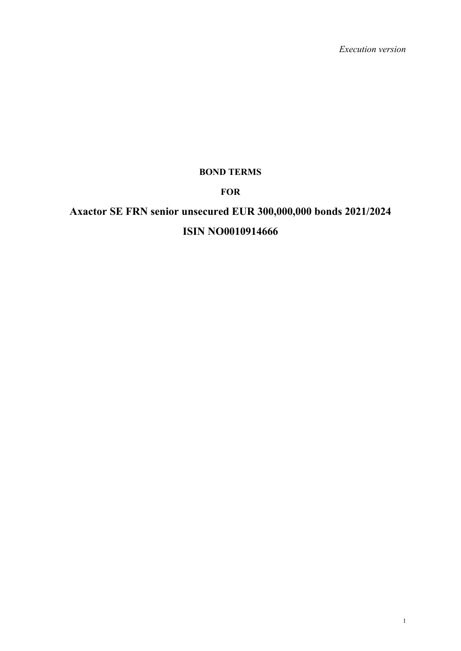*Execution version* 

## **BOND TERMS**

## **FOR**

# **Axactor SE FRN senior unsecured EUR 300,000,000 bonds 2021/2024 ISIN NO0010914666**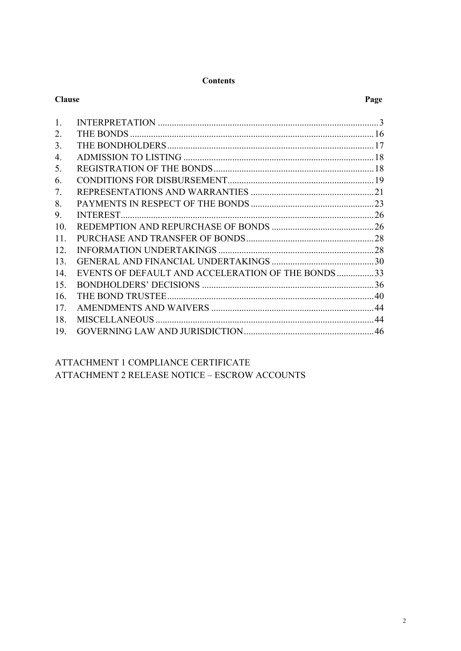#### **Contents**

|     | <b>Clause</b>                                      |  |
|-----|----------------------------------------------------|--|
| 1.  |                                                    |  |
| 2.  |                                                    |  |
| 3.  |                                                    |  |
| 4.  |                                                    |  |
| 5.  |                                                    |  |
| 6.  |                                                    |  |
| 7.  |                                                    |  |
| 8.  |                                                    |  |
| 9.  |                                                    |  |
| 10. |                                                    |  |
| 11. |                                                    |  |
| 12. |                                                    |  |
| 13. |                                                    |  |
| 14. | EVENTS OF DEFAULT AND ACCELERATION OF THE BONDS 33 |  |
| 15. |                                                    |  |
| 16. |                                                    |  |
| 17. |                                                    |  |
| 18. |                                                    |  |
| 19. |                                                    |  |
|     |                                                    |  |

## ATTACHMENT 1 COMPLIANCE CERTIFICATE ATTACHMENT 2 RELEASE NOTICE – ESCROW ACCOUNTS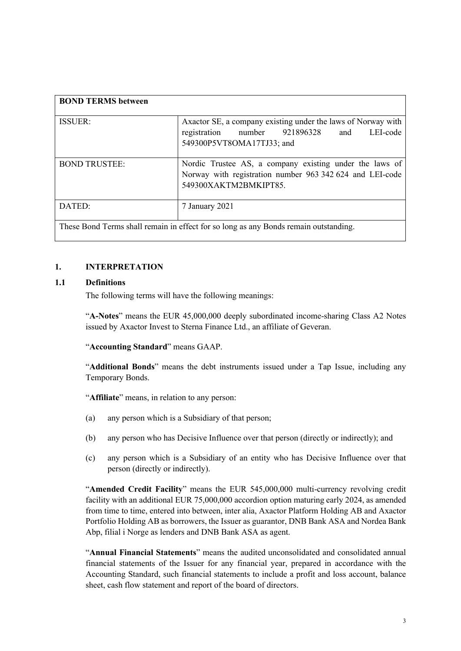| <b>BOND TERMS between</b>                                                            |                                                                                                                                              |  |
|--------------------------------------------------------------------------------------|----------------------------------------------------------------------------------------------------------------------------------------------|--|
| <b>ISSUER:</b>                                                                       | Axactor SE, a company existing under the laws of Norway with<br>registration number 921896328 and<br>LEI-code<br>549300P5VT8OMA17TJ33; and   |  |
| <b>BOND TRUSTEE:</b>                                                                 | Nordic Trustee AS, a company existing under the laws of<br>Norway with registration number 963 342 624 and LEI-code<br>549300XAKTM2BMKIPT85. |  |
| DATED:                                                                               | 7 January 2021                                                                                                                               |  |
| These Bond Terms shall remain in effect for so long as any Bonds remain outstanding. |                                                                                                                                              |  |

#### **1. INTERPRETATION**

### **1.1 Definitions**

<span id="page-26-0"></span>The following terms will have the following meanings:

"**A-Notes**" means the EUR 45,000,000 deeply subordinated income-sharing Class A2 Notes issued by Axactor Invest to Sterna Finance Ltd., an affiliate of Geveran.

#### "**Accounting Standard**" means GAAP.

"**Additional Bonds**" means the debt instruments issued under a Tap Issue, including any Temporary Bonds.

"**Affiliate**" means, in relation to any person:

- (a) any person which is a Subsidiary of that person;
- (b) any person who has Decisive Influence over that person (directly or indirectly); and
- (c) any person which is a Subsidiary of an entity who has Decisive Influence over that person (directly or indirectly).

"**Amended Credit Facility**" means the EUR 545,000,000 multi-currency revolving credit facility with an additional EUR 75,000,000 accordion option maturing early 2024, as amended from time to time, entered into between, inter alia, Axactor Platform Holding AB and Axactor Portfolio Holding AB as borrowers, the Issuer as guarantor, DNB Bank ASA and Nordea Bank Abp, filial i Norge as lenders and DNB Bank ASA as agent.

"**Annual Financial Statements**" means the audited unconsolidated and consolidated annual financial statements of the Issuer for any financial year, prepared in accordance with the Accounting Standard, such financial statements to include a profit and loss account, balance sheet, cash flow statement and report of the board of directors.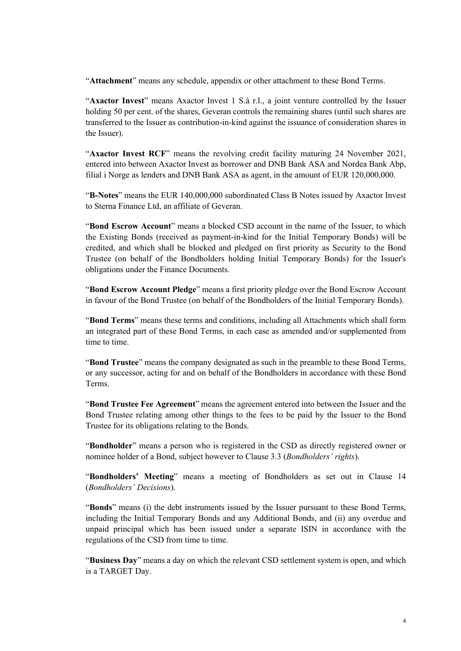"**Attachment**" means any schedule, appendix or other attachment to these Bond Terms.

"**Axactor Invest**" means Axactor Invest 1 S.à r.l., a joint venture controlled by the Issuer holding 50 per cent. of the shares, Geveran controls the remaining shares (until such shares are transferred to the Issuer as contribution-in-kind against the issuance of consideration shares in the Issuer).

"**Axactor Invest RCF**" means the revolving credit facility maturing 24 November 2021, entered into between Axactor Invest as borrower and DNB Bank ASA and Nordea Bank Abp, filial i Norge as lenders and DNB Bank ASA as agent, in the amount of EUR 120,000,000.

"**B-Notes**" means the EUR 140,000,000 subordinated Class B Notes issued by Axactor Invest to Sterna Finance Ltd, an affiliate of Geveran.

"**Bond Escrow Account**" means a blocked CSD account in the name of the Issuer, to which the Existing Bonds (received as payment-in-kind for the Initial Temporary Bonds) will be credited, and which shall be blocked and pledged on first priority as Security to the Bond Trustee (on behalf of the Bondholders holding Initial Temporary Bonds) for the Issuer's obligations under the Finance Documents.

"**Bond Escrow Account Pledge**" means a first priority pledge over the Bond Escrow Account in favour of the Bond Trustee (on behalf of the Bondholders of the Initial Temporary Bonds).

"**Bond Terms**" means these terms and conditions, including all Attachments which shall form an integrated part of these Bond Terms, in each case as amended and/or supplemented from time to time.

"**Bond Trustee**" means the company designated as such in the preamble to these Bond Terms, or any successor, acting for and on behalf of the Bondholders in accordance with these Bond Terms.

"**Bond Trustee Fee Agreement**" means the agreement entered into between the Issuer and the Bond Trustee relating among other things to the fees to be paid by the Issuer to the Bond Trustee for its obligations relating to the Bonds.

"**Bondholder**" means a person who is registered in the CSD as directly registered owner or nominee holder of a Bond, subject however to Clause [3.3](#page-41-2) (*Bondholders' rights*).

"**Bondholders' Meeting**" means a meeting of Bondholders as set out in Clause [14](#page-56-0) (*Bondholders' Decisions*).

"**Bonds**" means (i) the debt instruments issued by the Issuer pursuant to these Bond Terms, including the Initial Temporary Bonds and any Additional Bonds, and (ii) any overdue and unpaid principal which has been issued under a separate ISIN in accordance with the regulations of the CSD from time to time.

"**Business Day**" means a day on which the relevant CSD settlement system is open, and which is a TARGET Day.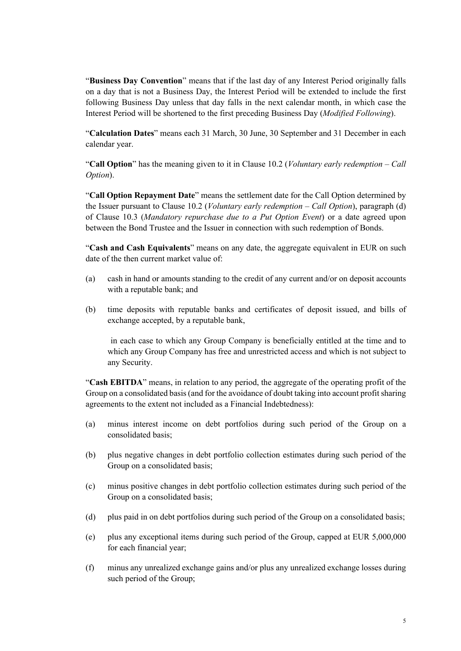"**Business Day Convention**" means that if the last day of any Interest Period originally falls on a day that is not a Business Day, the Interest Period will be extended to include the first following Business Day unless that day falls in the next calendar month, in which case the Interest Period will be shortened to the first preceding Business Day (*Modified Following*).

"**Calculation Dates**" means each 31 March, 30 June, 30 September and 31 December in each calendar year.

"**Call Option**" has the meaning given to it in Clause [10.2](#page-49-2) (*Voluntary early redemption – Call Option*).

"**Call Option Repayment Date**" means the settlement date for the Call Option determined by the Issuer pursuant to Clause [10.2](#page-49-2) (*Voluntary early redemption – Call Option*), paragraph (d) of Clause [10.3](#page-50-0) (*Mandatory repurchase due to a Put Option Event*) or a date agreed upon between the Bond Trustee and the Issuer in connection with such redemption of Bonds.

"**Cash and Cash Equivalents**" means on any date, the aggregate equivalent in EUR on such date of the then current market value of:

- (a) cash in hand or amounts standing to the credit of any current and/or on deposit accounts with a reputable bank; and
- (b) time deposits with reputable banks and certificates of deposit issued, and bills of exchange accepted, by a reputable bank,

in each case to which any Group Company is beneficially entitled at the time and to which any Group Company has free and unrestricted access and which is not subject to any Security.

"**Cash EBITDA**" means, in relation to any period, the aggregate of the operating profit of the Group on a consolidated basis (and for the avoidance of doubt taking into account profit sharing agreements to the extent not included as a Financial Indebtedness):

- (a) minus interest income on debt portfolios during such period of the Group on a consolidated basis;
- (b) plus negative changes in debt portfolio collection estimates during such period of the Group on a consolidated basis;
- (c) minus positive changes in debt portfolio collection estimates during such period of the Group on a consolidated basis;
- (d) plus paid in on debt portfolios during such period of the Group on a consolidated basis;
- (e) plus any exceptional items during such period of the Group, capped at EUR 5,000,000 for each financial year;
- (f) minus any unrealized exchange gains and/or plus any unrealized exchange losses during such period of the Group;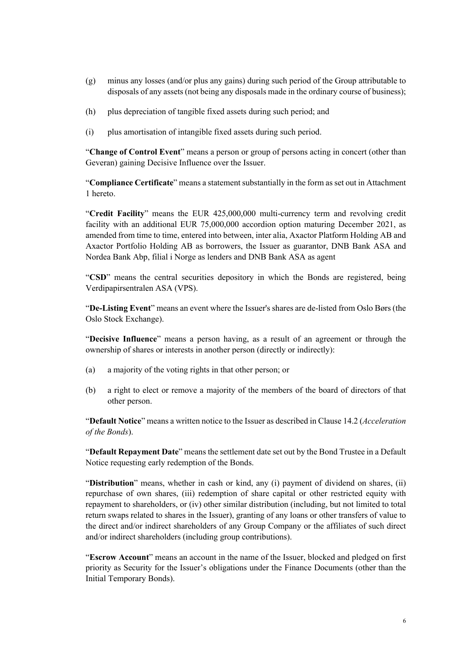- (g) minus any losses (and/or plus any gains) during such period of the Group attributable to disposals of any assets (not being any disposals made in the ordinary course of business);
- (h) plus depreciation of tangible fixed assets during such period; and
- (i) plus amortisation of intangible fixed assets during such period.

"**Change of Control Event**" means a person or group of persons acting in concert (other than Geveran) gaining Decisive Influence over the Issuer.

"**Compliance Certificate**" means a statement substantially in the form as set out in Attachment 1 hereto.

"**Credit Facility**" means the EUR 425,000,000 multi-currency term and revolving credit facility with an additional EUR 75,000,000 accordion option maturing December 2021, as amended from time to time, entered into between, inter alia, Axactor Platform Holding AB and Axactor Portfolio Holding AB as borrowers, the Issuer as guarantor, DNB Bank ASA and Nordea Bank Abp, filial i Norge as lenders and DNB Bank ASA as agent

"**CSD**" means the central securities depository in which the Bonds are registered, being Verdipapirsentralen ASA (VPS).

"**De-Listing Event**" means an event where the Issuer's shares are de-listed from Oslo Børs (the Oslo Stock Exchange).

"**Decisive Influence**" means a person having, as a result of an agreement or through the ownership of shares or interests in another person (directly or indirectly):

- (a) a majority of the voting rights in that other person; or
- (b) a right to elect or remove a majority of the members of the board of directors of that other person.

"**Default Notice**" means a written notice to the Issuer as described in Clause [14.2](#page-58-0) (*Acceleration of the Bonds*).

"**Default Repayment Date**" means the settlement date set out by the Bond Trustee in a Default Notice requesting early redemption of the Bonds.

"**Distribution**" means, whether in cash or kind, any (i) payment of dividend on shares, (ii) repurchase of own shares, (iii) redemption of share capital or other restricted equity with repayment to shareholders, or (iv) other similar distribution (including, but not limited to total return swaps related to shares in the Issuer), granting of any loans or other transfers of value to the direct and/or indirect shareholders of any Group Company or the affiliates of such direct and/or indirect shareholders (including group contributions).

"**Escrow Account**" means an account in the name of the Issuer, blocked and pledged on first priority as Security for the Issuer's obligations under the Finance Documents (other than the Initial Temporary Bonds).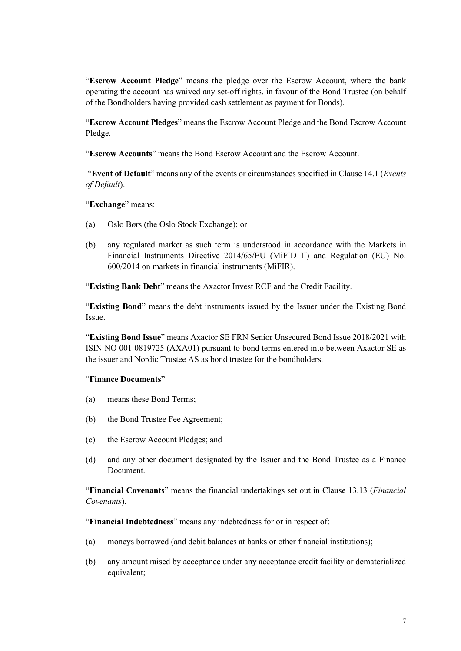"**Escrow Account Pledge**" means the pledge over the Escrow Account, where the bank operating the account has waived any set-off rights, in favour of the Bond Trustee (on behalf of the Bondholders having provided cash settlement as payment for Bonds).

"**Escrow Account Pledges**" means the Escrow Account Pledge and the Bond Escrow Account Pledge.

"**Escrow Accounts**" means the Bond Escrow Account and the Escrow Account.

"**Event of Default**" means any of the events or circumstances specified in Clause [14.1](#page-56-1) (*Events of Default*).

"**Exchange**" means:

- (a) Oslo Børs (the Oslo Stock Exchange); or
- (b) any regulated market as such term is understood in accordance with the Markets in Financial Instruments Directive 2014/65/EU (MiFID II) and Regulation (EU) No. 600/2014 on markets in financial instruments (MiFIR).

"**Existing Bank Debt**" means the Axactor Invest RCF and the Credit Facility.

"**Existing Bond**" means the debt instruments issued by the Issuer under the Existing Bond Issue.

"**Existing Bond Issue**" means Axactor SE FRN Senior Unsecured Bond Issue 2018/2021 with ISIN NO 001 0819725 (AXA01) pursuant to bond terms entered into between Axactor SE as the issuer and Nordic Trustee AS as bond trustee for the bondholders.

#### "**Finance Documents**"

- (a) means these Bond Terms;
- (b) the Bond Trustee Fee Agreement;
- (c) the Escrow Account Pledges; and
- (d) and any other document designated by the Issuer and the Bond Trustee as a Finance Document.

"**Financial Covenants**" means the financial undertakings set out in Clause 13.13 (*Financial Covenants*).

"**Financial Indebtedness**" means any indebtedness for or in respect of:

- (a) moneys borrowed (and debit balances at banks or other financial institutions);
- (b) any amount raised by acceptance under any acceptance credit facility or dematerialized equivalent;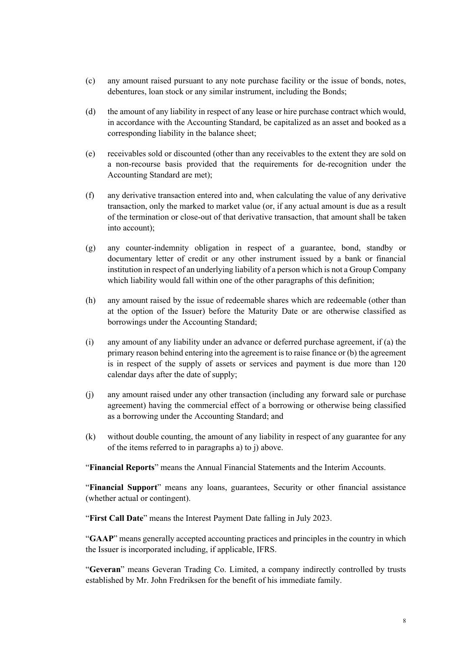- (c) any amount raised pursuant to any note purchase facility or the issue of bonds, notes, debentures, loan stock or any similar instrument, including the Bonds;
- (d) the amount of any liability in respect of any lease or hire purchase contract which would, in accordance with the Accounting Standard, be capitalized as an asset and booked as a corresponding liability in the balance sheet;
- (e) receivables sold or discounted (other than any receivables to the extent they are sold on a non-recourse basis provided that the requirements for de-recognition under the Accounting Standard are met);
- (f) any derivative transaction entered into and, when calculating the value of any derivative transaction, only the marked to market value (or, if any actual amount is due as a result of the termination or close-out of that derivative transaction, that amount shall be taken into account);
- (g) any counter-indemnity obligation in respect of a guarantee, bond, standby or documentary letter of credit or any other instrument issued by a bank or financial institution in respect of an underlying liability of a person which is not a Group Company which liability would fall within one of the other paragraphs of this definition;
- (h) any amount raised by the issue of redeemable shares which are redeemable (other than at the option of the Issuer) before the Maturity Date or are otherwise classified as borrowings under the Accounting Standard;
- (i) any amount of any liability under an advance or deferred purchase agreement, if (a) the primary reason behind entering into the agreement is to raise finance or (b) the agreement is in respect of the supply of assets or services and payment is due more than 120 calendar days after the date of supply;
- (j) any amount raised under any other transaction (including any forward sale or purchase agreement) having the commercial effect of a borrowing or otherwise being classified as a borrowing under the Accounting Standard; and
- (k) without double counting, the amount of any liability in respect of any guarantee for any of the items referred to in paragraphs a) to j) above.

"**Financial Reports**" means the Annual Financial Statements and the Interim Accounts.

"**Financial Support**" means any loans, guarantees, Security or other financial assistance (whether actual or contingent).

"**First Call Date**" means the Interest Payment Date falling in July 2023.

"**GAAP**" means generally accepted accounting practices and principles in the country in which the Issuer is incorporated including, if applicable, IFRS.

"**Geveran**" means Geveran Trading Co. Limited, a company indirectly controlled by trusts established by Mr. John Fredriksen for the benefit of his immediate family.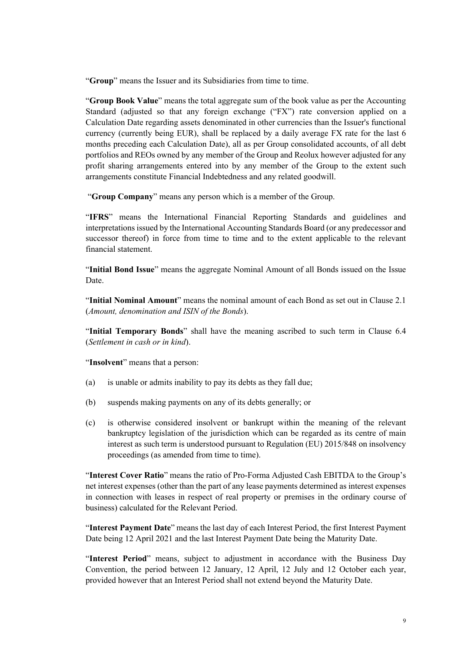"**Group**" means the Issuer and its Subsidiaries from time to time.

"**Group Book Value**" means the total aggregate sum of the book value as per the Accounting Standard (adjusted so that any foreign exchange ("FX") rate conversion applied on a Calculation Date regarding assets denominated in other currencies than the Issuer's functional currency (currently being EUR), shall be replaced by a daily average FX rate for the last 6 months preceding each Calculation Date), all as per Group consolidated accounts, of all debt portfolios and REOs owned by any member of the Group and Reolux however adjusted for any profit sharing arrangements entered into by any member of the Group to the extent such arrangements constitute Financial Indebtedness and any related goodwill.

"**Group Company**" means any person which is a member of the Group.

"**IFRS**" means the International Financial Reporting Standards and guidelines and interpretations issued by the International Accounting Standards Board (or any predecessor and successor thereof) in force from time to time and to the extent applicable to the relevant financial statement.

"**Initial Bond Issue**" means the aggregate Nominal Amount of all Bonds issued on the Issue Date.

"**Initial Nominal Amount**" means the nominal amount of each Bond as set out in Clause [2.1](#page-39-1) (*Amount, denomination and ISIN of the Bonds*).

"**Initial Temporary Bonds**" shall have the meaning ascribed to such term in Clause 6.4 (*Settlement in cash or in kind*).

"**Insolvent**" means that a person:

- (a) is unable or admits inability to pay its debts as they fall due;
- (b) suspends making payments on any of its debts generally; or
- (c) is otherwise considered insolvent or bankrupt within the meaning of the relevant bankruptcy legislation of the jurisdiction which can be regarded as its centre of main interest as such term is understood pursuant to Regulation (EU) 2015/848 on insolvency proceedings (as amended from time to time).

"**Interest Cover Ratio**" means the ratio of Pro-Forma Adjusted Cash EBITDA to the Group's net interest expenses (other than the part of any lease payments determined as interest expenses in connection with leases in respect of real property or premises in the ordinary course of business) calculated for the Relevant Period.

"**Interest Payment Date**" means the last day of each Interest Period, the first Interest Payment Date being 12 April 2021 and the last Interest Payment Date being the Maturity Date.

"**Interest Period**" means, subject to adjustment in accordance with the Business Day Convention, the period between 12 January, 12 April, 12 July and 12 October each year, provided however that an Interest Period shall not extend beyond the Maturity Date.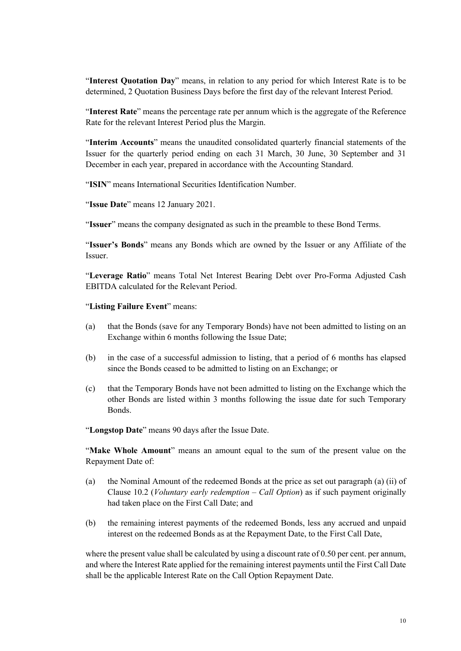"**Interest Quotation Day**" means, in relation to any period for which Interest Rate is to be determined, 2 Quotation Business Days before the first day of the relevant Interest Period.

"**Interest Rate**" means the percentage rate per annum which is the aggregate of the Reference Rate for the relevant Interest Period plus the Margin.

"**Interim Accounts**" means the unaudited consolidated quarterly financial statements of the Issuer for the quarterly period ending on each 31 March, 30 June, 30 September and 31 December in each year, prepared in accordance with the Accounting Standard.

"**ISIN**" means International Securities Identification Number.

"**Issue Date**" means 12 January 2021.

"**Issuer**" means the company designated as such in the preamble to these Bond Terms.

"**Issuer's Bonds**" means any Bonds which are owned by the Issuer or any Affiliate of the Issuer.

"**Leverage Ratio**" means Total Net Interest Bearing Debt over Pro-Forma Adjusted Cash EBITDA calculated for the Relevant Period.

"**Listing Failure Event**" means:

- (a) that the Bonds (save for any Temporary Bonds) have not been admitted to listing on an Exchange within 6 months following the Issue Date;
- (b) in the case of a successful admission to listing, that a period of 6 months has elapsed since the Bonds ceased to be admitted to listing on an Exchange; or
- (c) that the Temporary Bonds have not been admitted to listing on the Exchange which the other Bonds are listed within 3 months following the issue date for such Temporary Bonds.

"**Longstop Date**" means 90 days after the Issue Date.

"**Make Whole Amount**" means an amount equal to the sum of the present value on the Repayment Date of:

- (a) the Nominal Amount of the redeemed Bonds at the price as set out paragraph (a) (ii) of Clause [10.2](#page-49-2) (*Voluntary early redemption – Call Option*) as if such payment originally had taken place on the First Call Date; and
- (b) the remaining interest payments of the redeemed Bonds, less any accrued and unpaid interest on the redeemed Bonds as at the Repayment Date, to the First Call Date,

where the present value shall be calculated by using a discount rate of 0.50 per cent. per annum, and where the Interest Rate applied for the remaining interest payments until the First Call Date shall be the applicable Interest Rate on the Call Option Repayment Date.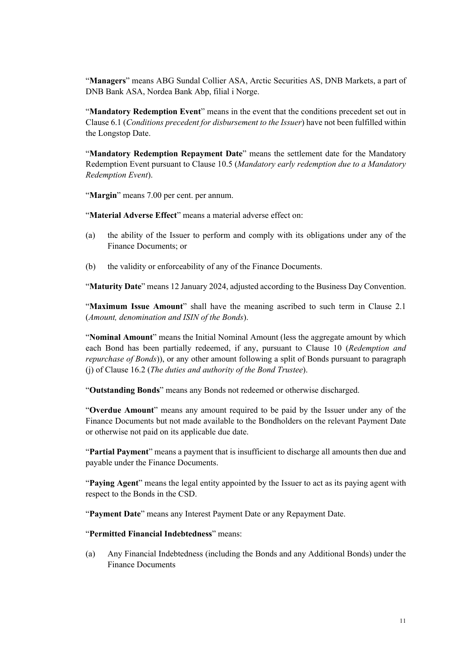"**Managers**" means ABG Sundal Collier ASA, Arctic Securities AS, DNB Markets, a part of DNB Bank ASA, Nordea Bank Abp, filial i Norge.

"**Mandatory Redemption Event**" means in the event that the conditions precedent set out in Clause 6.1 (*Conditions precedent for disbursement to the Issuer*) have not been fulfilled within the Longstop Date.

"**Mandatory Redemption Repayment Date**" means the settlement date for the Mandatory Redemption Event pursuant to Clause 10.5 (*Mandatory early redemption due to a Mandatory Redemption Event*).

"**Margin**" means 7.00 per cent. per annum.

"**Material Adverse Effect**" means a material adverse effect on:

- (a) the ability of the Issuer to perform and comply with its obligations under any of the Finance Documents; or
- (b) the validity or enforceability of any of the Finance Documents.

"**Maturity Date**" means 12 January 2024, adjusted according to the Business Day Convention.

"**Maximum Issue Amount**" shall have the meaning ascribed to such term in Clause [2.1](#page-39-1) (*Amount, denomination and ISIN of the Bonds*).

"**Nominal Amount**" means the Initial Nominal Amount (less the aggregate amount by which each Bond has been partially redeemed, if any, pursuant to Clause [10](#page-49-1) (*Redemption and repurchase of Bonds*)), or any other amount following a split of Bonds pursuant to paragraph (j) of Clause [16.2](#page-63-1) (*The duties and authority of the Bond Trustee*).

"**Outstanding Bonds**" means any Bonds not redeemed or otherwise discharged.

"**Overdue Amount**" means any amount required to be paid by the Issuer under any of the Finance Documents but not made available to the Bondholders on the relevant Payment Date or otherwise not paid on its applicable due date.

"**Partial Payment**" means a payment that is insufficient to discharge all amounts then due and payable under the Finance Documents.

"**Paying Agent**" means the legal entity appointed by the Issuer to act as its paying agent with respect to the Bonds in the CSD.

"**Payment Date**" means any Interest Payment Date or any Repayment Date.

#### "**Permitted Financial Indebtedness**" means:

(a) Any Financial Indebtedness (including the Bonds and any Additional Bonds) under the Finance Documents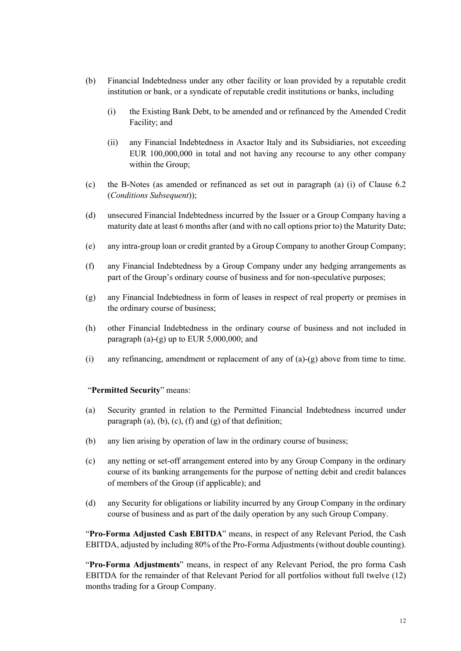- (b) Financial Indebtedness under any other facility or loan provided by a reputable credit institution or bank, or a syndicate of reputable credit institutions or banks, including
	- (i) the Existing Bank Debt, to be amended and or refinanced by the Amended Credit Facility; and
	- (ii) any Financial Indebtedness in Axactor Italy and its Subsidiaries, not exceeding EUR 100,000,000 in total and not having any recourse to any other company within the Group;
- (c) the B-Notes (as amended or refinanced as set out in paragraph (a) (i) of Clause 6.2 (*Conditions Subsequent*));
- (d) unsecured Financial Indebtedness incurred by the Issuer or a Group Company having a maturity date at least 6 months after (and with no call options prior to) the Maturity Date;
- (e) any intra-group loan or credit granted by a Group Company to another Group Company;
- (f) any Financial Indebtedness by a Group Company under any hedging arrangements as part of the Group's ordinary course of business and for non-speculative purposes;
- (g) any Financial Indebtedness in form of leases in respect of real property or premises in the ordinary course of business;
- (h) other Financial Indebtedness in the ordinary course of business and not included in paragraph (a)-(g) up to EUR  $5,000,000$ ; and
- (i) any refinancing, amendment or replacement of any of (a)-(g) above from time to time.

#### "**Permitted Security**" means:

- (a) Security granted in relation to the Permitted Financial Indebtedness incurred under paragraph  $(a)$ ,  $(b)$ ,  $(c)$ ,  $(f)$  and  $(g)$  of that definition;
- (b) any lien arising by operation of law in the ordinary course of business;
- (c) any netting or set-off arrangement entered into by any Group Company in the ordinary course of its banking arrangements for the purpose of netting debit and credit balances of members of the Group (if applicable); and
- (d) any Security for obligations or liability incurred by any Group Company in the ordinary course of business and as part of the daily operation by any such Group Company.

"**Pro-Forma Adjusted Cash EBITDA**" means, in respect of any Relevant Period, the Cash EBITDA, adjusted by including 80% of the Pro-Forma Adjustments (without double counting).

"**Pro-Forma Adjustments**" means, in respect of any Relevant Period, the pro forma Cash EBITDA for the remainder of that Relevant Period for all portfolios without full twelve (12) months trading for a Group Company.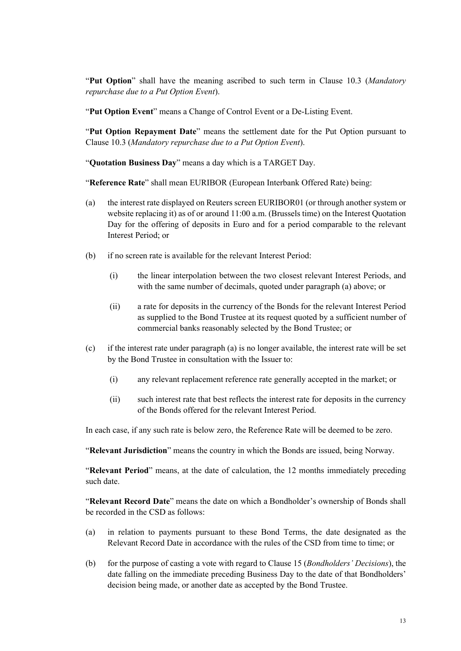"**Put Option**" shall have the meaning ascribed to such term in Clause [10.3](#page-50-0) (*Mandatory repurchase due to a Put Option Event*).

"**Put Option Event**" means a Change of Control Event or a De-Listing Event.

"**Put Option Repayment Date**" means the settlement date for the Put Option pursuant to Clause [10.3](#page-50-0) (*Mandatory repurchase due to a Put Option Event*).

"**Quotation Business Day**" means a day which is a TARGET Day.

"**Reference Rate**" shall mean EURIBOR (European Interbank Offered Rate) being:

- (a) the interest rate displayed on Reuters screen EURIBOR01 (or through another system or website replacing it) as of or around 11:00 a.m. (Brussels time) on the Interest Quotation Day for the offering of deposits in Euro and for a period comparable to the relevant Interest Period; or
- (b) if no screen rate is available for the relevant Interest Period:
	- (i) the linear interpolation between the two closest relevant Interest Periods, and with the same number of decimals, quoted under paragraph (a) above; or
	- (ii) a rate for deposits in the currency of the Bonds for the relevant Interest Period as supplied to the Bond Trustee at its request quoted by a sufficient number of commercial banks reasonably selected by the Bond Trustee; or
- (c) if the interest rate under paragraph (a) is no longer available, the interest rate will be set by the Bond Trustee in consultation with the Issuer to:
	- (i) any relevant replacement reference rate generally accepted in the market; or
	- (ii) such interest rate that best reflects the interest rate for deposits in the currency of the Bonds offered for the relevant Interest Period.

In each case, if any such rate is below zero, the Reference Rate will be deemed to be zero.

"**Relevant Jurisdiction**" means the country in which the Bonds are issued, being Norway.

"**Relevant Period**" means, at the date of calculation, the 12 months immediately preceding such date.

"**Relevant Record Date**" means the date on which a Bondholder's ownership of Bonds shall be recorded in the CSD as follows:

- (a) in relation to payments pursuant to these Bond Terms, the date designated as the Relevant Record Date in accordance with the rules of the CSD from time to time; or
- (b) for the purpose of casting a vote with regard to Clause 15 (*Bondholders' Decisions*), the date falling on the immediate preceding Business Day to the date of that Bondholders' decision being made, or another date as accepted by the Bond Trustee.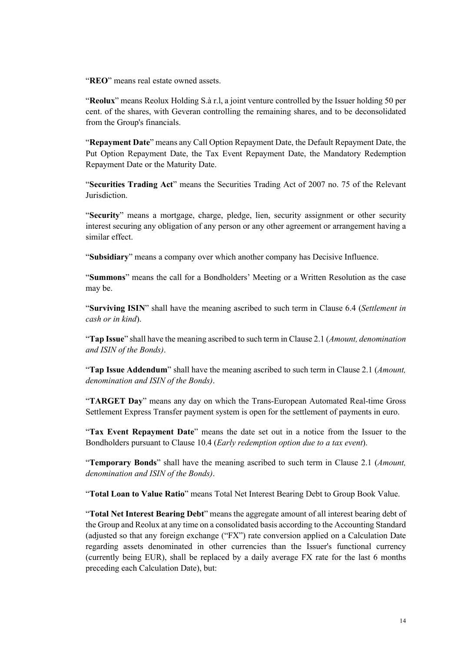"**REO**" means real estate owned assets.

"**Reolux**" means Reolux Holding S.à r.l, a joint venture controlled by the Issuer holding 50 per cent. of the shares, with Geveran controlling the remaining shares, and to be deconsolidated from the Group's financials.

"**Repayment Date**" means any Call Option Repayment Date, the Default Repayment Date, the Put Option Repayment Date, the Tax Event Repayment Date, the Mandatory Redemption Repayment Date or the Maturity Date.

"**Securities Trading Act**" means the Securities Trading Act of 2007 no. 75 of the Relevant Jurisdiction.

"**Security**" means a mortgage, charge, pledge, lien, security assignment or other security interest securing any obligation of any person or any other agreement or arrangement having a similar effect.

"**Subsidiary**" means a company over which another company has Decisive Influence.

"**Summons**" means the call for a Bondholders' Meeting or a Written Resolution as the case may be.

"**Surviving ISIN**" shall have the meaning ascribed to such term in Clause 6.4 (*Settlement in cash or in kind*).

"**Tap Issue**" shall have the meaning ascribed to such term in Clause [2.1](#page-39-0) (*Amount, denomination and ISIN of the Bonds)*.

"**Tap Issue Addendum**" shall have the meaning ascribed to such term in Clause [2.1](#page-39-0) (*Amount, denomination and ISIN of the Bonds)*.

"**TARGET Day**" means any day on which the Trans-European Automated Real-time Gross Settlement Express Transfer payment system is open for the settlement of payments in euro.

"**Tax Event Repayment Date**" means the date set out in a notice from the Issuer to the Bondholders pursuant to Clause [10.4](#page-50-1) (*Early redemption option due to a tax event*).

"**Temporary Bonds**" shall have the meaning ascribed to such term in Clause [2.1](#page-39-0) (*Amount, denomination and ISIN of the Bonds)*.

"**Total Loan to Value Ratio**" means Total Net Interest Bearing Debt to Group Book Value.

"**Total Net Interest Bearing Debt**" means the aggregate amount of all interest bearing debt of the Group and Reolux at any time on a consolidated basis according to the Accounting Standard (adjusted so that any foreign exchange ("FX") rate conversion applied on a Calculation Date regarding assets denominated in other currencies than the Issuer's functional currency (currently being EUR), shall be replaced by a daily average FX rate for the last 6 months preceding each Calculation Date), but: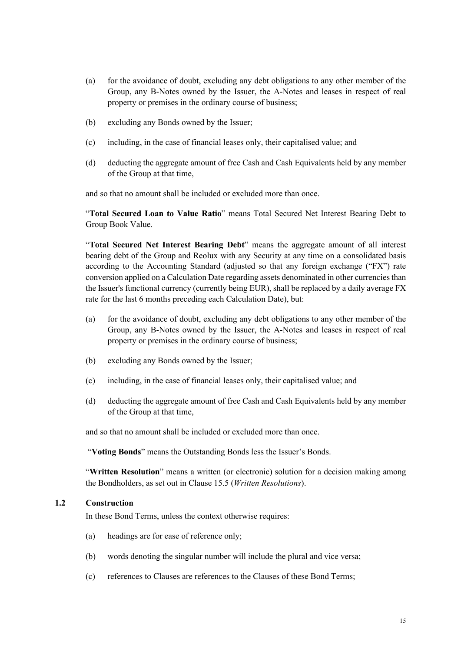- (a) for the avoidance of doubt, excluding any debt obligations to any other member of the Group, any B-Notes owned by the Issuer, the A-Notes and leases in respect of real property or premises in the ordinary course of business;
- (b) excluding any Bonds owned by the Issuer;
- (c) including, in the case of financial leases only, their capitalised value; and
- (d) deducting the aggregate amount of free Cash and Cash Equivalents held by any member of the Group at that time,

and so that no amount shall be included or excluded more than once.

"**Total Secured Loan to Value Ratio**" means Total Secured Net Interest Bearing Debt to Group Book Value.

"**Total Secured Net Interest Bearing Debt**" means the aggregate amount of all interest bearing debt of the Group and Reolux with any Security at any time on a consolidated basis according to the Accounting Standard (adjusted so that any foreign exchange ("FX") rate conversion applied on a Calculation Date regarding assets denominated in other currencies than the Issuer's functional currency (currently being EUR), shall be replaced by a daily average FX rate for the last 6 months preceding each Calculation Date), but:

- (a) for the avoidance of doubt, excluding any debt obligations to any other member of the Group, any B-Notes owned by the Issuer, the A-Notes and leases in respect of real property or premises in the ordinary course of business;
- (b) excluding any Bonds owned by the Issuer;
- (c) including, in the case of financial leases only, their capitalised value; and
- (d) deducting the aggregate amount of free Cash and Cash Equivalents held by any member of the Group at that time,

and so that no amount shall be included or excluded more than once.

"**Voting Bonds**" means the Outstanding Bonds less the Issuer's Bonds.

"**Written Resolution**" means a written (or electronic) solution for a decision making among the Bondholders, as set out in Clause [15.5](#page-62-0) (*Written Resolutions*).

# **1.2 Construction**

In these Bond Terms, unless the context otherwise requires:

- (a) headings are for ease of reference only;
- (b) words denoting the singular number will include the plural and vice versa;
- (c) references to Clauses are references to the Clauses of these Bond Terms;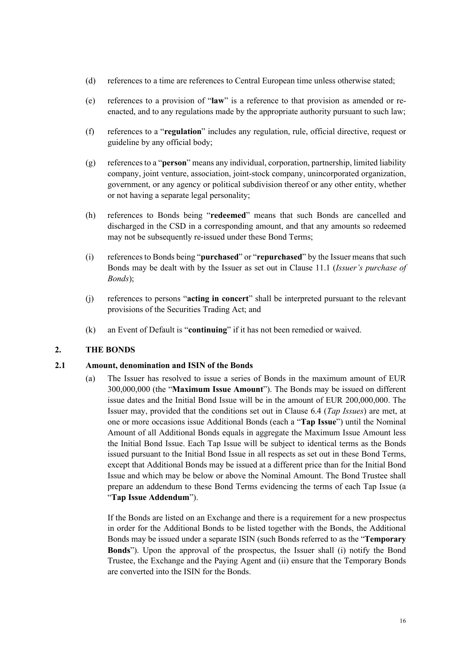- (d) references to a time are references to Central European time unless otherwise stated;
- (e) references to a provision of "**law**" is a reference to that provision as amended or reenacted, and to any regulations made by the appropriate authority pursuant to such law;
- (f) references to a "**regulation**" includes any regulation, rule, official directive, request or guideline by any official body;
- (g) references to a "**person**" means any individual, corporation, partnership, limited liability company, joint venture, association, joint-stock company, unincorporated organization, government, or any agency or political subdivision thereof or any other entity, whether or not having a separate legal personality;
- (h) references to Bonds being "**redeemed**" means that such Bonds are cancelled and discharged in the CSD in a corresponding amount, and that any amounts so redeemed may not be subsequently re-issued under these Bond Terms;
- (i) references to Bonds being "**purchased**" or "**repurchased**" by the Issuer means that such Bonds may be dealt with by the Issuer as set out in Clause [11.1](#page-51-0) (*Issuer's purchase of Bonds*);
- (j) references to persons "**acting in concert**" shall be interpreted pursuant to the relevant provisions of the Securities Trading Act; and
- (k) an Event of Default is "**continuing**" if it has not been remedied or waived.

# **2. THE BONDS**

# **2.1 Amount, denomination and ISIN of the Bonds**

<span id="page-39-0"></span>(a) The Issuer has resolved to issue a series of Bonds in the maximum amount of EUR 300,000,000 (the "**Maximum Issue Amount**"). The Bonds may be issued on different issue dates and the Initial Bond Issue will be in the amount of EUR 200,000,000. The Issuer may, provided that the conditions set out in Clause [6.4](#page-44-0) (*Tap Issues*) are met, at one or more occasions issue Additional Bonds (each a "**Tap Issue**") until the Nominal Amount of all Additional Bonds equals in aggregate the Maximum Issue Amount less the Initial Bond Issue. Each Tap Issue will be subject to identical terms as the Bonds issued pursuant to the Initial Bond Issue in all respects as set out in these Bond Terms, except that Additional Bonds may be issued at a different price than for the Initial Bond Issue and which may be below or above the Nominal Amount. The Bond Trustee shall prepare an addendum to these Bond Terms evidencing the terms of each Tap Issue (a "**Tap Issue Addendum**").

If the Bonds are listed on an Exchange and there is a requirement for a new prospectus in order for the Additional Bonds to be listed together with the Bonds, the Additional Bonds may be issued under a separate ISIN (such Bonds referred to as the "**Temporary Bonds**"). Upon the approval of the prospectus, the Issuer shall (i) notify the Bond Trustee, the Exchange and the Paying Agent and (ii) ensure that the Temporary Bonds are converted into the ISIN for the Bonds.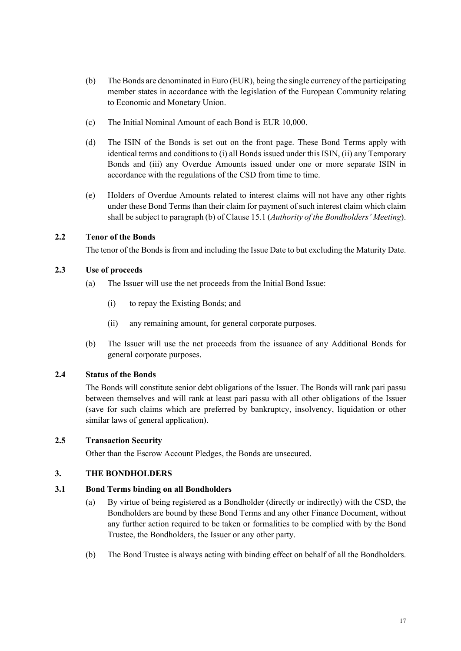- (b) The Bonds are denominated in Euro (EUR), being the single currency of the participating member states in accordance with the legislation of the European Community relating to Economic and Monetary Union.
- (c) The Initial Nominal Amount of each Bond is EUR 10,000.
- (d) The ISIN of the Bonds is set out on the front page. These Bond Terms apply with identical terms and conditions to (i) all Bonds issued under this ISIN, (ii) any Temporary Bonds and (iii) any Overdue Amounts issued under one or more separate ISIN in accordance with the regulations of the CSD from time to time.
- (e) Holders of Overdue Amounts related to interest claims will not have any other rights under these Bond Terms than their claim for payment of such interest claim which claim shall be subject to paragraph (b) of Clause [15.1](#page-59-0) (*Authority of the Bondholders' Meeting*).

## **2.2 Tenor of the Bonds**

The tenor of the Bonds is from and including the Issue Date to but excluding the Maturity Date.

## **2.3 Use of proceeds**

- (a) The Issuer will use the net proceeds from the Initial Bond Issue:
	- (i) to repay the Existing Bonds; and
	- (ii) any remaining amount, for general corporate purposes.
- (b) The Issuer will use the net proceeds from the issuance of any Additional Bonds for general corporate purposes.

# **2.4 Status of the Bonds**

<span id="page-40-0"></span>The Bonds will constitute senior debt obligations of the Issuer. The Bonds will rank pari passu between themselves and will rank at least pari passu with all other obligations of the Issuer (save for such claims which are preferred by bankruptcy, insolvency, liquidation or other similar laws of general application).

### **2.5 Transaction Security**

Other than the Escrow Account Pledges, the Bonds are unsecured.

#### **3. THE BONDHOLDERS**

#### **3.1 Bond Terms binding on all Bondholders**

- (a) By virtue of being registered as a Bondholder (directly or indirectly) with the CSD, the Bondholders are bound by these Bond Terms and any other Finance Document, without any further action required to be taken or formalities to be complied with by the Bond Trustee, the Bondholders, the Issuer or any other party.
- (b) The Bond Trustee is always acting with binding effect on behalf of all the Bondholders.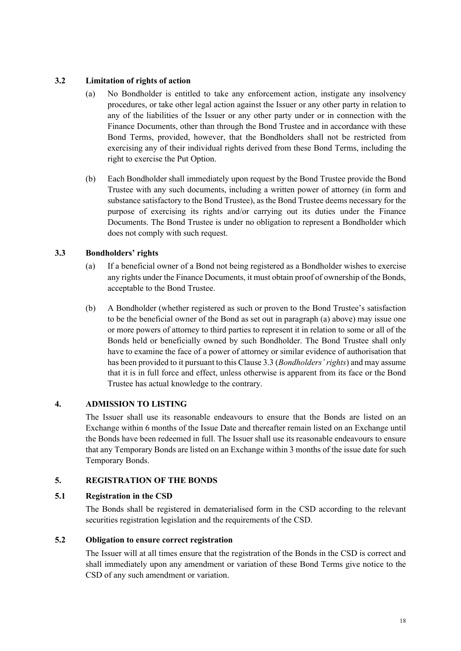# **3.2 Limitation of rights of action**

- (a) No Bondholder is entitled to take any enforcement action, instigate any insolvency procedures, or take other legal action against the Issuer or any other party in relation to any of the liabilities of the Issuer or any other party under or in connection with the Finance Documents, other than through the Bond Trustee and in accordance with these Bond Terms, provided, however, that the Bondholders shall not be restricted from exercising any of their individual rights derived from these Bond Terms, including the right to exercise the Put Option.
- (b) Each Bondholder shall immediately upon request by the Bond Trustee provide the Bond Trustee with any such documents, including a written power of attorney (in form and substance satisfactory to the Bond Trustee), as the Bond Trustee deems necessary for the purpose of exercising its rights and/or carrying out its duties under the Finance Documents. The Bond Trustee is under no obligation to represent a Bondholder which does not comply with such request.

# **3.3 Bondholders' rights**

- <span id="page-41-1"></span><span id="page-41-0"></span>(a) If a beneficial owner of a Bond not being registered as a Bondholder wishes to exercise any rights under the Finance Documents, it must obtain proof of ownership of the Bonds, acceptable to the Bond Trustee.
- (b) A Bondholder (whether registered as such or proven to the Bond Trustee's satisfaction to be the beneficial owner of the Bond as set out in paragraph [\(a\)](#page-41-0) above) may issue one or more powers of attorney to third parties to represent it in relation to some or all of the Bonds held or beneficially owned by such Bondholder. The Bond Trustee shall only have to examine the face of a power of attorney or similar evidence of authorisation that has been provided to it pursuant to this Clause [3.3](#page-41-1) (*Bondholders' rights*) and may assume that it is in full force and effect, unless otherwise is apparent from its face or the Bond Trustee has actual knowledge to the contrary.

# **4. ADMISSION TO LISTING**

<span id="page-41-2"></span>The Issuer shall use its reasonable endeavours to ensure that the Bonds are listed on an Exchange within 6 months of the Issue Date and thereafter remain listed on an Exchange until the Bonds have been redeemed in full. The Issuer shall use its reasonable endeavours to ensure that any Temporary Bonds are listed on an Exchange within 3 months of the issue date for such Temporary Bonds.

# **5. REGISTRATION OF THE BONDS**

# **5.1 Registration in the CSD**

The Bonds shall be registered in dematerialised form in the CSD according to the relevant securities registration legislation and the requirements of the CSD.

# **5.2 Obligation to ensure correct registration**

The Issuer will at all times ensure that the registration of the Bonds in the CSD is correct and shall immediately upon any amendment or variation of these Bond Terms give notice to the CSD of any such amendment or variation.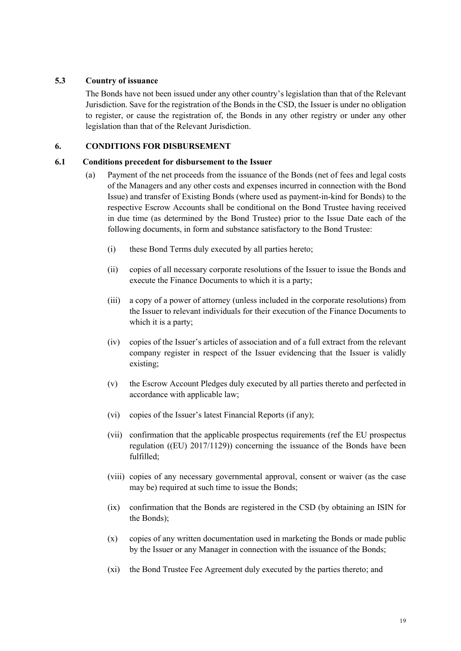## **5.3 Country of issuance**

The Bonds have not been issued under any other country's legislation than that of the Relevant Jurisdiction. Save for the registration of the Bonds in the CSD, the Issuer is under no obligation to register, or cause the registration of, the Bonds in any other registry or under any other legislation than that of the Relevant Jurisdiction.

## **6. CONDITIONS FOR DISBURSEMENT**

#### **6.1 Conditions precedent for disbursement to the Issuer**

- (a) Payment of the net proceeds from the issuance of the Bonds (net of fees and legal costs of the Managers and any other costs and expenses incurred in connection with the Bond Issue) and transfer of Existing Bonds (where used as payment-in-kind for Bonds) to the respective Escrow Accounts shall be conditional on the Bond Trustee having received in due time (as determined by the Bond Trustee) prior to the Issue Date each of the following documents, in form and substance satisfactory to the Bond Trustee:
	- (i) these Bond Terms duly executed by all parties hereto;
	- (ii) copies of all necessary corporate resolutions of the Issuer to issue the Bonds and execute the Finance Documents to which it is a party;
	- (iii) a copy of a power of attorney (unless included in the corporate resolutions) from the Issuer to relevant individuals for their execution of the Finance Documents to which it is a party;
	- (iv) copies of the Issuer's articles of association and of a full extract from the relevant company register in respect of the Issuer evidencing that the Issuer is validly existing;
	- (v) the Escrow Account Pledges duly executed by all parties thereto and perfected in accordance with applicable law;
	- (vi) copies of the Issuer's latest Financial Reports (if any);
	- (vii) confirmation that the applicable prospectus requirements (ref the EU prospectus regulation ((EU) 2017/1129)) concerning the issuance of the Bonds have been fulfilled;
	- (viii) copies of any necessary governmental approval, consent or waiver (as the case may be) required at such time to issue the Bonds;
	- (ix) confirmation that the Bonds are registered in the CSD (by obtaining an ISIN for the Bonds);
	- (x) copies of any written documentation used in marketing the Bonds or made public by the Issuer or any Manager in connection with the issuance of the Bonds;
	- (xi) the Bond Trustee Fee Agreement duly executed by the parties thereto; and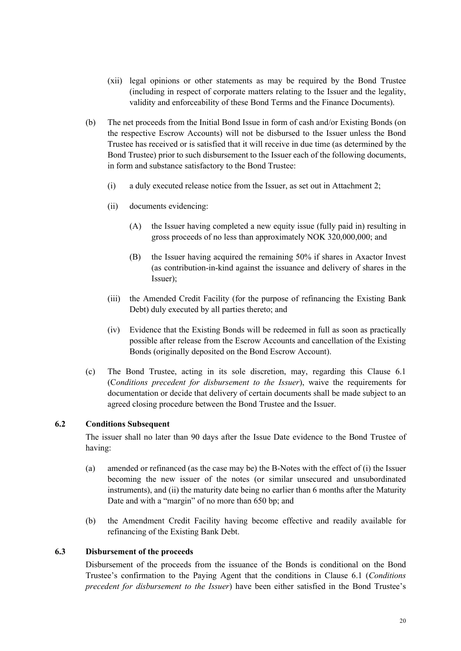- (xii) legal opinions or other statements as may be required by the Bond Trustee (including in respect of corporate matters relating to the Issuer and the legality, validity and enforceability of these Bond Terms and the Finance Documents).
- (b) The net proceeds from the Initial Bond Issue in form of cash and/or Existing Bonds (on the respective Escrow Accounts) will not be disbursed to the Issuer unless the Bond Trustee has received or is satisfied that it will receive in due time (as determined by the Bond Trustee) prior to such disbursement to the Issuer each of the following documents, in form and substance satisfactory to the Bond Trustee:
	- (i) a duly executed release notice from the Issuer, as set out in Attachment 2;
	- (ii) documents evidencing:
		- (A) the Issuer having completed a new equity issue (fully paid in) resulting in gross proceeds of no less than approximately NOK 320,000,000; and
		- (B) the Issuer having acquired the remaining 50% if shares in Axactor Invest (as contribution-in-kind against the issuance and delivery of shares in the Issuer);
	- (iii) the Amended Credit Facility (for the purpose of refinancing the Existing Bank Debt) duly executed by all parties thereto; and
	- (iv) Evidence that the Existing Bonds will be redeemed in full as soon as practically possible after release from the Escrow Accounts and cancellation of the Existing Bonds (originally deposited on the Bond Escrow Account).
- (c) The Bond Trustee, acting in its sole discretion, may, regarding this Clause 6.1 (C*onditions precedent for disbursement to the Issuer*), waive the requirements for documentation or decide that delivery of certain documents shall be made subject to an agreed closing procedure between the Bond Trustee and the Issuer.

### **6.2 Conditions Subsequent**

The issuer shall no later than 90 days after the Issue Date evidence to the Bond Trustee of having:

- (a) amended or refinanced (as the case may be) the B-Notes with the effect of (i) the Issuer becoming the new issuer of the notes (or similar unsecured and unsubordinated instruments), and (ii) the maturity date being no earlier than 6 months after the Maturity Date and with a "margin" of no more than 650 bp; and
- (b) the Amendment Credit Facility having become effective and readily available for refinancing of the Existing Bank Debt.

#### **6.3 Disbursement of the proceeds**

Disbursement of the proceeds from the issuance of the Bonds is conditional on the Bond Trustee's confirmation to the Paying Agent that the conditions in Clause 6.1 (*Conditions precedent for disbursement to the Issuer*) have been either satisfied in the Bond Trustee's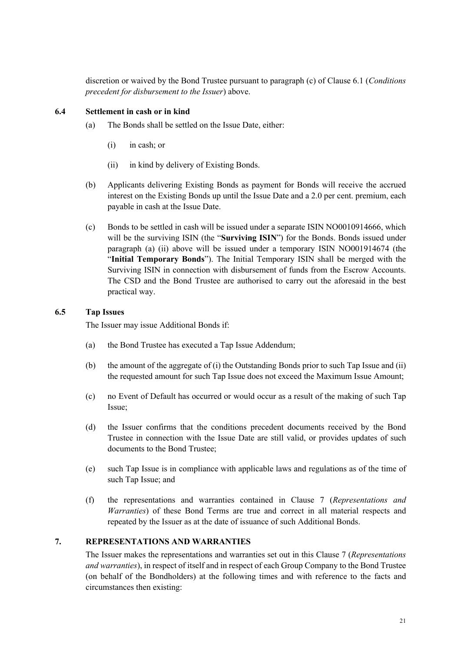discretion or waived by the Bond Trustee pursuant to paragraph (c) of Clause 6.1 (*Conditions precedent for disbursement to the Issuer*) above.

# **6.4 Settlement in cash or in kind**

- <span id="page-44-0"></span>(a) The Bonds shall be settled on the Issue Date, either:
	- (i) in cash; or
	- (ii) in kind by delivery of Existing Bonds.
- (b) Applicants delivering Existing Bonds as payment for Bonds will receive the accrued interest on the Existing Bonds up until the Issue Date and a 2.0 per cent. premium, each payable in cash at the Issue Date.
- (c) Bonds to be settled in cash will be issued under a separate ISIN NO0010914666, which will be the surviving ISIN (the "**Surviving ISIN**") for the Bonds. Bonds issued under paragraph (a) (ii) above will be issued under a temporary ISIN NO001914674 (the "**Initial Temporary Bonds**"). The Initial Temporary ISIN shall be merged with the Surviving ISIN in connection with disbursement of funds from the Escrow Accounts. The CSD and the Bond Trustee are authorised to carry out the aforesaid in the best practical way.

## **6.5 Tap Issues**

The Issuer may issue Additional Bonds if:

- (a) the Bond Trustee has executed a Tap Issue Addendum;
- (b) the amount of the aggregate of (i) the Outstanding Bonds prior to such Tap Issue and (ii) the requested amount for such Tap Issue does not exceed the Maximum Issue Amount;
- (c) no Event of Default has occurred or would occur as a result of the making of such Tap Issue;
- (d) the Issuer confirms that the conditions precedent documents received by the Bond Trustee in connection with the Issue Date are still valid, or provides updates of such documents to the Bond Trustee;
- (e) such Tap Issue is in compliance with applicable laws and regulations as of the time of such Tap Issue; and
- (f) the representations and warranties contained in Clause [7](#page-44-1) (*Representations and Warranties*) of these Bond Terms are true and correct in all material respects and repeated by the Issuer as at the date of issuance of such Additional Bonds.

## **7. REPRESENTATIONS AND WARRANTIES**

<span id="page-44-1"></span>The Issuer makes the representations and warranties set out in this Clause [7](#page-44-1) (*Representations and warranties*), in respect of itself and in respect of each Group Company to the Bond Trustee (on behalf of the Bondholders) at the following times and with reference to the facts and circumstances then existing: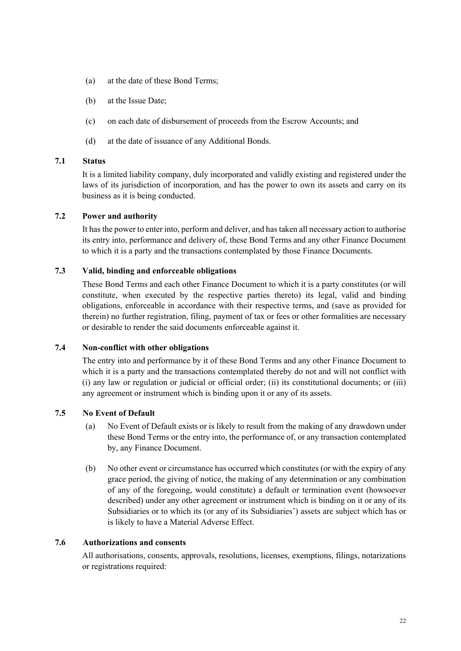- (a) at the date of these Bond Terms;
- (b) at the Issue Date;
- (c) on each date of disbursement of proceeds from the Escrow Accounts; and
- (d) at the date of issuance of any Additional Bonds.

## **7.1 Status**

It is a limited liability company, duly incorporated and validly existing and registered under the laws of its jurisdiction of incorporation, and has the power to own its assets and carry on its business as it is being conducted.

## **7.2 Power and authority**

It has the power to enter into, perform and deliver, and has taken all necessary action to authorise its entry into, performance and delivery of, these Bond Terms and any other Finance Document to which it is a party and the transactions contemplated by those Finance Documents.

## **7.3 Valid, binding and enforceable obligations**

These Bond Terms and each other Finance Document to which it is a party constitutes (or will constitute, when executed by the respective parties thereto) its legal, valid and binding obligations, enforceable in accordance with their respective terms, and (save as provided for therein) no further registration, filing, payment of tax or fees or other formalities are necessary or desirable to render the said documents enforceable against it.

#### **7.4 Non-conflict with other obligations**

The entry into and performance by it of these Bond Terms and any other Finance Document to which it is a party and the transactions contemplated thereby do not and will not conflict with (i) any law or regulation or judicial or official order; (ii) its constitutional documents; or (iii) any agreement or instrument which is binding upon it or any of its assets.

### **7.5 No Event of Default**

- (a) No Event of Default exists or is likely to result from the making of any drawdown under these Bond Terms or the entry into, the performance of, or any transaction contemplated by, any Finance Document.
- (b) No other event or circumstance has occurred which constitutes (or with the expiry of any grace period, the giving of notice, the making of any determination or any combination of any of the foregoing, would constitute) a default or termination event (howsoever described) under any other agreement or instrument which is binding on it or any of its Subsidiaries or to which its (or any of its Subsidiaries') assets are subject which has or is likely to have a Material Adverse Effect.

#### **7.6 Authorizations and consents**

All authorisations, consents, approvals, resolutions, licenses, exemptions, filings, notarizations or registrations required: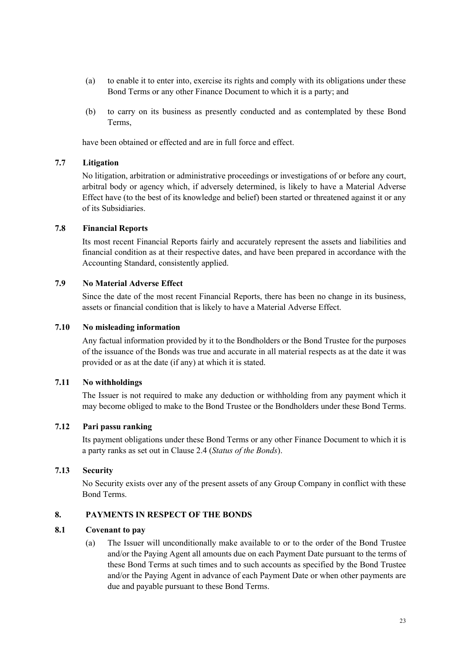- (a) to enable it to enter into, exercise its rights and comply with its obligations under these Bond Terms or any other Finance Document to which it is a party; and
- (b) to carry on its business as presently conducted and as contemplated by these Bond Terms,

have been obtained or effected and are in full force and effect.

#### **7.7 Litigation**

No litigation, arbitration or administrative proceedings or investigations of or before any court, arbitral body or agency which, if adversely determined, is likely to have a Material Adverse Effect have (to the best of its knowledge and belief) been started or threatened against it or any of its Subsidiaries.

#### **7.8 Financial Reports**

Its most recent Financial Reports fairly and accurately represent the assets and liabilities and financial condition as at their respective dates, and have been prepared in accordance with the Accounting Standard, consistently applied.

# **7.9 No Material Adverse Effect**

Since the date of the most recent Financial Reports, there has been no change in its business, assets or financial condition that is likely to have a Material Adverse Effect.

#### **7.10 No misleading information**

Any factual information provided by it to the Bondholders or the Bond Trustee for the purposes of the issuance of the Bonds was true and accurate in all material respects as at the date it was provided or as at the date (if any) at which it is stated.

#### **7.11 No withholdings**

The Issuer is not required to make any deduction or withholding from any payment which it may become obliged to make to the Bond Trustee or the Bondholders under these Bond Terms.

#### **7.12 Pari passu ranking**

Its payment obligations under these Bond Terms or any other Finance Document to which it is a party ranks as set out in Clause [2.4](#page-40-0) (*Status of the Bonds*).

### **7.13 Security**

No Security exists over any of the present assets of any Group Company in conflict with these Bond Terms.

## **8. PAYMENTS IN RESPECT OF THE BONDS**

## **8.1 Covenant to pay**

(a) The Issuer will unconditionally make available to or to the order of the Bond Trustee and/or the Paying Agent all amounts due on each Payment Date pursuant to the terms of these Bond Terms at such times and to such accounts as specified by the Bond Trustee and/or the Paying Agent in advance of each Payment Date or when other payments are due and payable pursuant to these Bond Terms.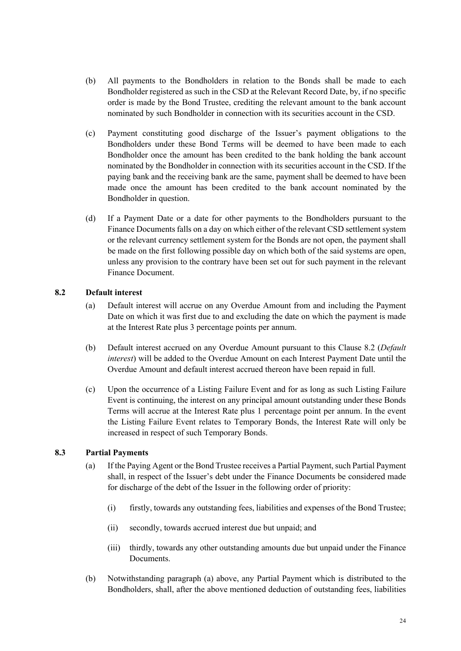- (b) All payments to the Bondholders in relation to the Bonds shall be made to each Bondholder registered as such in the CSD at the Relevant Record Date, by, if no specific order is made by the Bond Trustee, crediting the relevant amount to the bank account nominated by such Bondholder in connection with its securities account in the CSD.
- (c) Payment constituting good discharge of the Issuer's payment obligations to the Bondholders under these Bond Terms will be deemed to have been made to each Bondholder once the amount has been credited to the bank holding the bank account nominated by the Bondholder in connection with its securities account in the CSD. If the paying bank and the receiving bank are the same, payment shall be deemed to have been made once the amount has been credited to the bank account nominated by the Bondholder in question.
- (d) If a Payment Date or a date for other payments to the Bondholders pursuant to the Finance Documents falls on a day on which either of the relevant CSD settlement system or the relevant currency settlement system for the Bonds are not open, the payment shall be made on the first following possible day on which both of the said systems are open, unless any provision to the contrary have been set out for such payment in the relevant Finance Document.

# **8.2 Default interest**

- <span id="page-47-0"></span>(a) Default interest will accrue on any Overdue Amount from and including the Payment Date on which it was first due to and excluding the date on which the payment is made at the Interest Rate plus 3 percentage points per annum.
- (b) Default interest accrued on any Overdue Amount pursuant to this Clause [8.2](#page-47-0) (*Default interest*) will be added to the Overdue Amount on each Interest Payment Date until the Overdue Amount and default interest accrued thereon have been repaid in full.
- (c) Upon the occurrence of a Listing Failure Event and for as long as such Listing Failure Event is continuing, the interest on any principal amount outstanding under these Bonds Terms will accrue at the Interest Rate plus 1 percentage point per annum. In the event the Listing Failure Event relates to Temporary Bonds, the Interest Rate will only be increased in respect of such Temporary Bonds.

# **8.3 Partial Payments**

- (a) If the Paying Agent or the Bond Trustee receives a Partial Payment, such Partial Payment shall, in respect of the Issuer's debt under the Finance Documents be considered made for discharge of the debt of the Issuer in the following order of priority:
	- (i) firstly, towards any outstanding fees, liabilities and expenses of the Bond Trustee;
	- (ii) secondly, towards accrued interest due but unpaid; and
	- (iii) thirdly, towards any other outstanding amounts due but unpaid under the Finance Documents.
- (b) Notwithstanding paragraph (a) above, any Partial Payment which is distributed to the Bondholders, shall, after the above mentioned deduction of outstanding fees, liabilities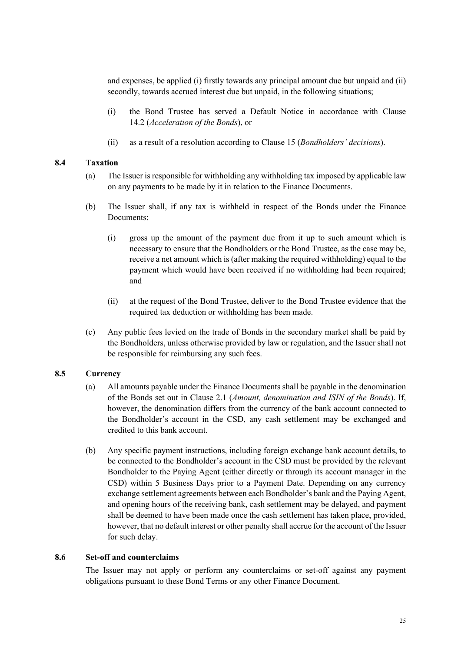and expenses, be applied (i) firstly towards any principal amount due but unpaid and (ii) secondly, towards accrued interest due but unpaid, in the following situations;

- (i) the Bond Trustee has served a Default Notice in accordance with Clause [14.2](#page-58-0) (*Acceleration of the Bonds*), or
- (ii) as a result of a resolution according to Clause 15 (*Bondholders' decisions*).

#### **8.4 Taxation**

- <span id="page-48-0"></span>(a) The Issuer is responsible for withholding any withholding tax imposed by applicable law on any payments to be made by it in relation to the Finance Documents.
- (b) The Issuer shall, if any tax is withheld in respect of the Bonds under the Finance Documents:
	- (i) gross up the amount of the payment due from it up to such amount which is necessary to ensure that the Bondholders or the Bond Trustee, as the case may be, receive a net amount which is (after making the required withholding) equal to the payment which would have been received if no withholding had been required; and
	- (ii) at the request of the Bond Trustee, deliver to the Bond Trustee evidence that the required tax deduction or withholding has been made.
- (c) Any public fees levied on the trade of Bonds in the secondary market shall be paid by the Bondholders, unless otherwise provided by law or regulation, and the Issuer shall not be responsible for reimbursing any such fees.

#### **8.5 Currency**

- (a) All amounts payable under the Finance Documents shall be payable in the denomination of the Bonds set out in Clause [2.1](#page-39-0) (*Amount, denomination and ISIN of the Bonds*). If, however, the denomination differs from the currency of the bank account connected to the Bondholder's account in the CSD, any cash settlement may be exchanged and credited to this bank account.
- (b) Any specific payment instructions, including foreign exchange bank account details, to be connected to the Bondholder's account in the CSD must be provided by the relevant Bondholder to the Paying Agent (either directly or through its account manager in the CSD) within 5 Business Days prior to a Payment Date. Depending on any currency exchange settlement agreements between each Bondholder's bank and the Paying Agent, and opening hours of the receiving bank, cash settlement may be delayed, and payment shall be deemed to have been made once the cash settlement has taken place, provided, however, that no default interest or other penalty shall accrue for the account of the Issuer for such delay.

#### **8.6 Set-off and counterclaims**

The Issuer may not apply or perform any counterclaims or set-off against any payment obligations pursuant to these Bond Terms or any other Finance Document.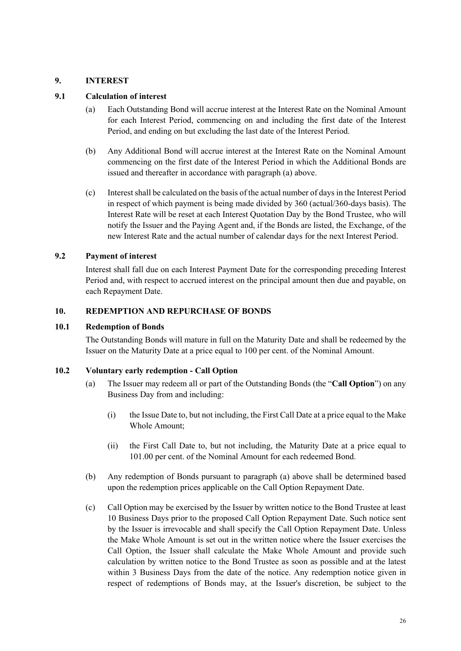# **9. INTEREST**

## **9.1 Calculation of interest**

- (a) Each Outstanding Bond will accrue interest at the Interest Rate on the Nominal Amount for each Interest Period, commencing on and including the first date of the Interest Period, and ending on but excluding the last date of the Interest Period.
- (b) Any Additional Bond will accrue interest at the Interest Rate on the Nominal Amount commencing on the first date of the Interest Period in which the Additional Bonds are issued and thereafter in accordance with paragraph (a) above.
- (c) Interest shall be calculated on the basis of the actual number of days in the Interest Period in respect of which payment is being made divided by 360 (actual/360-days basis). The Interest Rate will be reset at each Interest Quotation Day by the Bond Trustee, who will notify the Issuer and the Paying Agent and, if the Bonds are listed, the Exchange, of the new Interest Rate and the actual number of calendar days for the next Interest Period.

## **9.2 Payment of interest**

Interest shall fall due on each Interest Payment Date for the corresponding preceding Interest Period and, with respect to accrued interest on the principal amount then due and payable, on each Repayment Date.

# **10. REDEMPTION AND REPURCHASE OF BONDS**

## **10.1 Redemption of Bonds**

<span id="page-49-0"></span>The Outstanding Bonds will mature in full on the Maturity Date and shall be redeemed by the Issuer on the Maturity Date at a price equal to 100 per cent. of the Nominal Amount.

# **10.2 Voluntary early redemption - Call Option**

- (a) The Issuer may redeem all or part of the Outstanding Bonds (the "**Call Option**") on any Business Day from and including:
	- (i) the Issue Date to, but not including, the First Call Date at a price equal to the Make Whole Amount;
	- (ii) the First Call Date to, but not including, the Maturity Date at a price equal to 101.00 per cent. of the Nominal Amount for each redeemed Bond.
- (b) Any redemption of Bonds pursuant to paragraph (a) above shall be determined based upon the redemption prices applicable on the Call Option Repayment Date.
- (c) Call Option may be exercised by the Issuer by written notice to the Bond Trustee at least 10 Business Days prior to the proposed Call Option Repayment Date. Such notice sent by the Issuer is irrevocable and shall specify the Call Option Repayment Date. Unless the Make Whole Amount is set out in the written notice where the Issuer exercises the Call Option, the Issuer shall calculate the Make Whole Amount and provide such calculation by written notice to the Bond Trustee as soon as possible and at the latest within 3 Business Days from the date of the notice. Any redemption notice given in respect of redemptions of Bonds may, at the Issuer's discretion, be subject to the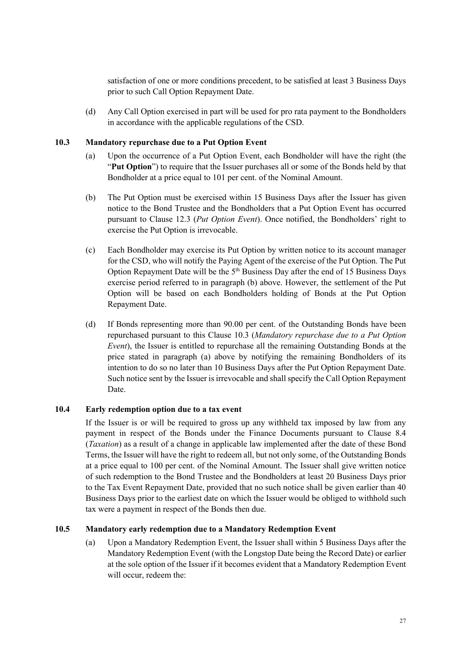satisfaction of one or more conditions precedent, to be satisfied at least 3 Business Days prior to such Call Option Repayment Date.

(d) Any Call Option exercised in part will be used for pro rata payment to the Bondholders in accordance with the applicable regulations of the CSD.

## **10.3 Mandatory repurchase due to a Put Option Event**

- <span id="page-50-0"></span>(a) Upon the occurrence of a Put Option Event, each Bondholder will have the right (the "**Put Option**") to require that the Issuer purchases all or some of the Bonds held by that Bondholder at a price equal to 101 per cent. of the Nominal Amount.
- (b) The Put Option must be exercised within 15 Business Days after the Issuer has given notice to the Bond Trustee and the Bondholders that a Put Option Event has occurred pursuant to Clause [12.3](#page-52-0) (*Put Option Event*). Once notified, the Bondholders' right to exercise the Put Option is irrevocable.
- (c) Each Bondholder may exercise its Put Option by written notice to its account manager for the CSD, who will notify the Paying Agent of the exercise of the Put Option. The Put Option Repayment Date will be the  $5<sup>th</sup>$  Business Day after the end of 15 Business Days exercise period referred to in paragraph (b) above. However, the settlement of the Put Option will be based on each Bondholders holding of Bonds at the Put Option Repayment Date.
- (d) If Bonds representing more than 90.00 per cent. of the Outstanding Bonds have been repurchased pursuant to this Clause [10.3](#page-50-0) (*Mandatory repurchase due to a Put Option Event*), the Issuer is entitled to repurchase all the remaining Outstanding Bonds at the price stated in paragraph (a) above by notifying the remaining Bondholders of its intention to do so no later than 10 Business Days after the Put Option Repayment Date. Such notice sent by the Issuer is irrevocable and shall specify the Call Option Repayment Date.

#### **10.4 Early redemption option due to a tax event**

<span id="page-50-1"></span>If the Issuer is or will be required to gross up any withheld tax imposed by law from any payment in respect of the Bonds under the Finance Documents pursuant to Clause [8.4](#page-48-0) (*Taxation*) as a result of a change in applicable law implemented after the date of these Bond Terms, the Issuer will have the right to redeem all, but not only some, of the Outstanding Bonds at a price equal to 100 per cent. of the Nominal Amount. The Issuer shall give written notice of such redemption to the Bond Trustee and the Bondholders at least 20 Business Days prior to the Tax Event Repayment Date, provided that no such notice shall be given earlier than 40 Business Days prior to the earliest date on which the Issuer would be obliged to withhold such tax were a payment in respect of the Bonds then due.

### **10.5 Mandatory early redemption due to a Mandatory Redemption Event**

(a) Upon a Mandatory Redemption Event, the Issuer shall within 5 Business Days after the Mandatory Redemption Event (with the Longstop Date being the Record Date) or earlier at the sole option of the Issuer if it becomes evident that a Mandatory Redemption Event will occur, redeem the: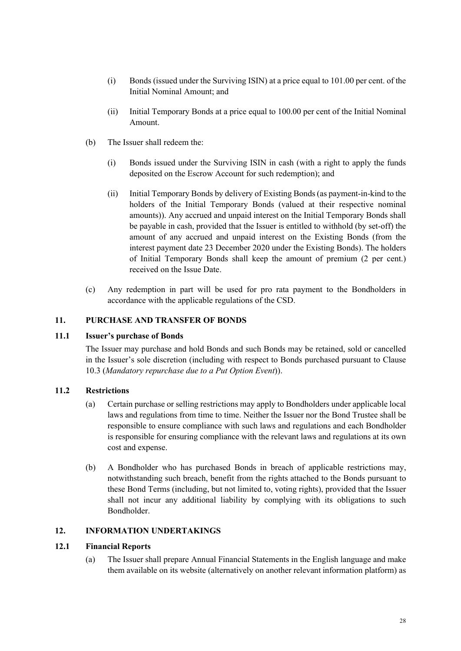- (i) Bonds (issued under the Surviving ISIN) at a price equal to 101.00 per cent. of the Initial Nominal Amount; and
- (ii) Initial Temporary Bonds at a price equal to 100.00 per cent of the Initial Nominal Amount.
- (b) The Issuer shall redeem the:
	- (i) Bonds issued under the Surviving ISIN in cash (with a right to apply the funds deposited on the Escrow Account for such redemption); and
	- (ii) Initial Temporary Bonds by delivery of Existing Bonds (as payment-in-kind to the holders of the Initial Temporary Bonds (valued at their respective nominal amounts)). Any accrued and unpaid interest on the Initial Temporary Bonds shall be payable in cash, provided that the Issuer is entitled to withhold (by set-off) the amount of any accrued and unpaid interest on the Existing Bonds (from the interest payment date 23 December 2020 under the Existing Bonds). The holders of Initial Temporary Bonds shall keep the amount of premium (2 per cent.) received on the Issue Date.
- (c) Any redemption in part will be used for pro rata payment to the Bondholders in accordance with the applicable regulations of the CSD.

## **11. PURCHASE AND TRANSFER OF BONDS**

#### **11.1 Issuer's purchase of Bonds**

<span id="page-51-0"></span>The Issuer may purchase and hold Bonds and such Bonds may be retained, sold or cancelled in the Issuer's sole discretion (including with respect to Bonds purchased pursuant to Clause [10.3](#page-50-0) (*Mandatory repurchase due to a Put Option Event*)).

#### **11.2 Restrictions**

- (a) Certain purchase or selling restrictions may apply to Bondholders under applicable local laws and regulations from time to time. Neither the Issuer nor the Bond Trustee shall be responsible to ensure compliance with such laws and regulations and each Bondholder is responsible for ensuring compliance with the relevant laws and regulations at its own cost and expense.
- (b) A Bondholder who has purchased Bonds in breach of applicable restrictions may, notwithstanding such breach, benefit from the rights attached to the Bonds pursuant to these Bond Terms (including, but not limited to, voting rights), provided that the Issuer shall not incur any additional liability by complying with its obligations to such Bondholder.

# **12. INFORMATION UNDERTAKINGS**

## **12.1 Financial Reports**

<span id="page-51-1"></span>(a) The Issuer shall prepare Annual Financial Statements in the English language and make them available on its website (alternatively on another relevant information platform) as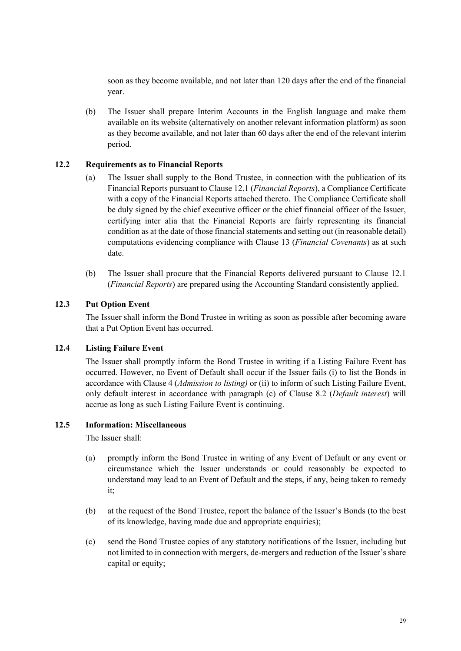soon as they become available, and not later than 120 days after the end of the financial year.

(b) The Issuer shall prepare Interim Accounts in the English language and make them available on its website (alternatively on another relevant information platform) as soon as they become available, and not later than 60 days after the end of the relevant interim period.

#### **12.2 Requirements as to Financial Reports**

- <span id="page-52-1"></span>(a) The Issuer shall supply to the Bond Trustee, in connection with the publication of its Financial Reports pursuant to Clause [12.1](#page-51-1) (*Financial Reports*), a Compliance Certificate with a copy of the Financial Reports attached thereto. The Compliance Certificate shall be duly signed by the chief executive officer or the chief financial officer of the Issuer, certifying inter alia that the Financial Reports are fairly representing its financial condition as at the date of those financial statements and setting out (in reasonable detail) computations evidencing compliance with Clause 13 (*Financial Covenants*) as at such date.
- (b) The Issuer shall procure that the Financial Reports delivered pursuant to Clause [12.1](#page-51-1) (*Financial Reports*) are prepared using the Accounting Standard consistently applied.

## **12.3 Put Option Event**

<span id="page-52-0"></span>The Issuer shall inform the Bond Trustee in writing as soon as possible after becoming aware that a Put Option Event has occurred.

### **12.4 Listing Failure Event**

The Issuer shall promptly inform the Bond Trustee in writing if a Listing Failure Event has occurred. However, no Event of Default shall occur if the Issuer fails (i) to list the Bonds in accordance with Clause [4](#page-41-2) (*Admission to listing)* or (ii) to inform of such Listing Failure Event, only default interest in accordance with paragraph (c) of Clause [8.2](#page-47-0) (*Default interest*) will accrue as long as such Listing Failure Event is continuing.

## **12.5 Information: Miscellaneous**

<span id="page-52-2"></span>The Issuer shall:

- (a) promptly inform the Bond Trustee in writing of any Event of Default or any event or circumstance which the Issuer understands or could reasonably be expected to understand may lead to an Event of Default and the steps, if any, being taken to remedy it;
- (b) at the request of the Bond Trustee, report the balance of the Issuer's Bonds (to the best of its knowledge, having made due and appropriate enquiries);
- (c) send the Bond Trustee copies of any statutory notifications of the Issuer, including but not limited to in connection with mergers, de-mergers and reduction of the Issuer's share capital or equity;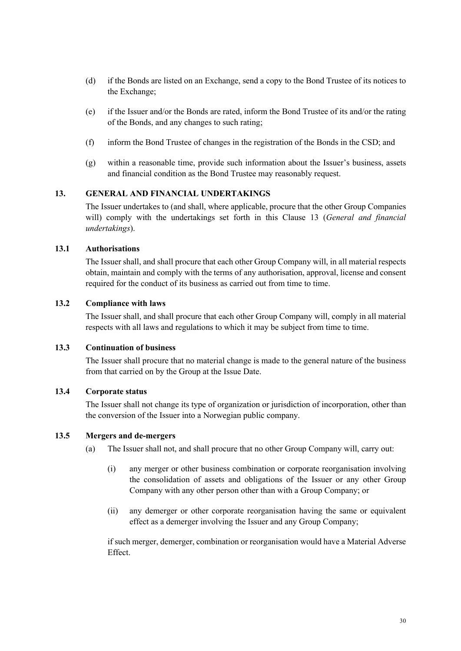- (d) if the Bonds are listed on an Exchange, send a copy to the Bond Trustee of its notices to the Exchange;
- (e) if the Issuer and/or the Bonds are rated, inform the Bond Trustee of its and/or the rating of the Bonds, and any changes to such rating;
- (f) inform the Bond Trustee of changes in the registration of the Bonds in the CSD; and
- (g) within a reasonable time, provide such information about the Issuer's business, assets and financial condition as the Bond Trustee may reasonably request.

## **13. GENERAL AND FINANCIAL UNDERTAKINGS**

<span id="page-53-0"></span>The Issuer undertakes to (and shall, where applicable, procure that the other Group Companies will) comply with the undertakings set forth in this Clause [13](#page-53-0) (*General and financial undertakings*).

## **13.1 Authorisations**

The Issuer shall, and shall procure that each other Group Company will, in all material respects obtain, maintain and comply with the terms of any authorisation, approval, license and consent required for the conduct of its business as carried out from time to time.

# **13.2 Compliance with laws**

<span id="page-53-1"></span>The Issuer shall, and shall procure that each other Group Company will, comply in all material respects with all laws and regulations to which it may be subject from time to time.

#### **13.3 Continuation of business**

The Issuer shall procure that no material change is made to the general nature of the business from that carried on by the Group at the Issue Date.

### **13.4 Corporate status**

The Issuer shall not change its type of organization or jurisdiction of incorporation, other than the conversion of the Issuer into a Norwegian public company.

#### **13.5 Mergers and de-mergers**

(a) The Issuer shall not, and shall procure that no other Group Company will, carry out:

- (i) any merger or other business combination or corporate reorganisation involving the consolidation of assets and obligations of the Issuer or any other Group Company with any other person other than with a Group Company; or
- (ii) any demerger or other corporate reorganisation having the same or equivalent effect as a demerger involving the Issuer and any Group Company;

if such merger, demerger, combination or reorganisation would have a Material Adverse Effect.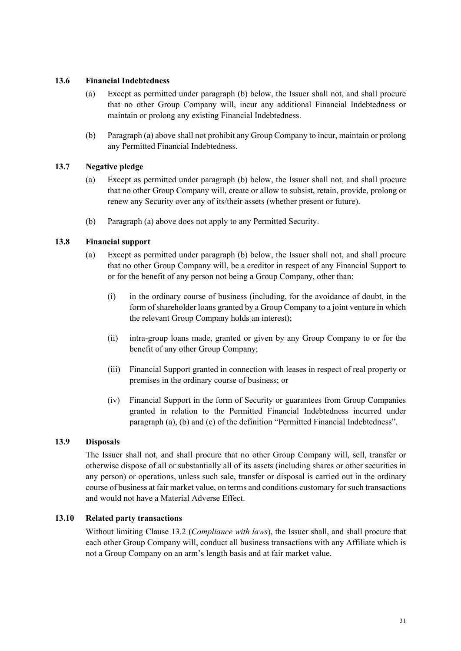## **13.6 Financial Indebtedness**

- (a) Except as permitted under paragraph (b) below, the Issuer shall not, and shall procure that no other Group Company will, incur any additional Financial Indebtedness or maintain or prolong any existing Financial Indebtedness.
- (b) Paragraph (a) above shall not prohibit any Group Company to incur, maintain or prolong any Permitted Financial Indebtedness.

# **13.7 Negative pledge**

- (a) Except as permitted under paragraph (b) below, the Issuer shall not, and shall procure that no other Group Company will, create or allow to subsist, retain, provide, prolong or renew any Security over any of its/their assets (whether present or future).
- (b) Paragraph (a) above does not apply to any Permitted Security.

# **13.8 Financial support**

- (a) Except as permitted under paragraph (b) below, the Issuer shall not, and shall procure that no other Group Company will, be a creditor in respect of any Financial Support to or for the benefit of any person not being a Group Company, other than:
	- (i) in the ordinary course of business (including, for the avoidance of doubt, in the form of shareholder loans granted by a Group Company to a joint venture in which the relevant Group Company holds an interest);
	- (ii) intra-group loans made, granted or given by any Group Company to or for the benefit of any other Group Company;
	- (iii) Financial Support granted in connection with leases in respect of real property or premises in the ordinary course of business; or
	- (iv) Financial Support in the form of Security or guarantees from Group Companies granted in relation to the Permitted Financial Indebtedness incurred under paragraph (a), (b) and (c) of the definition "Permitted Financial Indebtedness".

# **13.9 Disposals**

The Issuer shall not, and shall procure that no other Group Company will, sell, transfer or otherwise dispose of all or substantially all of its assets (including shares or other securities in any person) or operations, unless such sale, transfer or disposal is carried out in the ordinary course of business at fair market value, on terms and conditions customary for such transactions and would not have a Material Adverse Effect.

# **13.10 Related party transactions**

Without limiting Clause [13.2](#page-53-1) (*Compliance with laws*), the Issuer shall, and shall procure that each other Group Company will, conduct all business transactions with any Affiliate which is not a Group Company on an arm's length basis and at fair market value.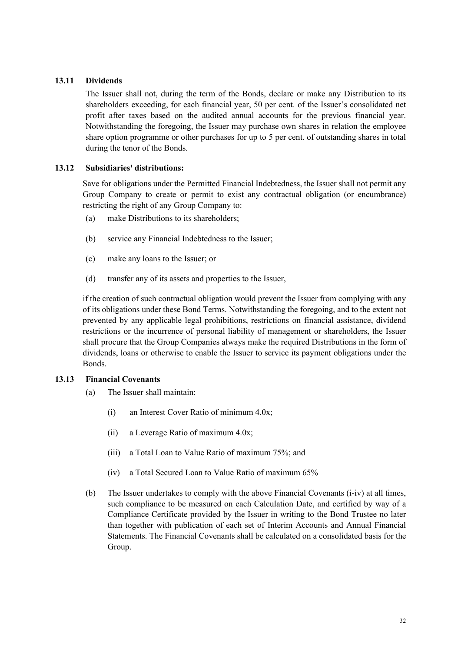# **13.11 Dividends**

The Issuer shall not, during the term of the Bonds, declare or make any Distribution to its shareholders exceeding, for each financial year, 50 per cent. of the Issuer's consolidated net profit after taxes based on the audited annual accounts for the previous financial year. Notwithstanding the foregoing, the Issuer may purchase own shares in relation the employee share option programme or other purchases for up to 5 per cent. of outstanding shares in total during the tenor of the Bonds.

#### **13.12 Subsidiaries' distributions:**

Save for obligations under the Permitted Financial Indebtedness, the Issuer shall not permit any Group Company to create or permit to exist any contractual obligation (or encumbrance) restricting the right of any Group Company to:

- (a) make Distributions to its shareholders;
- (b) service any Financial Indebtedness to the Issuer;
- (c) make any loans to the Issuer; or
- (d) transfer any of its assets and properties to the Issuer,

if the creation of such contractual obligation would prevent the Issuer from complying with any of its obligations under these Bond Terms. Notwithstanding the foregoing, and to the extent not prevented by any applicable legal prohibitions, restrictions on financial assistance, dividend restrictions or the incurrence of personal liability of management or shareholders, the Issuer shall procure that the Group Companies always make the required Distributions in the form of dividends, loans or otherwise to enable the Issuer to service its payment obligations under the Bonds.

## **13.13 Financial Covenants**

- (a) The Issuer shall maintain:
	- (i) an Interest Cover Ratio of minimum 4.0x;
	- (ii) a Leverage Ratio of maximum 4.0x;
	- (iii) a Total Loan to Value Ratio of maximum 75%; and
	- (iv) a Total Secured Loan to Value Ratio of maximum 65%
- (b) The Issuer undertakes to comply with the above Financial Covenants (i-iv) at all times, such compliance to be measured on each Calculation Date, and certified by way of a Compliance Certificate provided by the Issuer in writing to the Bond Trustee no later than together with publication of each set of Interim Accounts and Annual Financial Statements. The Financial Covenants shall be calculated on a consolidated basis for the Group.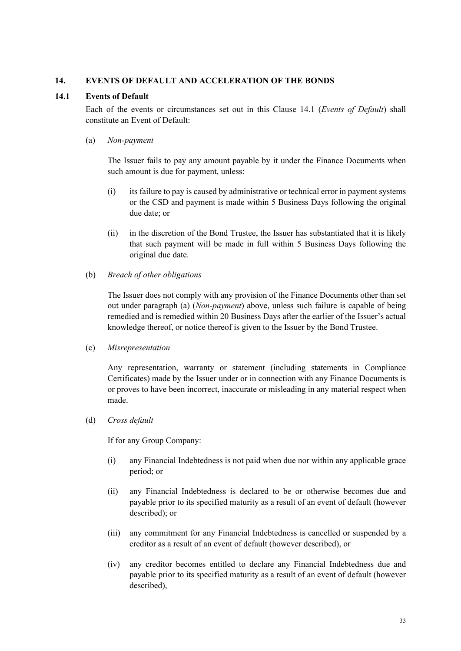## **14. EVENTS OF DEFAULT AND ACCELERATION OF THE BONDS**

### **14.1 Events of Default**

<span id="page-56-0"></span>Each of the events or circumstances set out in this Clause 14.1 (*Events of Default*) shall constitute an Event of Default:

### (a) *Non-payment*

The Issuer fails to pay any amount payable by it under the Finance Documents when such amount is due for payment, unless:

- (i) its failure to pay is caused by administrative or technical error in payment systems or the CSD and payment is made within 5 Business Days following the original due date; or
- (ii) in the discretion of the Bond Trustee, the Issuer has substantiated that it is likely that such payment will be made in full within 5 Business Days following the original due date.

#### (b) *Breach of other obligations*

The Issuer does not comply with any provision of the Finance Documents other than set out under paragraph (a) (*Non-payment*) above, unless such failure is capable of being remedied and is remedied within 20 Business Days after the earlier of the Issuer's actual knowledge thereof, or notice thereof is given to the Issuer by the Bond Trustee.

(c) *Misrepresentation* 

Any representation, warranty or statement (including statements in Compliance Certificates) made by the Issuer under or in connection with any Finance Documents is or proves to have been incorrect, inaccurate or misleading in any material respect when made.

(d) *Cross default*

If for any Group Company:

- (i) any Financial Indebtedness is not paid when due nor within any applicable grace period; or
- (ii) any Financial Indebtedness is declared to be or otherwise becomes due and payable prior to its specified maturity as a result of an event of default (however described); or
- (iii) any commitment for any Financial Indebtedness is cancelled or suspended by a creditor as a result of an event of default (however described), or
- (iv) any creditor becomes entitled to declare any Financial Indebtedness due and payable prior to its specified maturity as a result of an event of default (however described),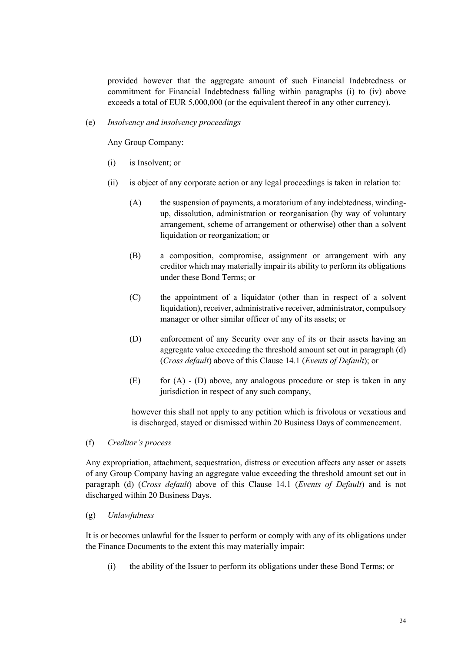provided however that the aggregate amount of such Financial Indebtedness or commitment for Financial Indebtedness falling within paragraphs (i) to (iv) above exceeds a total of EUR 5,000,000 (or the equivalent thereof in any other currency).

(e) *Insolvency and insolvency proceedings*

Any Group Company:

- (i) is Insolvent; or
- (ii) is object of any corporate action or any legal proceedings is taken in relation to:
	- $(A)$  the suspension of payments, a moratorium of any indebtedness, windingup, dissolution, administration or reorganisation (by way of voluntary arrangement, scheme of arrangement or otherwise) other than a solvent liquidation or reorganization; or
	- (B) a composition, compromise, assignment or arrangement with any creditor which may materially impair its ability to perform its obligations under these Bond Terms; or
	- (C) the appointment of a liquidator (other than in respect of a solvent liquidation), receiver, administrative receiver, administrator, compulsory manager or other similar officer of any of its assets; or
	- (D) enforcement of any Security over any of its or their assets having an aggregate value exceeding the threshold amount set out in paragraph (d) (*Cross default*) above of this Clause [14.1](#page-56-0) (*Events of Default*); or
	- $(E)$  for  $(A)$   $(D)$  above, any analogous procedure or step is taken in any jurisdiction in respect of any such company,

however this shall not apply to any petition which is frivolous or vexatious and is discharged, stayed or dismissed within 20 Business Days of commencement.

(f) *Creditor's process*

Any expropriation, attachment, sequestration, distress or execution affects any asset or assets of any Group Company having an aggregate value exceeding the threshold amount set out in paragraph (d) (*Cross default*) above of this Clause [14.1](#page-56-0) (*Events of Default*) and is not discharged within 20 Business Days.

#### (g) *Unlawfulness*

It is or becomes unlawful for the Issuer to perform or comply with any of its obligations under the Finance Documents to the extent this may materially impair:

(i) the ability of the Issuer to perform its obligations under these Bond Terms; or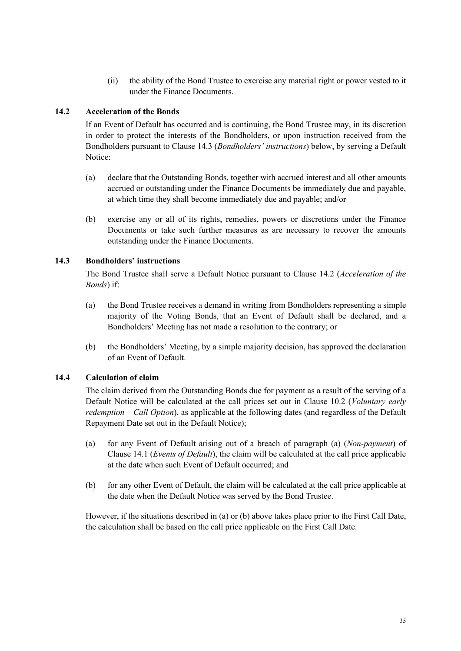(ii) the ability of the Bond Trustee to exercise any material right or power vested to it under the Finance Documents.

# **14.2 Acceleration of the Bonds**

<span id="page-58-0"></span>If an Event of Default has occurred and is continuing, the Bond Trustee may, in its discretion in order to protect the interests of the Bondholders, or upon instruction received from the Bondholders pursuant to Clause [14.3](#page-58-1) (*Bondholders' instructions*) below, by serving a Default Notice:

- (a) declare that the Outstanding Bonds, together with accrued interest and all other amounts accrued or outstanding under the Finance Documents be immediately due and payable, at which time they shall become immediately due and payable; and/or
- (b) exercise any or all of its rights, remedies, powers or discretions under the Finance Documents or take such further measures as are necessary to recover the amounts outstanding under the Finance Documents.

# **14.3 Bondholders' instructions**

<span id="page-58-1"></span>The Bond Trustee shall serve a Default Notice pursuant to Clause [14.2](#page-58-0) (*Acceleration of the Bonds*) if:

- (a) the Bond Trustee receives a demand in writing from Bondholders representing a simple majority of the Voting Bonds, that an Event of Default shall be declared, and a Bondholders' Meeting has not made a resolution to the contrary; or
- (b) the Bondholders' Meeting, by a simple majority decision, has approved the declaration of an Event of Default.

# **14.4 Calculation of claim**

The claim derived from the Outstanding Bonds due for payment as a result of the serving of a Default Notice will be calculated at the call prices set out in Clause 10.2 (*Voluntary early redemption – Call Option*), as applicable at the following dates (and regardless of the Default Repayment Date set out in the Default Notice);

- (a) for any Event of Default arising out of a breach of paragraph (a) (*Non-payment*) of Clause 14.1 (*Events of Default*), the claim will be calculated at the call price applicable at the date when such Event of Default occurred; and
- (b) for any other Event of Default, the claim will be calculated at the call price applicable at the date when the Default Notice was served by the Bond Trustee.

However, if the situations described in (a) or (b) above takes place prior to the First Call Date, the calculation shall be based on the call price applicable on the First Call Date.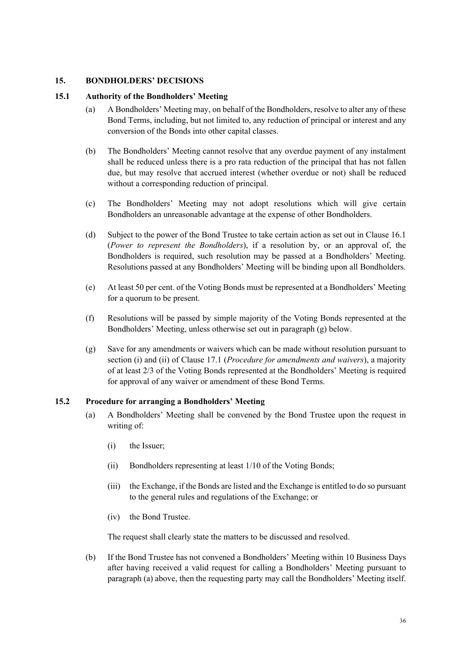## **15. BONDHOLDERS' DECISIONS**

### **15.1 Authority of the Bondholders' Meeting**

- <span id="page-59-3"></span><span id="page-59-0"></span>(a) A Bondholders' Meeting may, on behalf of the Bondholders, resolve to alter any of these Bond Terms, including, but not limited to, any reduction of principal or interest and any conversion of the Bonds into other capital classes.
- (b) The Bondholders' Meeting cannot resolve that any overdue payment of any instalment shall be reduced unless there is a pro rata reduction of the principal that has not fallen due, but may resolve that accrued interest (whether overdue or not) shall be reduced without a corresponding reduction of principal.
- (c) The Bondholders' Meeting may not adopt resolutions which will give certain Bondholders an unreasonable advantage at the expense of other Bondholders.
- (d) Subject to the power of the Bond Trustee to take certain action as set out in Clause [16.1](#page-63-0) (*Power to represent the Bondholders*), if a resolution by, or an approval of, the Bondholders is required, such resolution may be passed at a Bondholders' Meeting. Resolutions passed at any Bondholders' Meeting will be binding upon all Bondholders.
- (e) At least 50 per cent. of the Voting Bonds must be represented at a Bondholders' Meeting for a quorum to be present.
- (f) Resolutions will be passed by simple majority of the Voting Bonds represented at the Bondholders' Meeting, unless otherwise set out in paragraph [\(g\)](#page-59-1) below.
- <span id="page-59-1"></span>(g) Save for any amendments or waivers which can be made without resolution pursuant to section (i) and (ii) of Clause [17.1](#page-67-0) (*Procedure for amendments and waivers*), a majority of at least 2/3 of the Voting Bonds represented at the Bondholders' Meeting is required for approval of any waiver or amendment of these Bond Terms.

#### **15.2 Procedure for arranging a Bondholders' Meeting**

- <span id="page-59-4"></span><span id="page-59-2"></span>(a) A Bondholders' Meeting shall be convened by the Bond Trustee upon the request in writing of:
	- (i) the Issuer;
	- (ii) Bondholders representing at least 1/10 of the Voting Bonds;
	- (iii) the Exchange, if the Bonds are listed and the Exchange is entitled to do so pursuant to the general rules and regulations of the Exchange; or
	- (iv) the Bond Trustee.

The request shall clearly state the matters to be discussed and resolved.

(b) If the Bond Trustee has not convened a Bondholders' Meeting within 10 Business Days after having received a valid request for calling a Bondholders' Meeting pursuant to paragraph [\(a\)](#page-59-2) above, then the requesting party may call the Bondholders' Meeting itself.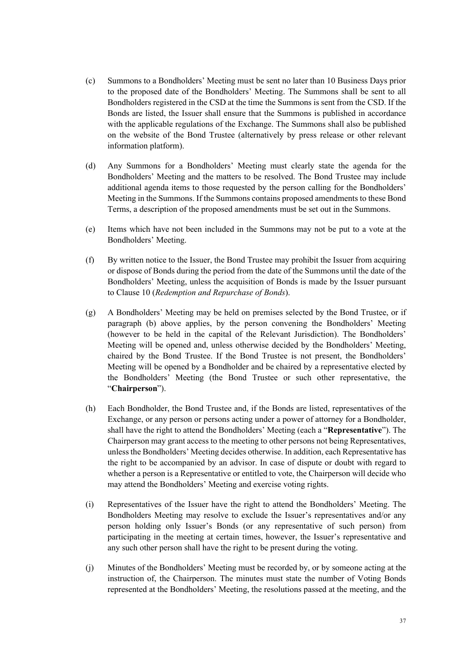- (c) Summons to a Bondholders' Meeting must be sent no later than 10 Business Days prior to the proposed date of the Bondholders' Meeting. The Summons shall be sent to all Bondholders registered in the CSD at the time the Summons is sent from the CSD. If the Bonds are listed, the Issuer shall ensure that the Summons is published in accordance with the applicable regulations of the Exchange. The Summons shall also be published on the website of the Bond Trustee (alternatively by press release or other relevant information platform).
- (d) Any Summons for a Bondholders' Meeting must clearly state the agenda for the Bondholders' Meeting and the matters to be resolved. The Bond Trustee may include additional agenda items to those requested by the person calling for the Bondholders' Meeting in the Summons. If the Summons contains proposed amendments to these Bond Terms, a description of the proposed amendments must be set out in the Summons.
- (e) Items which have not been included in the Summons may not be put to a vote at the Bondholders' Meeting.
- (f) By written notice to the Issuer, the Bond Trustee may prohibit the Issuer from acquiring or dispose of Bonds during the period from the date of the Summons until the date of the Bondholders' Meeting, unless the acquisition of Bonds is made by the Issuer pursuant to Clause [10](#page-49-0) (*Redemption and Repurchase of Bonds*).
- (g) A Bondholders' Meeting may be held on premises selected by the Bond Trustee, or if paragraph (b) above applies, by the person convening the Bondholders' Meeting (however to be held in the capital of the Relevant Jurisdiction). The Bondholders' Meeting will be opened and, unless otherwise decided by the Bondholders' Meeting, chaired by the Bond Trustee. If the Bond Trustee is not present, the Bondholders' Meeting will be opened by a Bondholder and be chaired by a representative elected by the Bondholders' Meeting (the Bond Trustee or such other representative, the "**Chairperson**").
- (h) Each Bondholder, the Bond Trustee and, if the Bonds are listed, representatives of the Exchange, or any person or persons acting under a power of attorney for a Bondholder, shall have the right to attend the Bondholders' Meeting (each a "**Representative**"). The Chairperson may grant access to the meeting to other persons not being Representatives, unless the Bondholders' Meeting decides otherwise. In addition, each Representative has the right to be accompanied by an advisor. In case of dispute or doubt with regard to whether a person is a Representative or entitled to vote, the Chairperson will decide who may attend the Bondholders' Meeting and exercise voting rights.
- (i) Representatives of the Issuer have the right to attend the Bondholders' Meeting. The Bondholders Meeting may resolve to exclude the Issuer's representatives and/or any person holding only Issuer's Bonds (or any representative of such person) from participating in the meeting at certain times, however, the Issuer's representative and any such other person shall have the right to be present during the voting.
- (j) Minutes of the Bondholders' Meeting must be recorded by, or by someone acting at the instruction of, the Chairperson. The minutes must state the number of Voting Bonds represented at the Bondholders' Meeting, the resolutions passed at the meeting, and the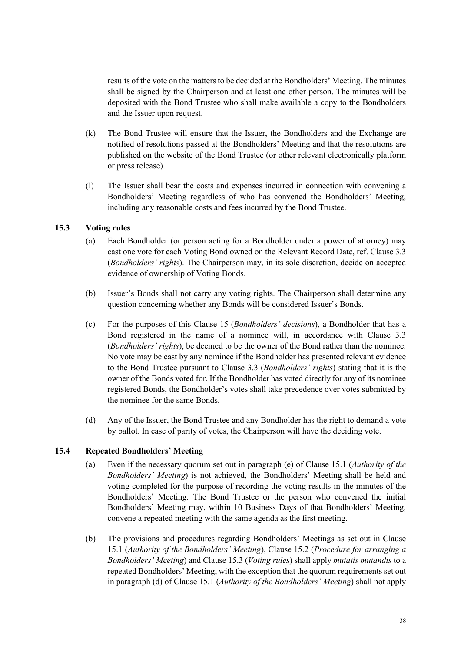results of the vote on the matters to be decided at the Bondholders' Meeting. The minutes shall be signed by the Chairperson and at least one other person. The minutes will be deposited with the Bond Trustee who shall make available a copy to the Bondholders and the Issuer upon request.

- (k) The Bond Trustee will ensure that the Issuer, the Bondholders and the Exchange are notified of resolutions passed at the Bondholders' Meeting and that the resolutions are published on the website of the Bond Trustee (or other relevant electronically platform or press release).
- (l) The Issuer shall bear the costs and expenses incurred in connection with convening a Bondholders' Meeting regardless of who has convened the Bondholders' Meeting, including any reasonable costs and fees incurred by the Bond Trustee.

# **15.3 Voting rules**

- <span id="page-61-0"></span>(a) Each Bondholder (or person acting for a Bondholder under a power of attorney) may cast one vote for each Voting Bond owned on the Relevant Record Date, ref. Clause [3.3](#page-41-1) (*Bondholders' rights*). The Chairperson may, in its sole discretion, decide on accepted evidence of ownership of Voting Bonds.
- (b) Issuer's Bonds shall not carry any voting rights. The Chairperson shall determine any question concerning whether any Bonds will be considered Issuer's Bonds.
- (c) For the purposes of this Clause [15](#page-59-3) (*Bondholders' decisions*), a Bondholder that has a Bond registered in the name of a nominee will, in accordance with Clause [3.3](#page-41-1) (*Bondholders' rights*), be deemed to be the owner of the Bond rather than the nominee. No vote may be cast by any nominee if the Bondholder has presented relevant evidence to the Bond Trustee pursuant to Clause [3.3](#page-41-1) (*Bondholders' rights*) stating that it is the owner of the Bonds voted for. If the Bondholder has voted directly for any of its nominee registered Bonds, the Bondholder's votes shall take precedence over votes submitted by the nominee for the same Bonds.
- (d) Any of the Issuer, the Bond Trustee and any Bondholder has the right to demand a vote by ballot. In case of parity of votes, the Chairperson will have the deciding vote.

# **15.4 Repeated Bondholders' Meeting**

- <span id="page-61-1"></span>(a) Even if the necessary quorum set out in paragraph (e) of Clause [15.1](#page-59-0) (*Authority of the Bondholders' Meeting*) is not achieved, the Bondholders' Meeting shall be held and voting completed for the purpose of recording the voting results in the minutes of the Bondholders' Meeting. The Bond Trustee or the person who convened the initial Bondholders' Meeting may, within 10 Business Days of that Bondholders' Meeting, convene a repeated meeting with the same agenda as the first meeting.
- (b) The provisions and procedures regarding Bondholders' Meetings as set out in Clause [15.1](#page-59-0) (*Authority of the Bondholders' Meeting*), Clause [15.2](#page-59-4) (*Procedure for arranging a Bondholders' Meeting*) and Clause [15.3](#page-61-0) (*Voting rules*) shall apply *mutatis mutandis* to a repeated Bondholders' Meeting, with the exception that the quorum requirements set out in paragraph (d) of Clause [15.1](#page-59-0) (*Authority of the Bondholders' Meeting*) shall not apply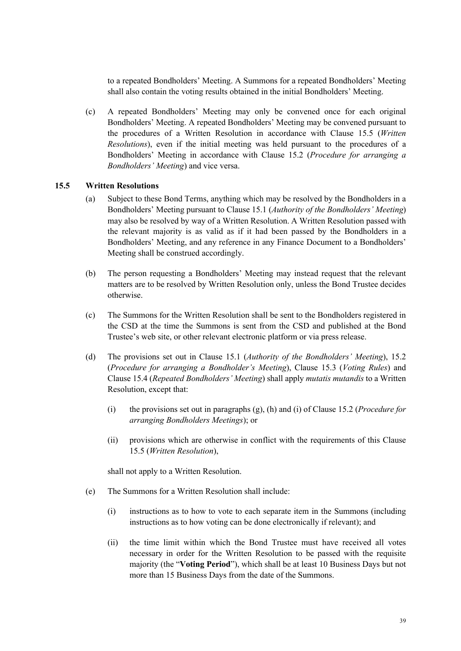to a repeated Bondholders' Meeting. A Summons for a repeated Bondholders' Meeting shall also contain the voting results obtained in the initial Bondholders' Meeting.

(c) A repeated Bondholders' Meeting may only be convened once for each original Bondholders' Meeting. A repeated Bondholders' Meeting may be convened pursuant to the procedures of a Written Resolution in accordance with Clause [15.5](#page-62-0) (*Written Resolutions*), even if the initial meeting was held pursuant to the procedures of a Bondholders' Meeting in accordance with Clause [15.2](#page-59-4) (*Procedure for arranging a Bondholders' Meeting*) and vice versa.

#### **15.5 Written Resolutions**

- <span id="page-62-0"></span>(a) Subject to these Bond Terms, anything which may be resolved by the Bondholders in a Bondholders' Meeting pursuant to Clause [15.1](#page-59-0) (*Authority of the Bondholders' Meeting*) may also be resolved by way of a Written Resolution. A Written Resolution passed with the relevant majority is as valid as if it had been passed by the Bondholders in a Bondholders' Meeting, and any reference in any Finance Document to a Bondholders' Meeting shall be construed accordingly.
- (b) The person requesting a Bondholders' Meeting may instead request that the relevant matters are to be resolved by Written Resolution only, unless the Bond Trustee decides otherwise.
- (c) The Summons for the Written Resolution shall be sent to the Bondholders registered in the CSD at the time the Summons is sent from the CSD and published at the Bond Trustee's web site, or other relevant electronic platform or via press release.
- (d) The provisions set out in Clause [15.1](#page-59-0) (*Authority of the Bondholders' Meeting*), [15.2](#page-59-4) (*Procedure for arranging a Bondholder's Meeting*), Clause [15.3](#page-61-0) (*Voting Rules*) and Clause [15.4](#page-61-1) (*Repeated Bondholders' Meeting*) shall apply *mutatis mutandis* to a Written Resolution, except that:
	- (i) the provisions set out in paragraphs (g), (h) and (i) of Clause [15.2](#page-59-4) (*Procedure for arranging Bondholders Meetings*); or
	- (ii) provisions which are otherwise in conflict with the requirements of this Clause [15.5](#page-62-0) (*Written Resolution*),

shall not apply to a Written Resolution.

- (e) The Summons for a Written Resolution shall include:
	- (i) instructions as to how to vote to each separate item in the Summons (including instructions as to how voting can be done electronically if relevant); and
	- (ii) the time limit within which the Bond Trustee must have received all votes necessary in order for the Written Resolution to be passed with the requisite majority (the "**Voting Period**"), which shall be at least 10 Business Days but not more than 15 Business Days from the date of the Summons.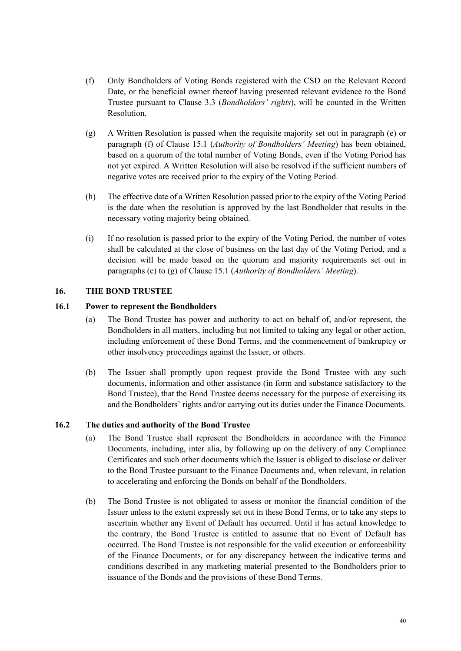- (f) Only Bondholders of Voting Bonds registered with the CSD on the Relevant Record Date, or the beneficial owner thereof having presented relevant evidence to the Bond Trustee pursuant to Clause [3.3](#page-41-1) (*Bondholders' rights*), will be counted in the Written Resolution.
- (g) A Written Resolution is passed when the requisite majority set out in paragraph (e) or paragraph (f) of Clause [15.1](#page-59-0) (*Authority of Bondholders' Meeting*) has been obtained, based on a quorum of the total number of Voting Bonds, even if the Voting Period has not yet expired. A Written Resolution will also be resolved if the sufficient numbers of negative votes are received prior to the expiry of the Voting Period.
- (h) The effective date of a Written Resolution passed prior to the expiry of the Voting Period is the date when the resolution is approved by the last Bondholder that results in the necessary voting majority being obtained.
- (i) If no resolution is passed prior to the expiry of the Voting Period, the number of votes shall be calculated at the close of business on the last day of the Voting Period, and a decision will be made based on the quorum and majority requirements set out in paragraphs (e) to (g) of Clause [15.1](#page-59-0) (*Authority of Bondholders' Meeting*).

# **16. THE BOND TRUSTEE**

## **16.1 Power to represent the Bondholders**

- <span id="page-63-0"></span>(a) The Bond Trustee has power and authority to act on behalf of, and/or represent, the Bondholders in all matters, including but not limited to taking any legal or other action, including enforcement of these Bond Terms, and the commencement of bankruptcy or other insolvency proceedings against the Issuer, or others.
- (b) The Issuer shall promptly upon request provide the Bond Trustee with any such documents, information and other assistance (in form and substance satisfactory to the Bond Trustee), that the Bond Trustee deems necessary for the purpose of exercising its and the Bondholders' rights and/or carrying out its duties under the Finance Documents.

#### **16.2 The duties and authority of the Bond Trustee**

- (a) The Bond Trustee shall represent the Bondholders in accordance with the Finance Documents, including, inter alia, by following up on the delivery of any Compliance Certificates and such other documents which the Issuer is obliged to disclose or deliver to the Bond Trustee pursuant to the Finance Documents and, when relevant, in relation to accelerating and enforcing the Bonds on behalf of the Bondholders.
- (b) The Bond Trustee is not obligated to assess or monitor the financial condition of the Issuer unless to the extent expressly set out in these Bond Terms, or to take any steps to ascertain whether any Event of Default has occurred. Until it has actual knowledge to the contrary, the Bond Trustee is entitled to assume that no Event of Default has occurred. The Bond Trustee is not responsible for the valid execution or enforceability of the Finance Documents, or for any discrepancy between the indicative terms and conditions described in any marketing material presented to the Bondholders prior to issuance of the Bonds and the provisions of these Bond Terms.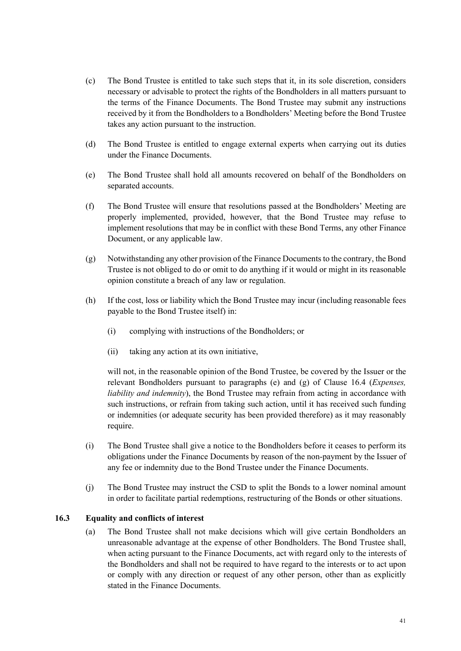- (c) The Bond Trustee is entitled to take such steps that it, in its sole discretion, considers necessary or advisable to protect the rights of the Bondholders in all matters pursuant to the terms of the Finance Documents. The Bond Trustee may submit any instructions received by it from the Bondholders to a Bondholders' Meeting before the Bond Trustee takes any action pursuant to the instruction.
- (d) The Bond Trustee is entitled to engage external experts when carrying out its duties under the Finance Documents.
- (e) The Bond Trustee shall hold all amounts recovered on behalf of the Bondholders on separated accounts.
- (f) The Bond Trustee will ensure that resolutions passed at the Bondholders' Meeting are properly implemented, provided, however, that the Bond Trustee may refuse to implement resolutions that may be in conflict with these Bond Terms, any other Finance Document, or any applicable law.
- (g) Notwithstanding any other provision of the Finance Documents to the contrary, the Bond Trustee is not obliged to do or omit to do anything if it would or might in its reasonable opinion constitute a breach of any law or regulation.
- (h) If the cost, loss or liability which the Bond Trustee may incur (including reasonable fees payable to the Bond Trustee itself) in:
	- (i) complying with instructions of the Bondholders; or
	- (ii) taking any action at its own initiative,

will not, in the reasonable opinion of the Bond Trustee, be covered by the Issuer or the relevant Bondholders pursuant to paragraphs (e) and (g) of Clause [16.4](#page-65-0) (*Expenses, liability and indemnity*), the Bond Trustee may refrain from acting in accordance with such instructions, or refrain from taking such action, until it has received such funding or indemnities (or adequate security has been provided therefore) as it may reasonably require.

- (i) The Bond Trustee shall give a notice to the Bondholders before it ceases to perform its obligations under the Finance Documents by reason of the non-payment by the Issuer of any fee or indemnity due to the Bond Trustee under the Finance Documents.
- (j) The Bond Trustee may instruct the CSD to split the Bonds to a lower nominal amount in order to facilitate partial redemptions, restructuring of the Bonds or other situations.

#### **16.3 Equality and conflicts of interest**

(a) The Bond Trustee shall not make decisions which will give certain Bondholders an unreasonable advantage at the expense of other Bondholders. The Bond Trustee shall, when acting pursuant to the Finance Documents, act with regard only to the interests of the Bondholders and shall not be required to have regard to the interests or to act upon or comply with any direction or request of any other person, other than as explicitly stated in the Finance Documents.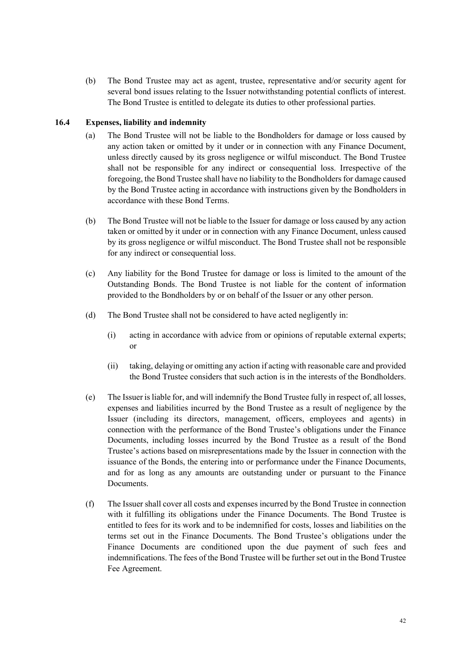(b) The Bond Trustee may act as agent, trustee, representative and/or security agent for several bond issues relating to the Issuer notwithstanding potential conflicts of interest. The Bond Trustee is entitled to delegate its duties to other professional parties.

# **16.4 Expenses, liability and indemnity**

- <span id="page-65-0"></span>(a) The Bond Trustee will not be liable to the Bondholders for damage or loss caused by any action taken or omitted by it under or in connection with any Finance Document, unless directly caused by its gross negligence or wilful misconduct. The Bond Trustee shall not be responsible for any indirect or consequential loss. Irrespective of the foregoing, the Bond Trustee shall have no liability to the Bondholders for damage caused by the Bond Trustee acting in accordance with instructions given by the Bondholders in accordance with these Bond Terms.
- (b) The Bond Trustee will not be liable to the Issuer for damage or loss caused by any action taken or omitted by it under or in connection with any Finance Document, unless caused by its gross negligence or wilful misconduct. The Bond Trustee shall not be responsible for any indirect or consequential loss.
- (c) Any liability for the Bond Trustee for damage or loss is limited to the amount of the Outstanding Bonds. The Bond Trustee is not liable for the content of information provided to the Bondholders by or on behalf of the Issuer or any other person.
- (d) The Bond Trustee shall not be considered to have acted negligently in:
	- (i) acting in accordance with advice from or opinions of reputable external experts; or
	- (ii) taking, delaying or omitting any action if acting with reasonable care and provided the Bond Trustee considers that such action is in the interests of the Bondholders.
- (e) The Issuer is liable for, and will indemnify the Bond Trustee fully in respect of, all losses, expenses and liabilities incurred by the Bond Trustee as a result of negligence by the Issuer (including its directors, management, officers, employees and agents) in connection with the performance of the Bond Trustee's obligations under the Finance Documents, including losses incurred by the Bond Trustee as a result of the Bond Trustee's actions based on misrepresentations made by the Issuer in connection with the issuance of the Bonds, the entering into or performance under the Finance Documents, and for as long as any amounts are outstanding under or pursuant to the Finance Documents.
- (f) The Issuer shall cover all costs and expenses incurred by the Bond Trustee in connection with it fulfilling its obligations under the Finance Documents. The Bond Trustee is entitled to fees for its work and to be indemnified for costs, losses and liabilities on the terms set out in the Finance Documents. The Bond Trustee's obligations under the Finance Documents are conditioned upon the due payment of such fees and indemnifications. The fees of the Bond Trustee will be further set out in the Bond Trustee Fee Agreement.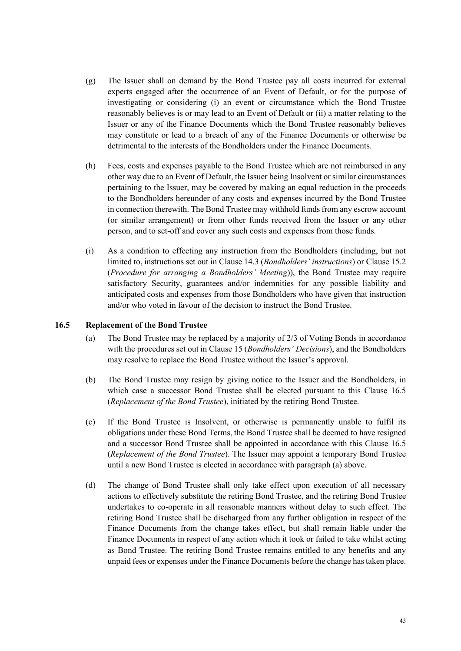- (g) The Issuer shall on demand by the Bond Trustee pay all costs incurred for external experts engaged after the occurrence of an Event of Default, or for the purpose of investigating or considering (i) an event or circumstance which the Bond Trustee reasonably believes is or may lead to an Event of Default or (ii) a matter relating to the Issuer or any of the Finance Documents which the Bond Trustee reasonably believes may constitute or lead to a breach of any of the Finance Documents or otherwise be detrimental to the interests of the Bondholders under the Finance Documents.
- (h) Fees, costs and expenses payable to the Bond Trustee which are not reimbursed in any other way due to an Event of Default, the Issuer being Insolvent or similar circumstances pertaining to the Issuer, may be covered by making an equal reduction in the proceeds to the Bondholders hereunder of any costs and expenses incurred by the Bond Trustee in connection therewith. The Bond Trustee may withhold funds from any escrow account (or similar arrangement) or from other funds received from the Issuer or any other person, and to set-off and cover any such costs and expenses from those funds.
- (i) As a condition to effecting any instruction from the Bondholders (including, but not limited to, instructions set out in Clause [14.3](#page-58-1) (*Bondholders' instructions*) or Clause [15.2](#page-59-4) (*Procedure for arranging a Bondholders' Meeting*)), the Bond Trustee may require satisfactory Security, guarantees and/or indemnities for any possible liability and anticipated costs and expenses from those Bondholders who have given that instruction and/or who voted in favour of the decision to instruct the Bond Trustee.

## **16.5 Replacement of the Bond Trustee**

- <span id="page-66-1"></span><span id="page-66-0"></span>(a) The Bond Trustee may be replaced by a majority of 2/3 of Voting Bonds in accordance with the procedures set out in Clause [15](#page-59-3) (*Bondholders' Decisions*), and the Bondholders may resolve to replace the Bond Trustee without the Issuer's approval.
- (b) The Bond Trustee may resign by giving notice to the Issuer and the Bondholders, in which case a successor Bond Trustee shall be elected pursuant to this Clause [16.5](#page-66-0) (*Replacement of the Bond Trustee*), initiated by the retiring Bond Trustee.
- (c) If the Bond Trustee is Insolvent, or otherwise is permanently unable to fulfil its obligations under these Bond Terms, the Bond Trustee shall be deemed to have resigned and a successor Bond Trustee shall be appointed in accordance with this Clause [16.5](#page-66-0) (*Replacement of the Bond Trustee*). The Issuer may appoint a temporary Bond Trustee until a new Bond Trustee is elected in accordance with paragraph [\(a\)](#page-66-1) above.
- (d) The change of Bond Trustee shall only take effect upon execution of all necessary actions to effectively substitute the retiring Bond Trustee, and the retiring Bond Trustee undertakes to co-operate in all reasonable manners without delay to such effect. The retiring Bond Trustee shall be discharged from any further obligation in respect of the Finance Documents from the change takes effect, but shall remain liable under the Finance Documents in respect of any action which it took or failed to take whilst acting as Bond Trustee. The retiring Bond Trustee remains entitled to any benefits and any unpaid fees or expenses under the Finance Documents before the change has taken place.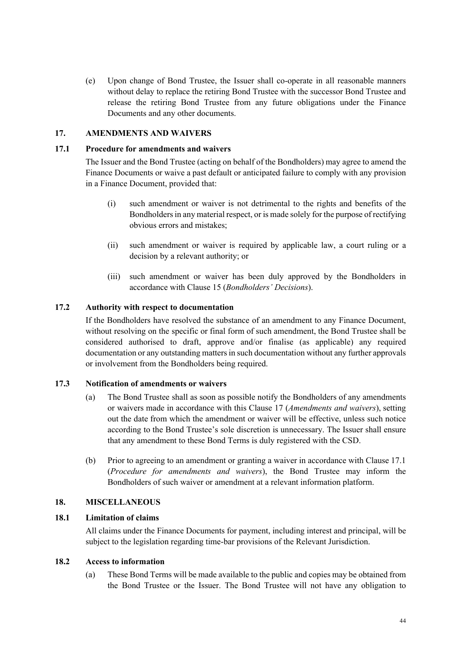(e) Upon change of Bond Trustee, the Issuer shall co-operate in all reasonable manners without delay to replace the retiring Bond Trustee with the successor Bond Trustee and release the retiring Bond Trustee from any future obligations under the Finance Documents and any other documents.

### **17. AMENDMENTS AND WAIVERS**

## **17.1 Procedure for amendments and waivers**

<span id="page-67-1"></span><span id="page-67-0"></span>The Issuer and the Bond Trustee (acting on behalf of the Bondholders) may agree to amend the Finance Documents or waive a past default or anticipated failure to comply with any provision in a Finance Document, provided that:

- (i) such amendment or waiver is not detrimental to the rights and benefits of the Bondholders in any material respect, or is made solely for the purpose of rectifying obvious errors and mistakes;
- (ii) such amendment or waiver is required by applicable law, a court ruling or a decision by a relevant authority; or
- (iii) such amendment or waiver has been duly approved by the Bondholders in accordance with Clause [15](#page-59-3) (*Bondholders' Decisions*).

## **17.2 Authority with respect to documentation**

If the Bondholders have resolved the substance of an amendment to any Finance Document, without resolving on the specific or final form of such amendment, the Bond Trustee shall be considered authorised to draft, approve and/or finalise (as applicable) any required documentation or any outstanding matters in such documentation without any further approvals or involvement from the Bondholders being required.

#### **17.3 Notification of amendments or waivers**

- (a) The Bond Trustee shall as soon as possible notify the Bondholders of any amendments or waivers made in accordance with this Clause [17](#page-67-1) (*Amendments and waivers*), setting out the date from which the amendment or waiver will be effective, unless such notice according to the Bond Trustee's sole discretion is unnecessary. The Issuer shall ensure that any amendment to these Bond Terms is duly registered with the CSD.
- (b) Prior to agreeing to an amendment or granting a waiver in accordance with Clause [17.1](#page-67-0) (*Procedure for amendments and waivers*), the Bond Trustee may inform the Bondholders of such waiver or amendment at a relevant information platform.

# **18. MISCELLANEOUS**

#### **18.1 Limitation of claims**

All claims under the Finance Documents for payment, including interest and principal, will be subject to the legislation regarding time-bar provisions of the Relevant Jurisdiction.

### **18.2 Access to information**

(a) These Bond Terms will be made available to the public and copies may be obtained from the Bond Trustee or the Issuer. The Bond Trustee will not have any obligation to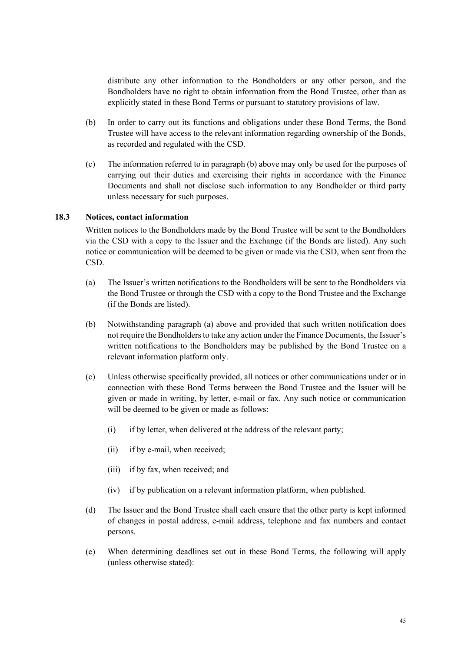distribute any other information to the Bondholders or any other person, and the Bondholders have no right to obtain information from the Bond Trustee, other than as explicitly stated in these Bond Terms or pursuant to statutory provisions of law.

- (b) In order to carry out its functions and obligations under these Bond Terms, the Bond Trustee will have access to the relevant information regarding ownership of the Bonds, as recorded and regulated with the CSD.
- (c) The information referred to in paragraph (b) above may only be used for the purposes of carrying out their duties and exercising their rights in accordance with the Finance Documents and shall not disclose such information to any Bondholder or third party unless necessary for such purposes.

#### **18.3 Notices, contact information**

Written notices to the Bondholders made by the Bond Trustee will be sent to the Bondholders via the CSD with a copy to the Issuer and the Exchange (if the Bonds are listed). Any such notice or communication will be deemed to be given or made via the CSD, when sent from the CSD.

- (a) The Issuer's written notifications to the Bondholders will be sent to the Bondholders via the Bond Trustee or through the CSD with a copy to the Bond Trustee and the Exchange (if the Bonds are listed).
- (b) Notwithstanding paragraph (a) above and provided that such written notification does not require the Bondholders to take any action under the Finance Documents, the Issuer's written notifications to the Bondholders may be published by the Bond Trustee on a relevant information platform only.
- (c) Unless otherwise specifically provided, all notices or other communications under or in connection with these Bond Terms between the Bond Trustee and the Issuer will be given or made in writing, by letter, e-mail or fax. Any such notice or communication will be deemed to be given or made as follows:
	- (i) if by letter, when delivered at the address of the relevant party;
	- (ii) if by e-mail, when received;
	- (iii) if by fax, when received; and
	- (iv) if by publication on a relevant information platform, when published.
- (d) The Issuer and the Bond Trustee shall each ensure that the other party is kept informed of changes in postal address, e-mail address, telephone and fax numbers and contact persons.
- (e) When determining deadlines set out in these Bond Terms, the following will apply (unless otherwise stated):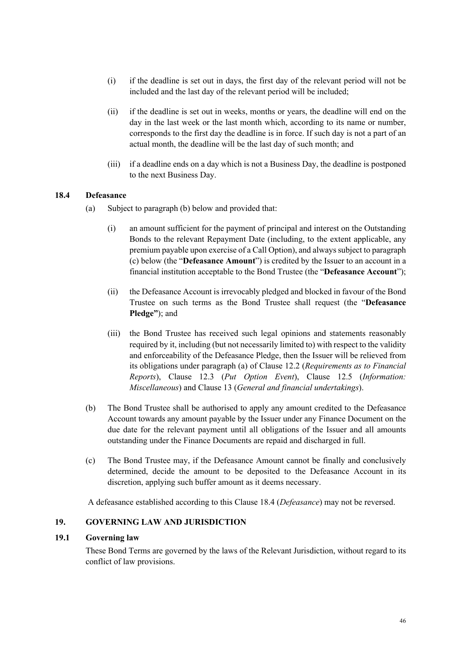- (i) if the deadline is set out in days, the first day of the relevant period will not be included and the last day of the relevant period will be included;
- (ii) if the deadline is set out in weeks, months or years, the deadline will end on the day in the last week or the last month which, according to its name or number, corresponds to the first day the deadline is in force. If such day is not a part of an actual month, the deadline will be the last day of such month; and
- (iii) if a deadline ends on a day which is not a Business Day, the deadline is postponed to the next Business Day.

#### **18.4 Defeasance**

<span id="page-69-0"></span>(a) Subject to paragraph (b) below and provided that:

- (i) an amount sufficient for the payment of principal and interest on the Outstanding Bonds to the relevant Repayment Date (including, to the extent applicable, any premium payable upon exercise of a Call Option), and always subject to paragraph (c) below (the "**Defeasance Amount**") is credited by the Issuer to an account in a financial institution acceptable to the Bond Trustee (the "**Defeasance Account**");
- (ii) the Defeasance Account is irrevocably pledged and blocked in favour of the Bond Trustee on such terms as the Bond Trustee shall request (the "**Defeasance Pledge"**); and
- (iii) the Bond Trustee has received such legal opinions and statements reasonably required by it, including (but not necessarily limited to) with respect to the validity and enforceability of the Defeasance Pledge, then the Issuer will be relieved from its obligations under paragraph (a) of Clause [12.2](#page-52-1) (*Requirements as to Financial Reports*), Clause [12.3](#page-52-0) (*Put Option Event*), Clause [12.5](#page-52-2) (*Information: Miscellaneous*) and Clause [13](#page-53-0) (*General and financial undertakings*).
- (b) The Bond Trustee shall be authorised to apply any amount credited to the Defeasance Account towards any amount payable by the Issuer under any Finance Document on the due date for the relevant payment until all obligations of the Issuer and all amounts outstanding under the Finance Documents are repaid and discharged in full.
- (c) The Bond Trustee may, if the Defeasance Amount cannot be finally and conclusively determined, decide the amount to be deposited to the Defeasance Account in its discretion, applying such buffer amount as it deems necessary.

<span id="page-69-1"></span>A defeasance established according to this Clause [18.4](#page-69-0) (*Defeasance*) may not be reversed.

# **19. GOVERNING LAW AND JURISDICTION**

#### **19.1 Governing law**

These Bond Terms are governed by the laws of the Relevant Jurisdiction, without regard to its conflict of law provisions.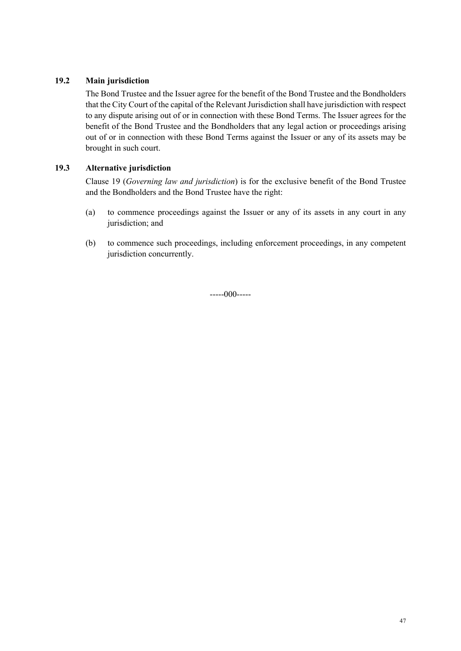# **19.2 Main jurisdiction**

The Bond Trustee and the Issuer agree for the benefit of the Bond Trustee and the Bondholders that the City Court of the capital of the Relevant Jurisdiction shall have jurisdiction with respect to any dispute arising out of or in connection with these Bond Terms. The Issuer agrees for the benefit of the Bond Trustee and the Bondholders that any legal action or proceedings arising out of or in connection with these Bond Terms against the Issuer or any of its assets may be brought in such court.

# **19.3 Alternative jurisdiction**

Clause [19](#page-69-1) (*Governing law and jurisdiction*) is for the exclusive benefit of the Bond Trustee and the Bondholders and the Bond Trustee have the right:

- (a) to commence proceedings against the Issuer or any of its assets in any court in any jurisdiction; and
- (b) to commence such proceedings, including enforcement proceedings, in any competent jurisdiction concurrently.

-----000-----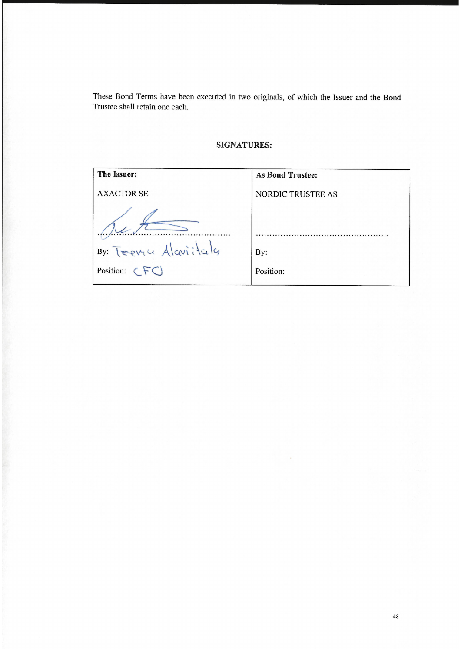These Bond Terms have been executed in two originals, of which the Issuer and the Bond Trustee shall retain one each.

| The Issuer:                  | <b>As Bond Trustee:</b>  |
|------------------------------|--------------------------|
| <b>AXACTOR SE</b>            | <b>NORDIC TRUSTEE AS</b> |
|                              |                          |
| By: Teeveu Alaviitaly        | By:                      |
| Position: $(\epsilon \in C)$ | Position:                |
|                              |                          |

# **SIGNATURES:**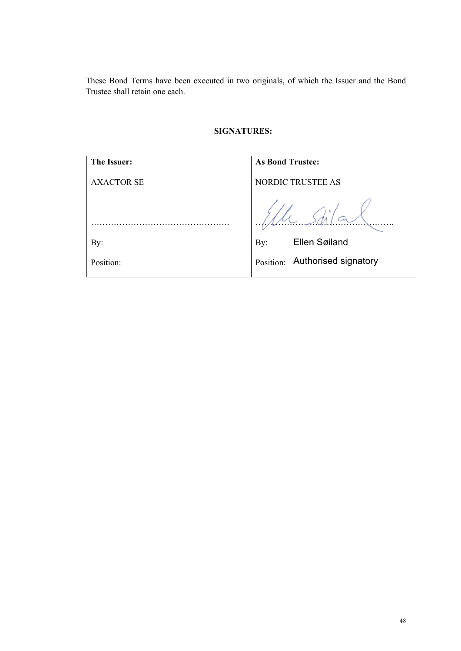These Bond Terms have been executed in two originals, of which the Issuer and the Bond Trustee shall retain one each.

## **SIGNATURES:**

| The Issuer:       | <b>As Bond Trustee:</b>        |  |
|-------------------|--------------------------------|--|
| <b>AXACTOR SE</b> | <b>NORDIC TRUSTEE AS</b>       |  |
|                   |                                |  |
| By:               | Ellen Søiland<br>By:           |  |
| Position:         | Position: Authorised signatory |  |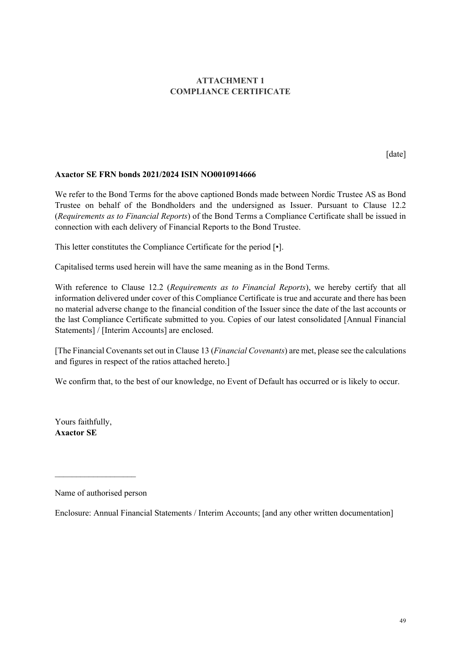## **ATTACHMENT 1 COMPLIANCE CERTIFICATE**

[date]

#### **Axactor SE FRN bonds 2021/2024 ISIN NO0010914666**

We refer to the Bond Terms for the above captioned Bonds made between Nordic Trustee AS as Bond Trustee on behalf of the Bondholders and the undersigned as Issuer. Pursuant to Clause [12.2](#page-52-0) (*Requirements as to Financial Reports*) of the Bond Terms a Compliance Certificate shall be issued in connection with each delivery of Financial Reports to the Bond Trustee.

This letter constitutes the Compliance Certificate for the period [•].

Capitalised terms used herein will have the same meaning as in the Bond Terms.

With reference to Clause [12.2](#page-52-0) (*Requirements as to Financial Reports*), we hereby certify that all information delivered under cover of this Compliance Certificate is true and accurate and there has been no material adverse change to the financial condition of the Issuer since the date of the last accounts or the last Compliance Certificate submitted to you. Copies of our latest consolidated [Annual Financial Statements] / [Interim Accounts] are enclosed.

[The Financial Covenants set out in Clause 13 (*Financial Covenants*) are met, please see the calculations and figures in respect of the ratios attached hereto.]

We confirm that, to the best of our knowledge, no Event of Default has occurred or is likely to occur.

Yours faithfully, **Axactor SE**

Name of authorised person

 $\mathcal{L}_\text{max}$ 

Enclosure: Annual Financial Statements / Interim Accounts; [and any other written documentation]